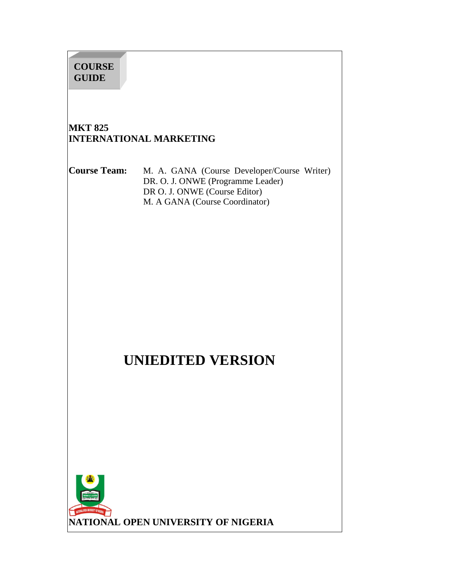# **MKT 825 INTERNATIONAL MARKETING Course Team:** M. A. GANA (Course Developer/Course Writer) DR. O. J. ONWE (Programme Leader) DR O. J. ONWE (Course Editor) M. A GANA (Course Coordinator) **UNIEDITED VERSION COURSE GUIDE**

**NATIONAL OPEN UNIVERSITY OF NIGERIA**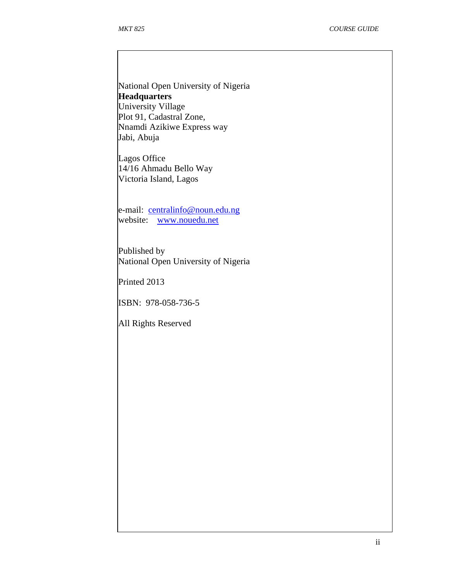National Open University of Nigeria **Headquarters**  University Village Plot 91, Cadastral Zone, Nnamdi Azikiwe Express way Jabi, Abuja

Lagos Office 14/16 Ahmadu Bello Way Victoria Island, Lagos

e-mail: centralinfo@noun.edu.ng website: www.nouedu.net

Published by National Open University of Nigeria

Printed 2013

ISBN: 978-058-736-5

All Rights Reserved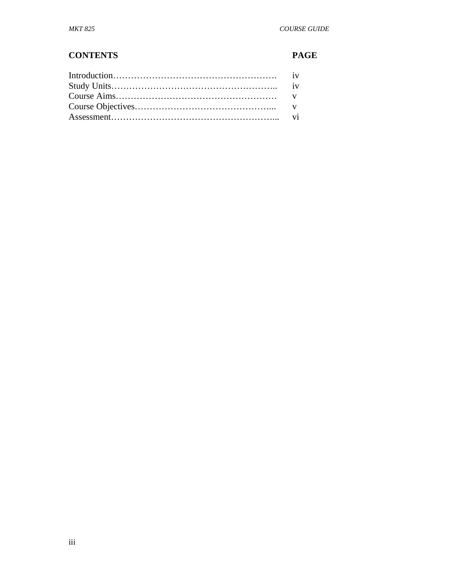# **CONTENTS PAGE**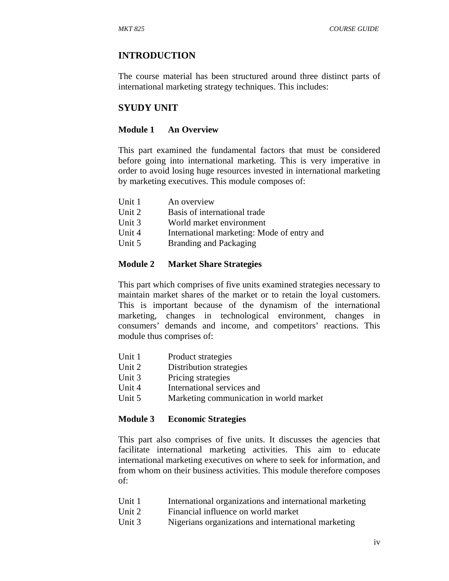# **INTRODUCTION**

The course material has been structured around three distinct parts of international marketing strategy techniques. This includes:

# **SYUDY UNIT**

#### **Module 1 An Overview**

This part examined the fundamental factors that must be considered before going into international marketing. This is very imperative in order to avoid losing huge resources invested in international marketing by marketing executives. This module composes of:

| Unit 1 | An overview                                |
|--------|--------------------------------------------|
| Unit 2 | Basis of international trade               |
| Unit 3 | World market environment                   |
| Unit 4 | International marketing: Mode of entry and |
| Unit 5 | Branding and Packaging                     |

#### **Module 2 Market Share Strategies**

This part which comprises of five units examined strategies necessary to maintain market shares of the market or to retain the loyal customers. This is important because of the dynamism of the international marketing, changes in technological environment, changes in consumers' demands and income, and competitors' reactions. This module thus comprises of:

| Unit 1 | Product strategies |
|--------|--------------------|
|--------|--------------------|

- Unit 2 Distribution strategies
- Unit 3 Pricing strategies
- Unit 4 International services and
- Unit 5 Marketing communication in world market

#### **Module 3 Economic Strategies**

This part also comprises of five units. It discusses the agencies that facilitate international marketing activities. This aim to educate international marketing executives on where to seek for information, and from whom on their business activities. This module therefore composes of:

- Unit 1 International organizations and international marketing
- Unit 2 Financial influence on world market
- Unit 3 Nigerians organizations and international marketing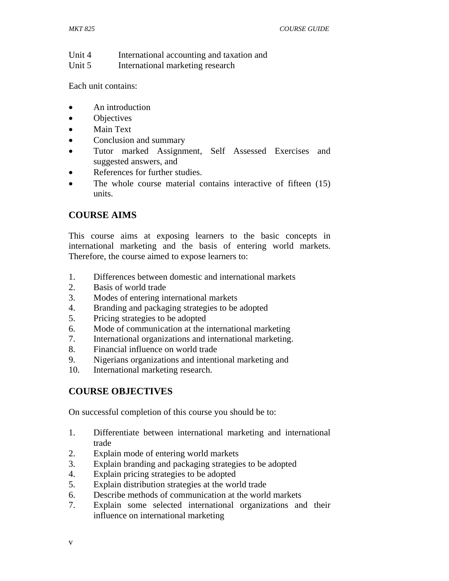Unit 4 International accounting and taxation and

Unit 5 International marketing research

Each unit contains:

- An introduction
- Objectives
- Main Text
- Conclusion and summary
- Tutor marked Assignment, Self Assessed Exercises and suggested answers, and
- References for further studies.
- The whole course material contains interactive of fifteen (15) units.

# **COURSE AIMS**

This course aims at exposing learners to the basic concepts in international marketing and the basis of entering world markets. Therefore, the course aimed to expose learners to:

- 1. Differences between domestic and international markets
- 2. Basis of world trade
- 3. Modes of entering international markets
- 4. Branding and packaging strategies to be adopted
- 5. Pricing strategies to be adopted
- 6. Mode of communication at the international marketing
- 7. International organizations and international marketing.
- 8. Financial influence on world trade
- 9. Nigerians organizations and intentional marketing and
- 10. International marketing research.

# **COURSE OBJECTIVES**

On successful completion of this course you should be to:

- 1. Differentiate between international marketing and international trade
- 2. Explain mode of entering world markets
- 3. Explain branding and packaging strategies to be adopted
- 4. Explain pricing strategies to be adopted
- 5. Explain distribution strategies at the world trade
- 6. Describe methods of communication at the world markets
- 7. Explain some selected international organizations and their influence on international marketing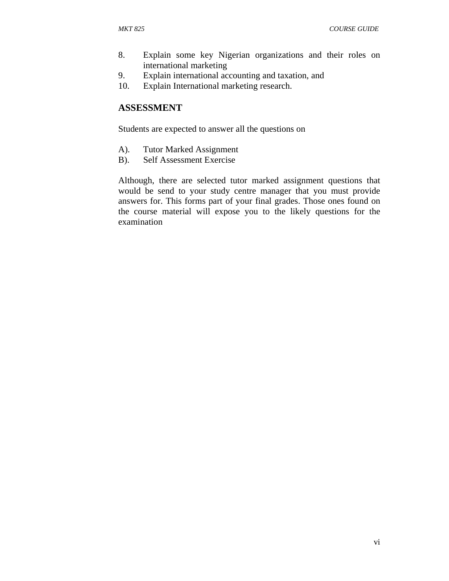- 8. Explain some key Nigerian organizations and their roles on international marketing
- 9. Explain international accounting and taxation, and
- 10. Explain International marketing research.

#### **ASSESSMENT**

Students are expected to answer all the questions on

- A). Tutor Marked Assignment
- B). Self Assessment Exercise

Although, there are selected tutor marked assignment questions that would be send to your study centre manager that you must provide answers for. This forms part of your final grades. Those ones found on the course material will expose you to the likely questions for the examination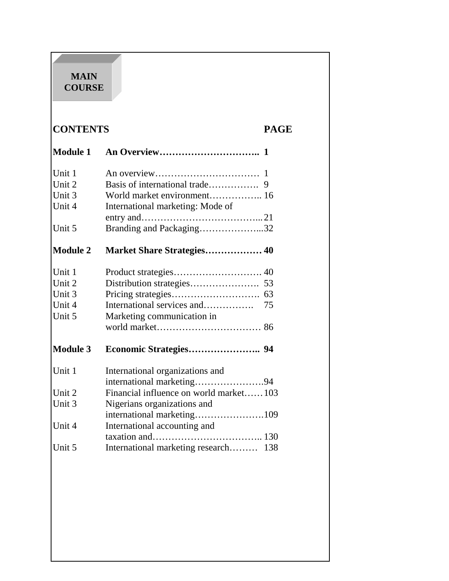# **MAIN COURSE**

# **CONTENTS PAGE**

| <b>Module 1</b> |                                         |
|-----------------|-----------------------------------------|
| Unit 1          |                                         |
| Unit 2          |                                         |
| Unit 3          | World market environment 16             |
| Unit 4          | International marketing: Mode of        |
|                 |                                         |
| Unit 5          | Branding and Packaging32                |
| <b>Module 2</b> | Market Share Strategies 40              |
| Unit 1          |                                         |
| Unit 2          |                                         |
| Unit 3          | 63                                      |
| Unit 4          | International services and<br>75        |
| Unit 5          | Marketing communication in              |
|                 |                                         |
| <b>Module 3</b> |                                         |
| Unit 1          | International organizations and         |
|                 | international marketing94               |
| Unit 2          | Financial influence on world market103  |
| Unit 3          | Nigerians organizations and             |
|                 |                                         |
| Unit 4          | International accounting and            |
|                 |                                         |
| Unit 5          | International marketing research<br>138 |
|                 |                                         |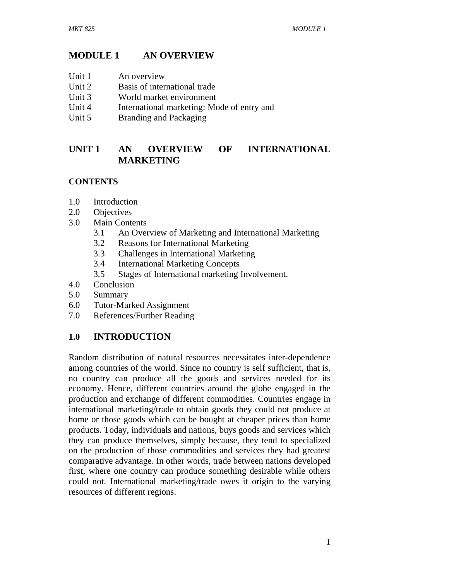# **MODULE 1 AN OVERVIEW**

- Unit 1 An overview
- Unit 2 Basis of international trade
- Unit 3 World market environment
- Unit 4 International marketing: Mode of entry and
- Unit 5 Branding and Packaging

# **UNIT 1 AN OVERVIEW OF INTERNATIONAL MARKETING**

# **CONTENTS**

- 1.0 Introduction
- 2.0 Objectives
- 3.0 Main Contents
	- 3.1 An Overview of Marketing and International Marketing
	- 3.2 Reasons for International Marketing
	- 3.3 Challenges in International Marketing
	- 3.4 International Marketing Concepts
	- 3.5 Stages of International marketing Involvement.
- 4.0 Conclusion
- 5.0 Summary
- 6.0 Tutor-Marked Assignment
- 7.0 References/Further Reading

# **1.0 INTRODUCTION**

Random distribution of natural resources necessitates inter-dependence among countries of the world. Since no country is self sufficient, that is, no country can produce all the goods and services needed for its economy. Hence, different countries around the globe engaged in the production and exchange of different commodities. Countries engage in international marketing/trade to obtain goods they could not produce at home or those goods which can be bought at cheaper prices than home products. Today, individuals and nations, buys goods and services which they can produce themselves, simply because, they tend to specialized on the production of those commodities and services they had greatest comparative advantage. In other words, trade between nations developed first, where one country can produce something desirable while others could not. International marketing/trade owes it origin to the varying resources of different regions.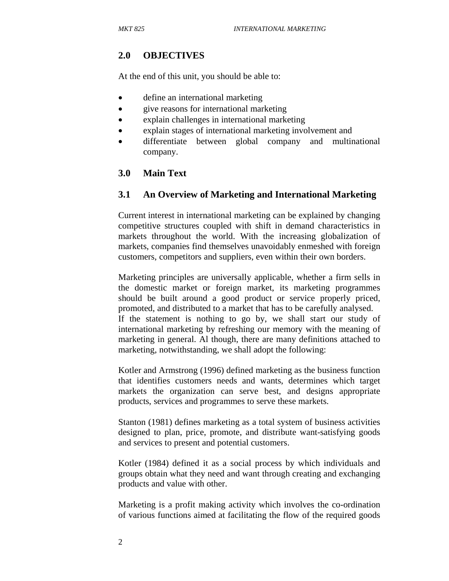# **2.0 OBJECTIVES**

At the end of this unit, you should be able to:

- define an international marketing
- give reasons for international marketing
- explain challenges in international marketing
- explain stages of international marketing involvement and
- differentiate between global company and multinational company.

# **3.0 Main Text**

#### **3.1 An Overview of Marketing and International Marketing**

Current interest in international marketing can be explained by changing competitive structures coupled with shift in demand characteristics in markets throughout the world. With the increasing globalization of markets, companies find themselves unavoidably enmeshed with foreign customers, competitors and suppliers, even within their own borders.

Marketing principles are universally applicable, whether a firm sells in the domestic market or foreign market, its marketing programmes should be built around a good product or service properly priced, promoted, and distributed to a market that has to be carefully analysed. If the statement is nothing to go by, we shall start our study of international marketing by refreshing our memory with the meaning of marketing in general. Al though, there are many definitions attached to marketing, notwithstanding, we shall adopt the following:

Kotler and Armstrong (1996) defined marketing as the business function that identifies customers needs and wants, determines which target markets the organization can serve best, and designs appropriate products, services and programmes to serve these markets.

Stanton (1981) defines marketing as a total system of business activities designed to plan, price, promote, and distribute want-satisfying goods and services to present and potential customers.

Kotler (1984) defined it as a social process by which individuals and groups obtain what they need and want through creating and exchanging products and value with other.

Marketing is a profit making activity which involves the co-ordination of various functions aimed at facilitating the flow of the required goods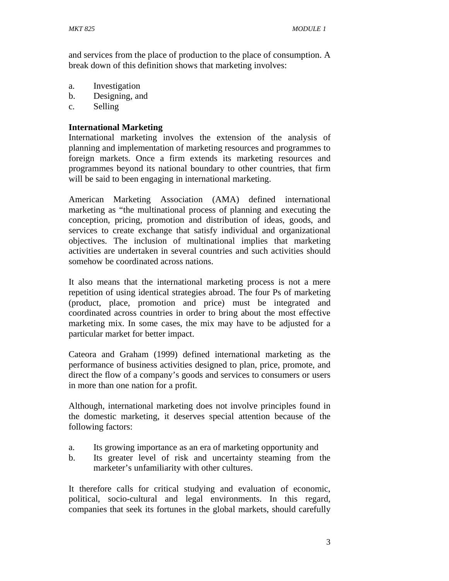and services from the place of production to the place of consumption. A break down of this definition shows that marketing involves:

- a. Investigation
- b. Designing, and
- c. Selling

#### **International Marketing**

International marketing involves the extension of the analysis of planning and implementation of marketing resources and programmes to foreign markets. Once a firm extends its marketing resources and programmes beyond its national boundary to other countries, that firm will be said to been engaging in international marketing.

American Marketing Association (AMA) defined international marketing as "the multinational process of planning and executing the conception, pricing, promotion and distribution of ideas, goods, and services to create exchange that satisfy individual and organizational objectives. The inclusion of multinational implies that marketing activities are undertaken in several countries and such activities should somehow be coordinated across nations.

It also means that the international marketing process is not a mere repetition of using identical strategies abroad. The four Ps of marketing (product, place, promotion and price) must be integrated and coordinated across countries in order to bring about the most effective marketing mix. In some cases, the mix may have to be adjusted for a particular market for better impact.

Cateora and Graham (1999) defined international marketing as the performance of business activities designed to plan, price, promote, and direct the flow of a company's goods and services to consumers or users in more than one nation for a profit.

Although, international marketing does not involve principles found in the domestic marketing, it deserves special attention because of the following factors:

- a. Its growing importance as an era of marketing opportunity and
- b. Its greater level of risk and uncertainty steaming from the marketer's unfamiliarity with other cultures.

It therefore calls for critical studying and evaluation of economic, political, socio-cultural and legal environments. In this regard, companies that seek its fortunes in the global markets, should carefully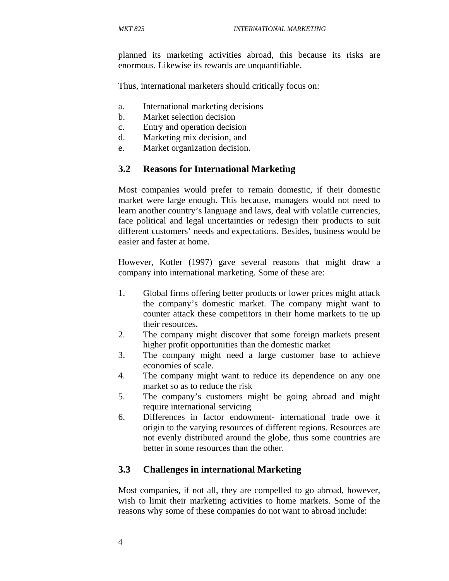planned its marketing activities abroad, this because its risks are enormous. Likewise its rewards are unquantifiable.

Thus, international marketers should critically focus on:

- a. International marketing decisions
- b. Market selection decision
- c. Entry and operation decision
- d. Marketing mix decision, and
- e. Market organization decision.

#### **3.2 Reasons for International Marketing**

Most companies would prefer to remain domestic, if their domestic market were large enough. This because, managers would not need to learn another country's language and laws, deal with volatile currencies, face political and legal uncertainties or redesign their products to suit different customers' needs and expectations. Besides, business would be easier and faster at home.

However, Kotler (1997) gave several reasons that might draw a company into international marketing. Some of these are:

- 1. Global firms offering better products or lower prices might attack the company's domestic market. The company might want to counter attack these competitors in their home markets to tie up their resources.
- 2. The company might discover that some foreign markets present higher profit opportunities than the domestic market
- 3. The company might need a large customer base to achieve economies of scale.
- 4. The company might want to reduce its dependence on any one market so as to reduce the risk
- 5. The company's customers might be going abroad and might require international servicing
- 6. Differences in factor endowment- international trade owe it origin to the varying resources of different regions. Resources are not evenly distributed around the globe, thus some countries are better in some resources than the other.

#### **3.3 Challenges in international Marketing**

Most companies, if not all, they are compelled to go abroad, however, wish to limit their marketing activities to home markets. Some of the reasons why some of these companies do not want to abroad include: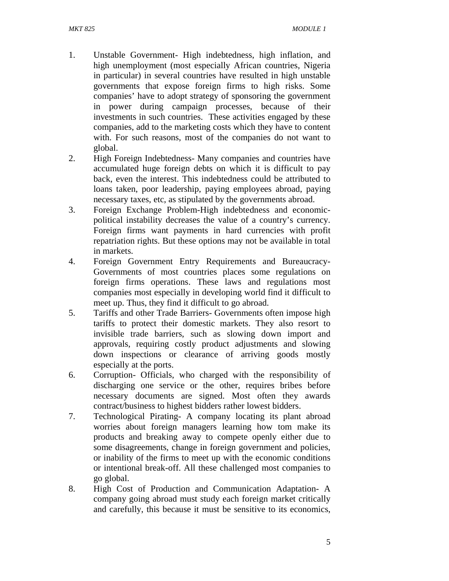- 1. Unstable Government- High indebtedness, high inflation, and high unemployment (most especially African countries, Nigeria in particular) in several countries have resulted in high unstable governments that expose foreign firms to high risks. Some companies' have to adopt strategy of sponsoring the government in power during campaign processes, because of their investments in such countries. These activities engaged by these companies, add to the marketing costs which they have to content with. For such reasons, most of the companies do not want to global.
- 2. High Foreign Indebtedness- Many companies and countries have accumulated huge foreign debts on which it is difficult to pay back, even the interest. This indebtedness could be attributed to loans taken, poor leadership, paying employees abroad, paying necessary taxes, etc, as stipulated by the governments abroad.
- 3. Foreign Exchange Problem-High indebtedness and economicpolitical instability decreases the value of a country's currency. Foreign firms want payments in hard currencies with profit repatriation rights. But these options may not be available in total in markets.
- 4. Foreign Government Entry Requirements and Bureaucracy-Governments of most countries places some regulations on foreign firms operations. These laws and regulations most companies most especially in developing world find it difficult to meet up. Thus, they find it difficult to go abroad.
- 5. Tariffs and other Trade Barriers- Governments often impose high tariffs to protect their domestic markets. They also resort to invisible trade barriers, such as slowing down import and approvals, requiring costly product adjustments and slowing down inspections or clearance of arriving goods mostly especially at the ports.
- 6. Corruption- Officials, who charged with the responsibility of discharging one service or the other, requires bribes before necessary documents are signed. Most often they awards contract/business to highest bidders rather lowest bidders.
- 7. Technological Pirating- A company locating its plant abroad worries about foreign managers learning how tom make its products and breaking away to compete openly either due to some disagreements, change in foreign government and policies, or inability of the firms to meet up with the economic conditions or intentional break-off. All these challenged most companies to go global.
- 8. High Cost of Production and Communication Adaptation- A company going abroad must study each foreign market critically and carefully, this because it must be sensitive to its economics,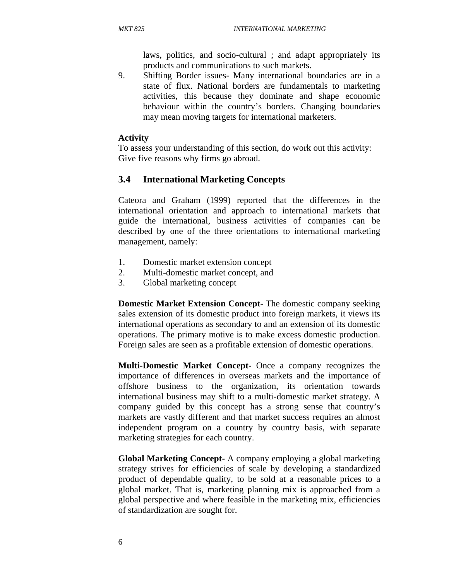laws, politics, and socio-cultural ; and adapt appropriately its products and communications to such markets.

9. Shifting Border issues- Many international boundaries are in a state of flux. National borders are fundamentals to marketing activities, this because they dominate and shape economic behaviour within the country's borders. Changing boundaries may mean moving targets for international marketers.

#### **Activity**

To assess your understanding of this section, do work out this activity: Give five reasons why firms go abroad.

#### **3.4 International Marketing Concepts**

Cateora and Graham (1999) reported that the differences in the international orientation and approach to international markets that guide the international, business activities of companies can be described by one of the three orientations to international marketing management, namely:

- 1. Domestic market extension concept
- 2. Multi-domestic market concept, and
- 3. Global marketing concept

**Domestic Market Extension Concept-** The domestic company seeking sales extension of its domestic product into foreign markets, it views its international operations as secondary to and an extension of its domestic operations. The primary motive is to make excess domestic production. Foreign sales are seen as a profitable extension of domestic operations.

**Multi-Domestic Market Concept-** Once a company recognizes the importance of differences in overseas markets and the importance of offshore business to the organization, its orientation towards international business may shift to a multi-domestic market strategy. A company guided by this concept has a strong sense that country's markets are vastly different and that market success requires an almost independent program on a country by country basis, with separate marketing strategies for each country.

**Global Marketing Concept-** A company employing a global marketing strategy strives for efficiencies of scale by developing a standardized product of dependable quality, to be sold at a reasonable prices to a global market. That is, marketing planning mix is approached from a global perspective and where feasible in the marketing mix, efficiencies of standardization are sought for.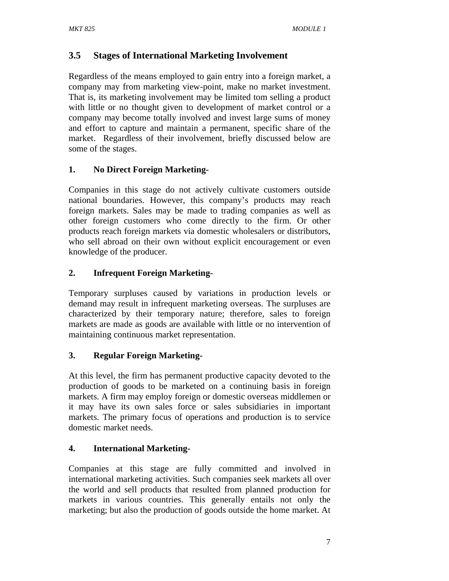# **3.5 Stages of International Marketing Involvement**

Regardless of the means employed to gain entry into a foreign market, a company may from marketing view-point, make no market investment. That is, its marketing involvement may be limited tom selling a product with little or no thought given to development of market control or a company may become totally involved and invest large sums of money and effort to capture and maintain a permanent, specific share of the market. Regardless of their involvement, briefly discussed below are some of the stages.

# **1. No Direct Foreign Marketing-**

Companies in this stage do not actively cultivate customers outside national boundaries. However, this company's products may reach foreign markets. Sales may be made to trading companies as well as other foreign customers who come directly to the firm. Or other products reach foreign markets via domestic wholesalers or distributors, who sell abroad on their own without explicit encouragement or even knowledge of the producer.

# **2. Infrequent Foreign Marketing-**

Temporary surpluses caused by variations in production levels or demand may result in infrequent marketing overseas. The surpluses are characterized by their temporary nature; therefore, sales to foreign markets are made as goods are available with little or no intervention of maintaining continuous market representation.

# **3. Regular Foreign Marketing-**

At this level, the firm has permanent productive capacity devoted to the production of goods to be marketed on a continuing basis in foreign markets. A firm may employ foreign or domestic overseas middlemen or it may have its own sales force or sales subsidiaries in important markets. The primary focus of operations and production is to service domestic market needs.

# **4. International Marketing-**

Companies at this stage are fully committed and involved in international marketing activities. Such companies seek markets all over the world and sell products that resulted from planned production for markets in various countries. This generally entails not only the marketing; but also the production of goods outside the home market. At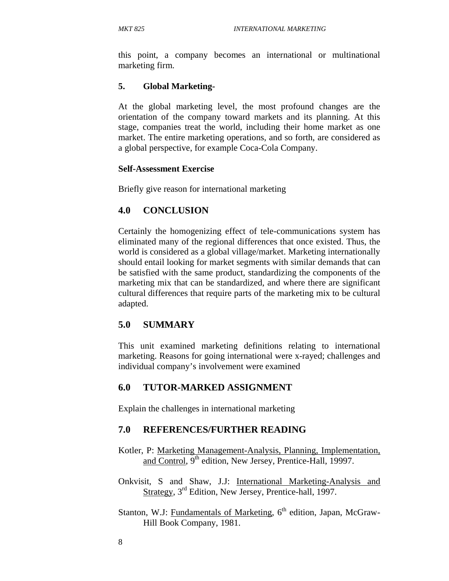this point, a company becomes an international or multinational marketing firm.

#### **5. Global Marketing-**

At the global marketing level, the most profound changes are the orientation of the company toward markets and its planning. At this stage, companies treat the world, including their home market as one market. The entire marketing operations, and so forth, are considered as a global perspective, for example Coca-Cola Company.

#### **Self-Assessment Exercise**

Briefly give reason for international marketing

# **4.0 CONCLUSION**

Certainly the homogenizing effect of tele-communications system has eliminated many of the regional differences that once existed. Thus, the world is considered as a global village/market. Marketing internationally should entail looking for market segments with similar demands that can be satisfied with the same product, standardizing the components of the marketing mix that can be standardized, and where there are significant cultural differences that require parts of the marketing mix to be cultural adapted.

# **5.0 SUMMARY**

This unit examined marketing definitions relating to international marketing. Reasons for going international were x-rayed; challenges and individual company's involvement were examined

# **6.0 TUTOR-MARKED ASSIGNMENT**

Explain the challenges in international marketing

#### **7.0 REFERENCES/FURTHER READING**

- Kotler, P: Marketing Management-Analysis, Planning, Implementation, and Control, 9<sup>th</sup> edition, New Jersey, Prentice-Hall, 19997.
- Onkvisit, S and Shaw, J.J: International Marketing-Analysis and Strategy, 3rd Edition, New Jersey, Prentice-hall, 1997.
- Stanton, W.J: Fundamentals of Marketing,  $6<sup>th</sup>$  edition, Japan, McGraw-Hill Book Company, 1981.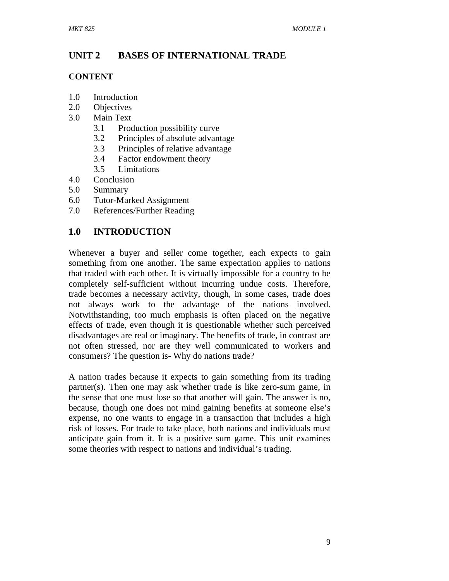# **UNIT 2 BASES OF INTERNATIONAL TRADE**

#### **CONTENT**

- 1.0 Introduction
- 2.0 Objectives
- 3.0 Main Text
	- 3.1 Production possibility curve
	- 3.2 Principles of absolute advantage
	- 3.3 Principles of relative advantage
	- 3.4 Factor endowment theory
	- 3.5 Limitations
- 4.0 Conclusion
- 5.0 Summary
- 6.0 Tutor-Marked Assignment
- 7.0 References/Further Reading

# **1.0 INTRODUCTION**

Whenever a buyer and seller come together, each expects to gain something from one another. The same expectation applies to nations that traded with each other. It is virtually impossible for a country to be completely self-sufficient without incurring undue costs. Therefore, trade becomes a necessary activity, though, in some cases, trade does not always work to the advantage of the nations involved. Notwithstanding, too much emphasis is often placed on the negative effects of trade, even though it is questionable whether such perceived disadvantages are real or imaginary. The benefits of trade, in contrast are not often stressed, nor are they well communicated to workers and consumers? The question is- Why do nations trade?

A nation trades because it expects to gain something from its trading partner(s). Then one may ask whether trade is like zero-sum game, in the sense that one must lose so that another will gain. The answer is no, because, though one does not mind gaining benefits at someone else's expense, no one wants to engage in a transaction that includes a high risk of losses. For trade to take place, both nations and individuals must anticipate gain from it. It is a positive sum game. This unit examines some theories with respect to nations and individual's trading.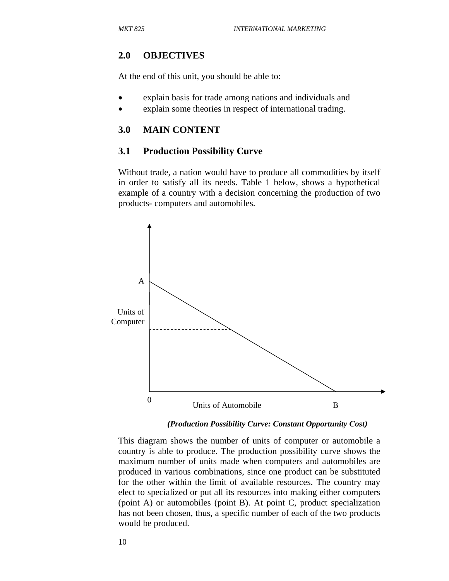#### **2.0 OBJECTIVES**

At the end of this unit, you should be able to:

- explain basis for trade among nations and individuals and
- explain some theories in respect of international trading.

#### **3.0 MAIN CONTENT**

#### **3.1 Production Possibility Curve**

Without trade, a nation would have to produce all commodities by itself in order to satisfy all its needs. Table 1 below, shows a hypothetical example of a country with a decision concerning the production of two products- computers and automobiles.



*(Production Possibility Curve: Constant Opportunity Cost)* 

This diagram shows the number of units of computer or automobile a country is able to produce. The production possibility curve shows the maximum number of units made when computers and automobiles are produced in various combinations, since one product can be substituted for the other within the limit of available resources. The country may elect to specialized or put all its resources into making either computers (point A) or automobiles (point B). At point C, product specialization has not been chosen, thus, a specific number of each of the two products would be produced.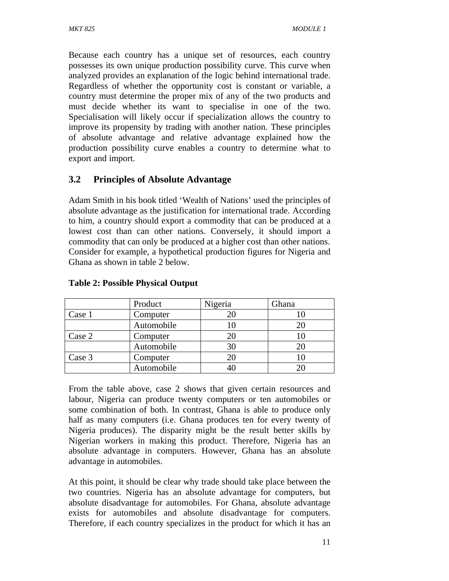Because each country has a unique set of resources, each country possesses its own unique production possibility curve. This curve when analyzed provides an explanation of the logic behind international trade. Regardless of whether the opportunity cost is constant or variable, a country must determine the proper mix of any of the two products and must decide whether its want to specialise in one of the two. Specialisation will likely occur if specialization allows the country to improve its propensity by trading with another nation. These principles of absolute advantage and relative advantage explained how the production possibility curve enables a country to determine what to export and import.

# **3.2 Principles of Absolute Advantage**

Adam Smith in his book titled 'Wealth of Nations' used the principles of absolute advantage as the justification for international trade. According to him, a country should export a commodity that can be produced at a lowest cost than can other nations. Conversely, it should import a commodity that can only be produced at a higher cost than other nations. Consider for example, a hypothetical production figures for Nigeria and Ghana as shown in table 2 below.

|        | Product    | Nigeria | Ghana |
|--------|------------|---------|-------|
| Case 1 | Computer   | 20      |       |
|        | Automobile |         |       |
| Case 2 | Computer   | 20      |       |
|        | Automobile | 30      |       |
| Case 3 | Computer   | 20      |       |
|        | Automobile |         |       |

#### **Table 2: Possible Physical Output**

From the table above, case 2 shows that given certain resources and labour, Nigeria can produce twenty computers or ten automobiles or some combination of both. In contrast, Ghana is able to produce only half as many computers (i.e. Ghana produces ten for every twenty of Nigeria produces). The disparity might be the result better skills by Nigerian workers in making this product. Therefore, Nigeria has an absolute advantage in computers. However, Ghana has an absolute advantage in automobiles.

At this point, it should be clear why trade should take place between the two countries. Nigeria has an absolute advantage for computers, but absolute disadvantage for automobiles. For Ghana, absolute advantage exists for automobiles and absolute disadvantage for computers. Therefore, if each country specializes in the product for which it has an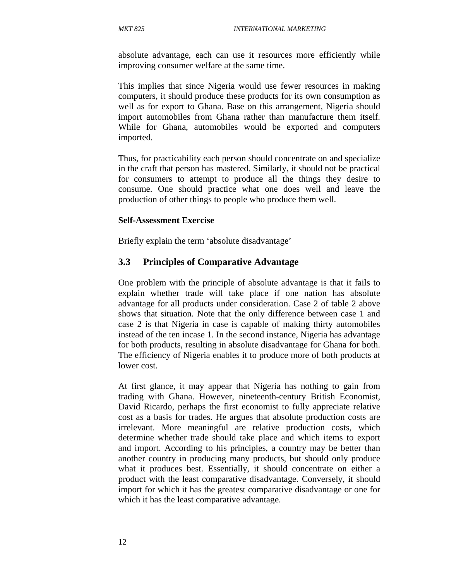absolute advantage, each can use it resources more efficiently while improving consumer welfare at the same time.

This implies that since Nigeria would use fewer resources in making computers, it should produce these products for its own consumption as well as for export to Ghana. Base on this arrangement, Nigeria should import automobiles from Ghana rather than manufacture them itself. While for Ghana, automobiles would be exported and computers imported.

Thus, for practicability each person should concentrate on and specialize in the craft that person has mastered. Similarly, it should not be practical for consumers to attempt to produce all the things they desire to consume. One should practice what one does well and leave the production of other things to people who produce them well.

#### **Self-Assessment Exercise**

Briefly explain the term 'absolute disadvantage'

#### **3.3 Principles of Comparative Advantage**

One problem with the principle of absolute advantage is that it fails to explain whether trade will take place if one nation has absolute advantage for all products under consideration. Case 2 of table 2 above shows that situation. Note that the only difference between case 1 and case 2 is that Nigeria in case is capable of making thirty automobiles instead of the ten incase 1. In the second instance, Nigeria has advantage for both products, resulting in absolute disadvantage for Ghana for both. The efficiency of Nigeria enables it to produce more of both products at lower cost.

At first glance, it may appear that Nigeria has nothing to gain from trading with Ghana. However, nineteenth-century British Economist, David Ricardo, perhaps the first economist to fully appreciate relative cost as a basis for trades. He argues that absolute production costs are irrelevant. More meaningful are relative production costs, which determine whether trade should take place and which items to export and import. According to his principles, a country may be better than another country in producing many products, but should only produce what it produces best. Essentially, it should concentrate on either a product with the least comparative disadvantage. Conversely, it should import for which it has the greatest comparative disadvantage or one for which it has the least comparative advantage.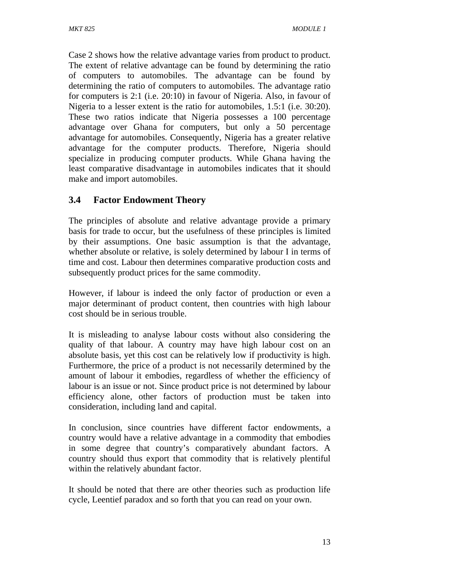Case 2 shows how the relative advantage varies from product to product. The extent of relative advantage can be found by determining the ratio of computers to automobiles. The advantage can be found by determining the ratio of computers to automobiles. The advantage ratio for computers is 2:1 (i.e. 20:10) in favour of Nigeria. Also, in favour of Nigeria to a lesser extent is the ratio for automobiles, 1.5:1 (i.e. 30:20). These two ratios indicate that Nigeria possesses a 100 percentage advantage over Ghana for computers, but only a 50 percentage advantage for automobiles. Consequently, Nigeria has a greater relative advantage for the computer products. Therefore, Nigeria should specialize in producing computer products. While Ghana having the least comparative disadvantage in automobiles indicates that it should make and import automobiles.

# **3.4 Factor Endowment Theory**

The principles of absolute and relative advantage provide a primary basis for trade to occur, but the usefulness of these principles is limited by their assumptions. One basic assumption is that the advantage, whether absolute or relative, is solely determined by labour I in terms of time and cost. Labour then determines comparative production costs and subsequently product prices for the same commodity.

However, if labour is indeed the only factor of production or even a major determinant of product content, then countries with high labour cost should be in serious trouble.

It is misleading to analyse labour costs without also considering the quality of that labour. A country may have high labour cost on an absolute basis, yet this cost can be relatively low if productivity is high. Furthermore, the price of a product is not necessarily determined by the amount of labour it embodies, regardless of whether the efficiency of labour is an issue or not. Since product price is not determined by labour efficiency alone, other factors of production must be taken into consideration, including land and capital.

In conclusion, since countries have different factor endowments, a country would have a relative advantage in a commodity that embodies in some degree that country's comparatively abundant factors. A country should thus export that commodity that is relatively plentiful within the relatively abundant factor.

It should be noted that there are other theories such as production life cycle, Leentief paradox and so forth that you can read on your own.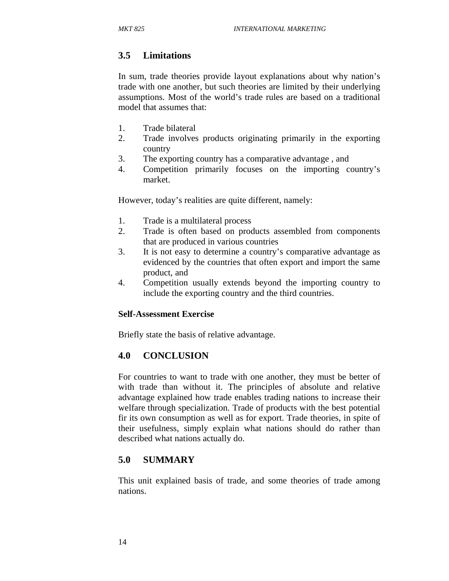# **3.5 Limitations**

In sum, trade theories provide layout explanations about why nation's trade with one another, but such theories are limited by their underlying assumptions. Most of the world's trade rules are based on a traditional model that assumes that:

- 1. Trade bilateral
- 2. Trade involves products originating primarily in the exporting country
- 3. The exporting country has a comparative advantage , and
- 4. Competition primarily focuses on the importing country's market.

However, today's realities are quite different, namely:

- 1. Trade is a multilateral process
- 2. Trade is often based on products assembled from components that are produced in various countries
- 3. It is not easy to determine a country's comparative advantage as evidenced by the countries that often export and import the same product, and
- 4. Competition usually extends beyond the importing country to include the exporting country and the third countries.

#### **Self-Assessment Exercise**

Briefly state the basis of relative advantage.

# **4.0 CONCLUSION**

For countries to want to trade with one another, they must be better of with trade than without it. The principles of absolute and relative advantage explained how trade enables trading nations to increase their welfare through specialization. Trade of products with the best potential fir its own consumption as well as for export. Trade theories, in spite of their usefulness, simply explain what nations should do rather than described what nations actually do.

# **5.0 SUMMARY**

This unit explained basis of trade, and some theories of trade among nations.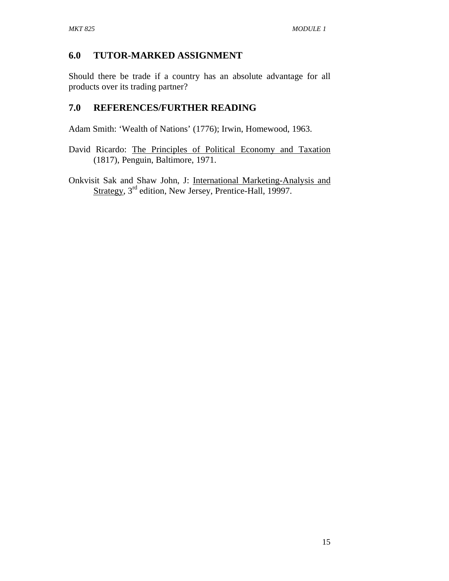# **6.0 TUTOR-MARKED ASSIGNMENT**

Should there be trade if a country has an absolute advantage for all products over its trading partner?

# **7.0 REFERENCES/FURTHER READING**

Adam Smith: 'Wealth of Nations' (1776); Irwin, Homewood, 1963.

- David Ricardo: The Principles of Political Economy and Taxation (1817), Penguin, Baltimore, 1971.
- Onkvisit Sak and Shaw John, J: International Marketing-Analysis and Strategy, 3<sup>rd</sup> edition, New Jersey, Prentice-Hall, 19997.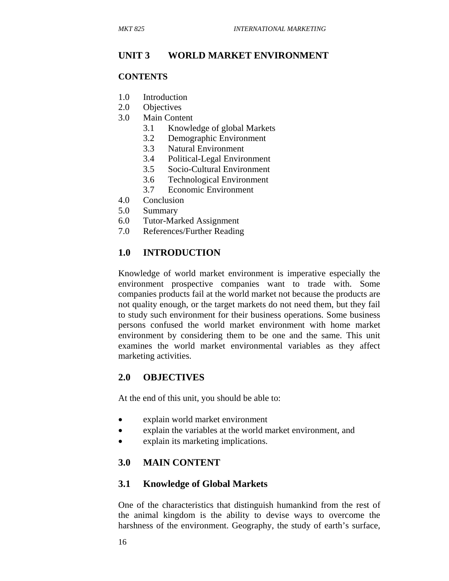## **UNIT 3 WORLD MARKET ENVIRONMENT**

#### **CONTENTS**

- 1.0 Introduction
- 2.0 Objectives
- 3.0 Main Content
	- 3.1 Knowledge of global Markets
	- 3.2 Demographic Environment
	- 3.3 Natural Environment
	- 3.4 Political-Legal Environment
	- 3.5 Socio-Cultural Environment
	- 3.6 Technological Environment
	- 3.7 Economic Environment
- 4.0 Conclusion
- 5.0 Summary
- 6.0 Tutor-Marked Assignment
- 7.0 References/Further Reading

#### **1.0 INTRODUCTION**

Knowledge of world market environment is imperative especially the environment prospective companies want to trade with. Some companies products fail at the world market not because the products are not quality enough, or the target markets do not need them, but they fail to study such environment for their business operations. Some business persons confused the world market environment with home market environment by considering them to be one and the same. This unit examines the world market environmental variables as they affect marketing activities.

#### **2.0 OBJECTIVES**

At the end of this unit, you should be able to:

- explain world market environment
- explain the variables at the world market environment, and
- explain its marketing implications.

#### **3.0 MAIN CONTENT**

#### **3.1 Knowledge of Global Markets**

One of the characteristics that distinguish humankind from the rest of the animal kingdom is the ability to devise ways to overcome the harshness of the environment. Geography, the study of earth's surface,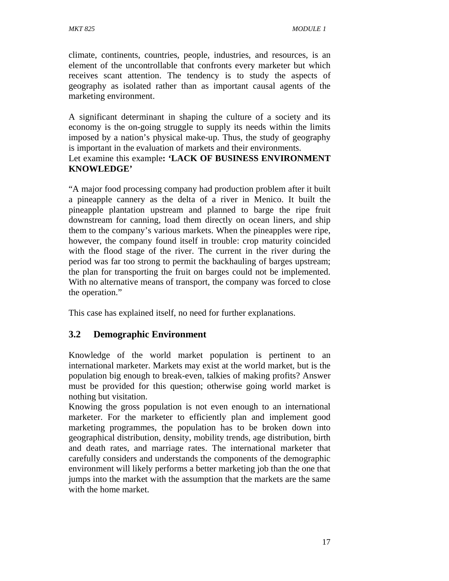climate, continents, countries, people, industries, and resources, is an element of the uncontrollable that confronts every marketer but which receives scant attention. The tendency is to study the aspects of geography as isolated rather than as important causal agents of the marketing environment.

A significant determinant in shaping the culture of a society and its economy is the on-going struggle to supply its needs within the limits imposed by a nation's physical make-up. Thus, the study of geography is important in the evaluation of markets and their environments.

#### Let examine this example**: 'LACK OF BUSINESS ENVIRONMENT KNOWLEDGE'**

"A major food processing company had production problem after it built a pineapple cannery as the delta of a river in Menico. It built the pineapple plantation upstream and planned to barge the ripe fruit downstream for canning, load them directly on ocean liners, and ship them to the company's various markets. When the pineapples were ripe, however, the company found itself in trouble: crop maturity coincided with the flood stage of the river. The current in the river during the period was far too strong to permit the backhauling of barges upstream; the plan for transporting the fruit on barges could not be implemented. With no alternative means of transport, the company was forced to close the operation."

This case has explained itself, no need for further explanations.

# **3.2 Demographic Environment**

Knowledge of the world market population is pertinent to an international marketer. Markets may exist at the world market, but is the population big enough to break-even, talkies of making profits? Answer must be provided for this question; otherwise going world market is nothing but visitation.

Knowing the gross population is not even enough to an international marketer. For the marketer to efficiently plan and implement good marketing programmes, the population has to be broken down into geographical distribution, density, mobility trends, age distribution, birth and death rates, and marriage rates. The international marketer that carefully considers and understands the components of the demographic environment will likely performs a better marketing job than the one that jumps into the market with the assumption that the markets are the same with the home market.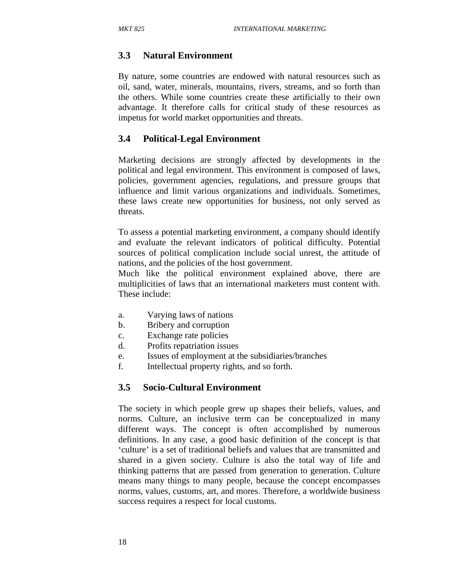# **3.3 Natural Environment**

By nature, some countries are endowed with natural resources such as oil, sand, water, minerals, mountains, rivers, streams, and so forth than the others. While some countries create these artificially to their own advantage. It therefore calls for critical study of these resources as impetus for world market opportunities and threats.

# **3.4 Political-Legal Environment**

Marketing decisions are strongly affected by developments in the political and legal environment. This environment is composed of laws, policies, government agencies, regulations, and pressure groups that influence and limit various organizations and individuals. Sometimes, these laws create new opportunities for business, not only served as threats.

To assess a potential marketing environment, a company should identify and evaluate the relevant indicators of political difficulty. Potential sources of political complication include social unrest, the attitude of nations, and the policies of the host government.

Much like the political environment explained above, there are multiplicities of laws that an international marketers must content with. These include:

- a. Varying laws of nations
- b. Bribery and corruption
- c. Exchange rate policies
- d. Profits repatriation issues
- e. Issues of employment at the subsidiaries/branches
- f. Intellectual property rights, and so forth.

# **3.5 Socio-Cultural Environment**

The society in which people grew up shapes their beliefs, values, and norms. Culture, an inclusive term can be conceptualized in many different ways. The concept is often accomplished by numerous definitions. In any case, a good basic definition of the concept is that 'culture' is a set of traditional beliefs and values that are transmitted and shared in a given society. Culture is also the total way of life and thinking patterns that are passed from generation to generation. Culture means many things to many people, because the concept encompasses norms, values, customs, art, and mores. Therefore, a worldwide business success requires a respect for local customs.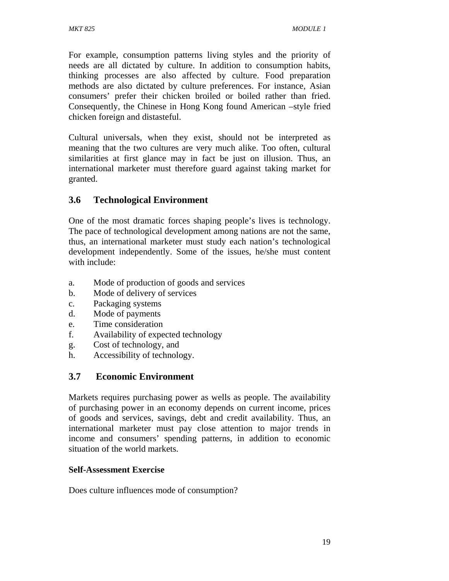For example, consumption patterns living styles and the priority of needs are all dictated by culture. In addition to consumption habits, thinking processes are also affected by culture. Food preparation methods are also dictated by culture preferences. For instance, Asian consumers' prefer their chicken broiled or boiled rather than fried. Consequently, the Chinese in Hong Kong found American –style fried chicken foreign and distasteful.

Cultural universals, when they exist, should not be interpreted as meaning that the two cultures are very much alike. Too often, cultural similarities at first glance may in fact be just on illusion. Thus, an international marketer must therefore guard against taking market for granted.

# **3.6 Technological Environment**

One of the most dramatic forces shaping people's lives is technology. The pace of technological development among nations are not the same, thus, an international marketer must study each nation's technological development independently. Some of the issues, he/she must content with include:

- a. Mode of production of goods and services
- b. Mode of delivery of services
- c. Packaging systems
- d. Mode of payments
- e. Time consideration
- f. Availability of expected technology
- g. Cost of technology, and
- h. Accessibility of technology.

# **3.7 Economic Environment**

Markets requires purchasing power as wells as people. The availability of purchasing power in an economy depends on current income, prices of goods and services, savings, debt and credit availability. Thus, an international marketer must pay close attention to major trends in income and consumers' spending patterns, in addition to economic situation of the world markets.

# **Self-Assessment Exercise**

Does culture influences mode of consumption?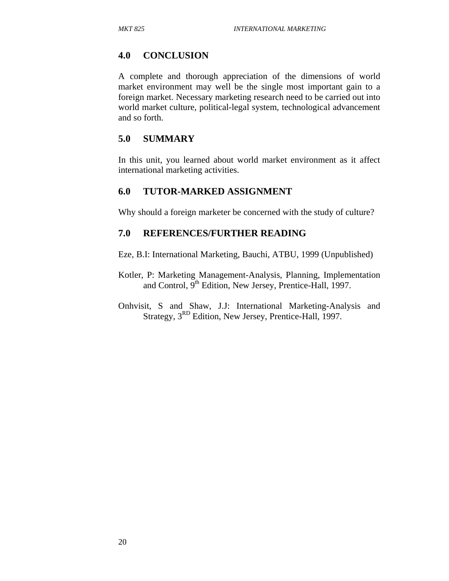#### **4.0 CONCLUSION**

A complete and thorough appreciation of the dimensions of world market environment may well be the single most important gain to a foreign market. Necessary marketing research need to be carried out into world market culture, political-legal system, technological advancement and so forth.

#### **5.0 SUMMARY**

In this unit, you learned about world market environment as it affect international marketing activities.

#### **6.0 TUTOR-MARKED ASSIGNMENT**

Why should a foreign marketer be concerned with the study of culture?

#### **7.0 REFERENCES/FURTHER READING**

Eze, B.I: International Marketing, Bauchi, ATBU, 1999 (Unpublished)

- Kotler, P: Marketing Management-Analysis, Planning, Implementation and Control, 9<sup>th</sup> Edition, New Jersey, Prentice-Hall, 1997.
- Onhvisit, S and Shaw, J.J: International Marketing-Analysis and Strategy,  $3<sup>RD</sup>$  Edition, New Jersey, Prentice-Hall, 1997.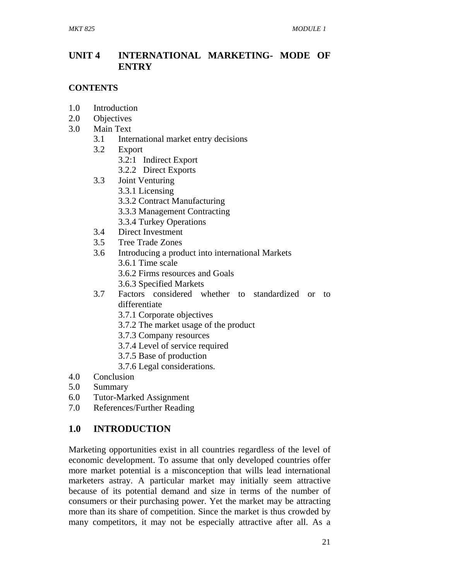# **UNIT 4 INTERNATIONAL MARKETING- MODE OF ENTRY**

## **CONTENTS**

- 1.0 Introduction
- 2.0 Objectives
- 3.0 Main Text
	- 3.1 International market entry decisions
	- 3.2 Export
		- 3.2:1 Indirect Export
		- 3.2.2 Direct Exports
	- 3.3 Joint Venturing
		- 3.3.1 Licensing
			- 3.3.2 Contract Manufacturing
			- 3.3.3 Management Contracting
		- 3.3.4 Turkey Operations
	- 3.4 Direct Investment
	- 3.5 Tree Trade Zones
	- 3.6 Introducing a product into international Markets 3.6.1 Time scale
		- 3.6.2 Firms resources and Goals
		- 3.6.3 Specified Markets
	- 3.7 Factors considered whether to standardized or to differentiate
		- 3.7.1 Corporate objectives
		- 3.7.2 The market usage of the product
		- 3.7.3 Company resources
		- 3.7.4 Level of service required
		- 3.7.5 Base of production
		- 3.7.6 Legal considerations.
- 4.0 Conclusion
- 5.0 Summary
- 6.0 Tutor-Marked Assignment
- 7.0 References/Further Reading

# **1.0 INTRODUCTION**

Marketing opportunities exist in all countries regardless of the level of economic development. To assume that only developed countries offer more market potential is a misconception that wills lead international marketers astray. A particular market may initially seem attractive because of its potential demand and size in terms of the number of consumers or their purchasing power. Yet the market may be attracting more than its share of competition. Since the market is thus crowded by many competitors, it may not be especially attractive after all. As a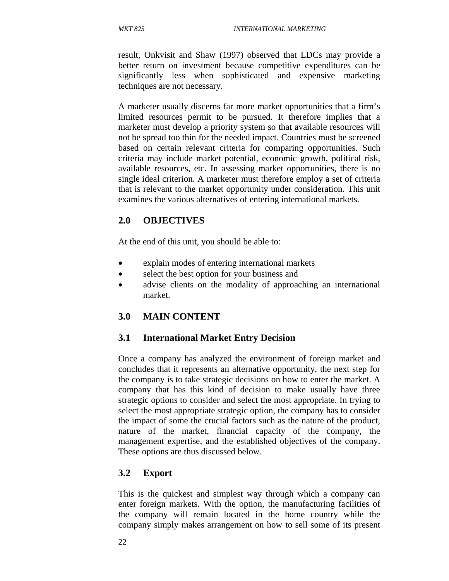result, Onkvisit and Shaw (1997) observed that LDCs may provide a better return on investment because competitive expenditures can be significantly less when sophisticated and expensive marketing techniques are not necessary.

A marketer usually discerns far more market opportunities that a firm's limited resources permit to be pursued. It therefore implies that a marketer must develop a priority system so that available resources will not be spread too thin for the needed impact. Countries must be screened based on certain relevant criteria for comparing opportunities. Such criteria may include market potential, economic growth, political risk, available resources, etc. In assessing market opportunities, there is no single ideal criterion. A marketer must therefore employ a set of criteria that is relevant to the market opportunity under consideration. This unit examines the various alternatives of entering international markets.

# **2.0 OBJECTIVES**

At the end of this unit, you should be able to:

- explain modes of entering international markets
- select the best option for your business and
- advise clients on the modality of approaching an international market.

# **3.0 MAIN CONTENT**

#### **3.1 International Market Entry Decision**

Once a company has analyzed the environment of foreign market and concludes that it represents an alternative opportunity, the next step for the company is to take strategic decisions on how to enter the market. A company that has this kind of decision to make usually have three strategic options to consider and select the most appropriate. In trying to select the most appropriate strategic option, the company has to consider the impact of some the crucial factors such as the nature of the product, nature of the market, financial capacity of the company, the management expertise, and the established objectives of the company. These options are thus discussed below.

# **3.2 Export**

This is the quickest and simplest way through which a company can enter foreign markets. With the option, the manufacturing facilities of the company will remain located in the home country while the company simply makes arrangement on how to sell some of its present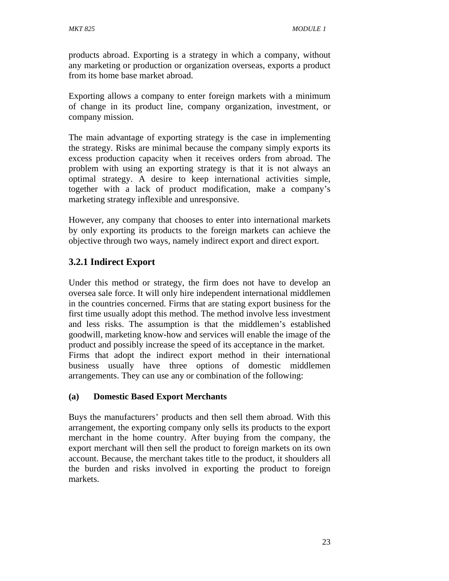products abroad. Exporting is a strategy in which a company, without any marketing or production or organization overseas, exports a product from its home base market abroad.

Exporting allows a company to enter foreign markets with a minimum of change in its product line, company organization, investment, or company mission.

The main advantage of exporting strategy is the case in implementing the strategy. Risks are minimal because the company simply exports its excess production capacity when it receives orders from abroad. The problem with using an exporting strategy is that it is not always an optimal strategy. A desire to keep international activities simple, together with a lack of product modification, make a company's marketing strategy inflexible and unresponsive.

However, any company that chooses to enter into international markets by only exporting its products to the foreign markets can achieve the objective through two ways, namely indirect export and direct export.

# **3.2.1 Indirect Export**

Under this method or strategy, the firm does not have to develop an oversea sale force. It will only hire independent international middlemen in the countries concerned. Firms that are stating export business for the first time usually adopt this method. The method involve less investment and less risks. The assumption is that the middlemen's established goodwill, marketing know-how and services will enable the image of the product and possibly increase the speed of its acceptance in the market. Firms that adopt the indirect export method in their international business usually have three options of domestic middlemen arrangements. They can use any or combination of the following:

# **(a) Domestic Based Export Merchants**

Buys the manufacturers' products and then sell them abroad. With this arrangement, the exporting company only sells its products to the export merchant in the home country. After buying from the company, the export merchant will then sell the product to foreign markets on its own account. Because, the merchant takes title to the product, it shoulders all the burden and risks involved in exporting the product to foreign markets.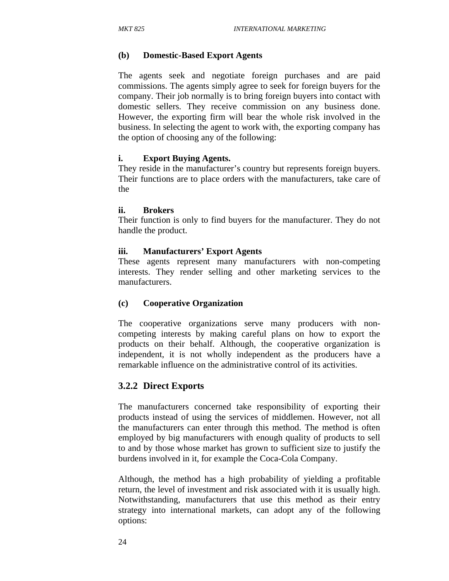#### **(b) Domestic-Based Export Agents**

The agents seek and negotiate foreign purchases and are paid commissions. The agents simply agree to seek for foreign buyers for the company. Their job normally is to bring foreign buyers into contact with domestic sellers. They receive commission on any business done. However, the exporting firm will bear the whole risk involved in the business. In selecting the agent to work with, the exporting company has the option of choosing any of the following:

#### **i. Export Buying Agents.**

They reside in the manufacturer's country but represents foreign buyers. Their functions are to place orders with the manufacturers, take care of the

#### **ii. Brokers**

Their function is only to find buyers for the manufacturer. They do not handle the product.

#### **iii. Manufacturers' Export Agents**

These agents represent many manufacturers with non-competing interests. They render selling and other marketing services to the manufacturers.

#### **(c) Cooperative Organization**

The cooperative organizations serve many producers with noncompeting interests by making careful plans on how to export the products on their behalf. Although, the cooperative organization is independent, it is not wholly independent as the producers have a remarkable influence on the administrative control of its activities.

#### **3.2.2 Direct Exports**

The manufacturers concerned take responsibility of exporting their products instead of using the services of middlemen. However, not all the manufacturers can enter through this method. The method is often employed by big manufacturers with enough quality of products to sell to and by those whose market has grown to sufficient size to justify the burdens involved in it, for example the Coca-Cola Company.

Although, the method has a high probability of yielding a profitable return, the level of investment and risk associated with it is usually high. Notwithstanding, manufacturers that use this method as their entry strategy into international markets, can adopt any of the following options: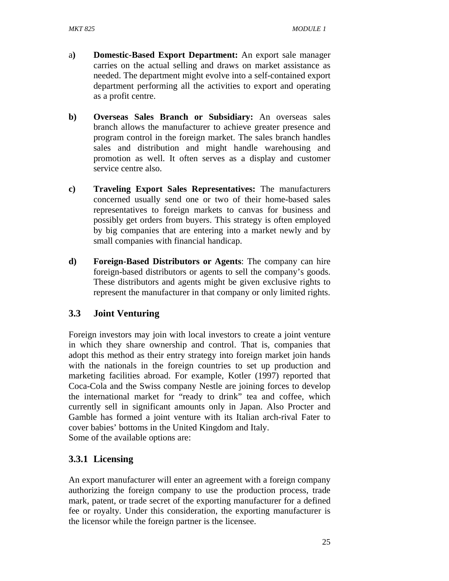- a**) Domestic-Based Export Department:** An export sale manager carries on the actual selling and draws on market assistance as needed. The department might evolve into a self-contained export department performing all the activities to export and operating as a profit centre.
- **b) Overseas Sales Branch or Subsidiary:** An overseas sales branch allows the manufacturer to achieve greater presence and program control in the foreign market. The sales branch handles sales and distribution and might handle warehousing and promotion as well. It often serves as a display and customer service centre also.
- **c) Traveling Export Sales Representatives:** The manufacturers concerned usually send one or two of their home-based sales representatives to foreign markets to canvas for business and possibly get orders from buyers. This strategy is often employed by big companies that are entering into a market newly and by small companies with financial handicap.
- **d) Foreign-Based Distributors or Agents**: The company can hire foreign-based distributors or agents to sell the company's goods. These distributors and agents might be given exclusive rights to represent the manufacturer in that company or only limited rights.

# **3.3 Joint Venturing**

Foreign investors may join with local investors to create a joint venture in which they share ownership and control. That is, companies that adopt this method as their entry strategy into foreign market join hands with the nationals in the foreign countries to set up production and marketing facilities abroad. For example, Kotler (1997) reported that Coca-Cola and the Swiss company Nestle are joining forces to develop the international market for "ready to drink" tea and coffee, which currently sell in significant amounts only in Japan. Also Procter and Gamble has formed a joint venture with its Italian arch-rival Fater to cover babies' bottoms in the United Kingdom and Italy. Some of the available options are:

# **3.3.1 Licensing**

An export manufacturer will enter an agreement with a foreign company authorizing the foreign company to use the production process, trade mark, patent, or trade secret of the exporting manufacturer for a defined fee or royalty. Under this consideration, the exporting manufacturer is the licensor while the foreign partner is the licensee.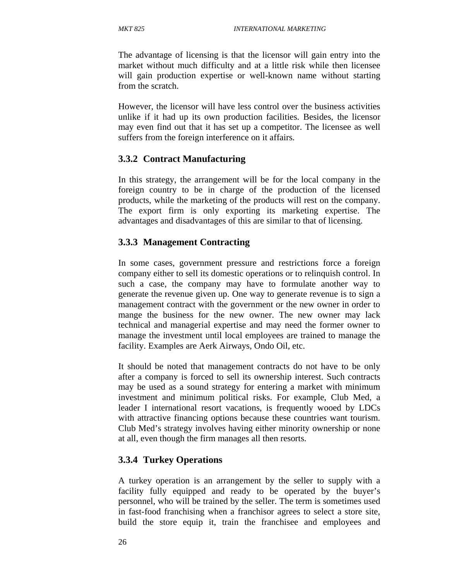The advantage of licensing is that the licensor will gain entry into the market without much difficulty and at a little risk while then licensee will gain production expertise or well-known name without starting from the scratch.

However, the licensor will have less control over the business activities unlike if it had up its own production facilities. Besides, the licensor may even find out that it has set up a competitor. The licensee as well suffers from the foreign interference on it affairs.

## **3.3.2 Contract Manufacturing**

In this strategy, the arrangement will be for the local company in the foreign country to be in charge of the production of the licensed products, while the marketing of the products will rest on the company. The export firm is only exporting its marketing expertise. The advantages and disadvantages of this are similar to that of licensing.

## **3.3.3 Management Contracting**

In some cases, government pressure and restrictions force a foreign company either to sell its domestic operations or to relinquish control. In such a case, the company may have to formulate another way to generate the revenue given up. One way to generate revenue is to sign a management contract with the government or the new owner in order to mange the business for the new owner. The new owner may lack technical and managerial expertise and may need the former owner to manage the investment until local employees are trained to manage the facility. Examples are Aerk Airways, Ondo Oil, etc.

It should be noted that management contracts do not have to be only after a company is forced to sell its ownership interest. Such contracts may be used as a sound strategy for entering a market with minimum investment and minimum political risks. For example, Club Med, a leader I international resort vacations, is frequently wooed by LDCs with attractive financing options because these countries want tourism. Club Med's strategy involves having either minority ownership or none at all, even though the firm manages all then resorts.

# **3.3.4 Turkey Operations**

A turkey operation is an arrangement by the seller to supply with a facility fully equipped and ready to be operated by the buyer's personnel, who will be trained by the seller. The term is sometimes used in fast-food franchising when a franchisor agrees to select a store site, build the store equip it, train the franchisee and employees and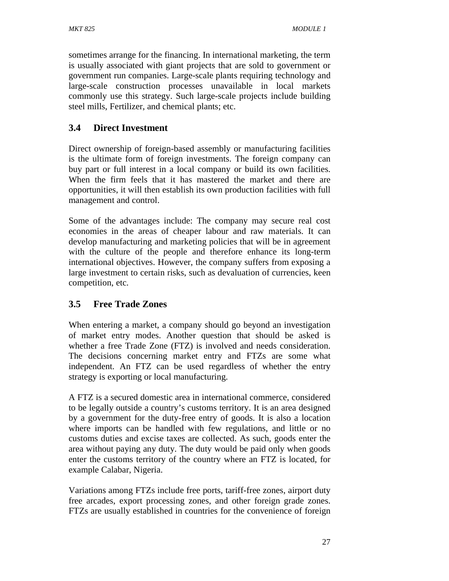sometimes arrange for the financing. In international marketing, the term is usually associated with giant projects that are sold to government or government run companies. Large-scale plants requiring technology and large-scale construction processes unavailable in local markets commonly use this strategy. Such large-scale projects include building steel mills, Fertilizer, and chemical plants; etc.

# **3.4 Direct Investment**

Direct ownership of foreign-based assembly or manufacturing facilities is the ultimate form of foreign investments. The foreign company can buy part or full interest in a local company or build its own facilities. When the firm feels that it has mastered the market and there are opportunities, it will then establish its own production facilities with full management and control.

Some of the advantages include: The company may secure real cost economies in the areas of cheaper labour and raw materials. It can develop manufacturing and marketing policies that will be in agreement with the culture of the people and therefore enhance its long-term international objectives. However, the company suffers from exposing a large investment to certain risks, such as devaluation of currencies, keen competition, etc.

# **3.5 Free Trade Zones**

When entering a market, a company should go beyond an investigation of market entry modes. Another question that should be asked is whether a free Trade Zone (FTZ) is involved and needs consideration. The decisions concerning market entry and FTZs are some what independent. An FTZ can be used regardless of whether the entry strategy is exporting or local manufacturing.

A FTZ is a secured domestic area in international commerce, considered to be legally outside a country's customs territory. It is an area designed by a government for the duty-free entry of goods. It is also a location where imports can be handled with few regulations, and little or no customs duties and excise taxes are collected. As such, goods enter the area without paying any duty. The duty would be paid only when goods enter the customs territory of the country where an FTZ is located, for example Calabar, Nigeria.

Variations among FTZs include free ports, tariff-free zones, airport duty free arcades, export processing zones, and other foreign grade zones. FTZs are usually established in countries for the convenience of foreign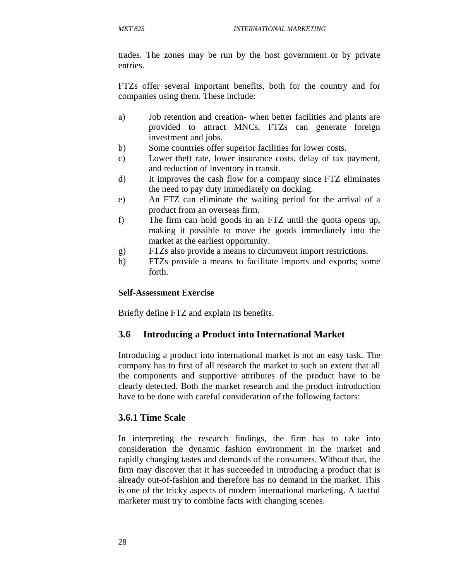trades. The zones may be run by the host government or by private entries.

FTZs offer several important benefits, both for the country and for companies using them. These include:

- a) Job retention and creation- when better facilities and plants are provided to attract MNCs, FTZs can generate foreign investment and jobs.
- b) Some countries offer superior facilities for lower costs.
- c) Lower theft rate, lower insurance costs, delay of tax payment, and reduction of inventory in transit.
- d) It improves the cash flow for a company since FTZ eliminates the need to pay duty immediately on docking.
- e) An FTZ can eliminate the waiting period for the arrival of a product from an overseas firm.
- f) The firm can hold goods in an FTZ until the quota opens up, making it possible to move the goods immediately into the market at the earliest opportunity.
- g) FTZs also provide a means to circumvent import restrictions.
- h) FTZs provide a means to facilitate imports and exports; some forth.

#### **Self-Assessment Exercise**

Briefly define FTZ and explain its benefits.

# **3.6 Introducing a Product into International Market**

Introducing a product into international market is not an easy task. The company has to first of all research the market to such an extent that all the components and supportive attributes of the product have to be clearly detected. Both the market research and the product introduction have to be done with careful consideration of the following factors:

#### **3.6.1 Time Scale**

In interpreting the research findings, the firm has to take into consideration the dynamic fashion environment in the market and rapidly changing tastes and demands of the consumers. Without that, the firm may discover that it has succeeded in introducing a product that is already out-of-fashion and therefore has no demand in the market. This is one of the tricky aspects of modern international marketing. A tactful marketer must try to combine facts with changing scenes.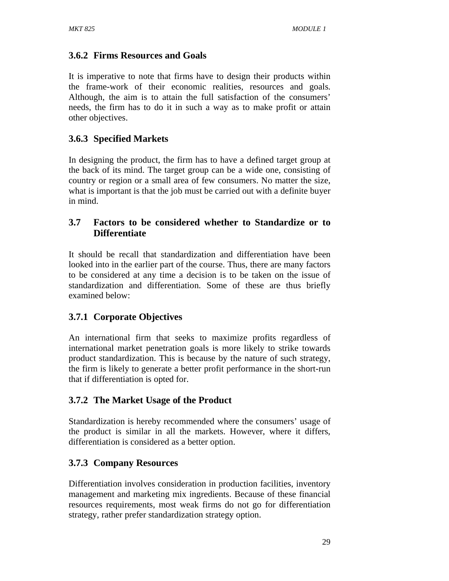# **3.6.2 Firms Resources and Goals**

It is imperative to note that firms have to design their products within the frame-work of their economic realities, resources and goals. Although, the aim is to attain the full satisfaction of the consumers' needs, the firm has to do it in such a way as to make profit or attain other objectives.

# **3.6.3 Specified Markets**

In designing the product, the firm has to have a defined target group at the back of its mind. The target group can be a wide one, consisting of country or region or a small area of few consumers. No matter the size, what is important is that the job must be carried out with a definite buyer in mind.

# **3.7 Factors to be considered whether to Standardize or to Differentiate**

It should be recall that standardization and differentiation have been looked into in the earlier part of the course. Thus, there are many factors to be considered at any time a decision is to be taken on the issue of standardization and differentiation. Some of these are thus briefly examined below:

# **3.7.1 Corporate Objectives**

An international firm that seeks to maximize profits regardless of international market penetration goals is more likely to strike towards product standardization. This is because by the nature of such strategy, the firm is likely to generate a better profit performance in the short-run that if differentiation is opted for.

# **3.7.2 The Market Usage of the Product**

Standardization is hereby recommended where the consumers' usage of the product is similar in all the markets. However, where it differs, differentiation is considered as a better option.

# **3.7.3 Company Resources**

Differentiation involves consideration in production facilities, inventory management and marketing mix ingredients. Because of these financial resources requirements, most weak firms do not go for differentiation strategy, rather prefer standardization strategy option.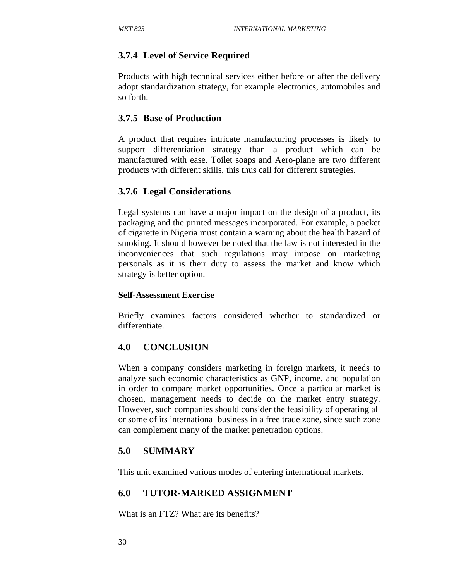### **3.7.4 Level of Service Required**

Products with high technical services either before or after the delivery adopt standardization strategy, for example electronics, automobiles and so forth.

#### **3.7.5 Base of Production**

A product that requires intricate manufacturing processes is likely to support differentiation strategy than a product which can be manufactured with ease. Toilet soaps and Aero-plane are two different products with different skills, this thus call for different strategies.

#### **3.7.6 Legal Considerations**

Legal systems can have a major impact on the design of a product, its packaging and the printed messages incorporated. For example, a packet of cigarette in Nigeria must contain a warning about the health hazard of smoking. It should however be noted that the law is not interested in the inconveniences that such regulations may impose on marketing personals as it is their duty to assess the market and know which strategy is better option.

#### **Self-Assessment Exercise**

Briefly examines factors considered whether to standardized or differentiate.

#### **4.0 CONCLUSION**

When a company considers marketing in foreign markets, it needs to analyze such economic characteristics as GNP, income, and population in order to compare market opportunities. Once a particular market is chosen, management needs to decide on the market entry strategy. However, such companies should consider the feasibility of operating all or some of its international business in a free trade zone, since such zone can complement many of the market penetration options.

#### **5.0 SUMMARY**

This unit examined various modes of entering international markets.

#### **6.0 TUTOR-MARKED ASSIGNMENT**

What is an FTZ? What are its benefits?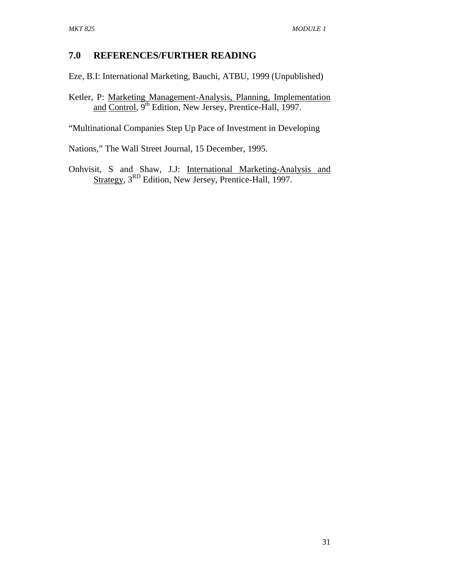## **7.0 REFERENCES/FURTHER READING**

Eze, B.I: International Marketing, Bauchi, ATBU, 1999 (Unpublished)

Ketler, P: Marketing Management-Analysis, Planning, Implementation and Control, 9<sup>th</sup> Edition, New Jersey, Prentice-Hall, 1997.

"Multinational Companies Step Up Pace of Investment in Developing

Nations," The Wall Street Journal, 15 December, 1995.

Onhvisit, S and Shaw, J.J: International Marketing-Analysis and Strategy, 3<sup>RD</sup> Edition, New Jersey, Prentice-Hall, 1997.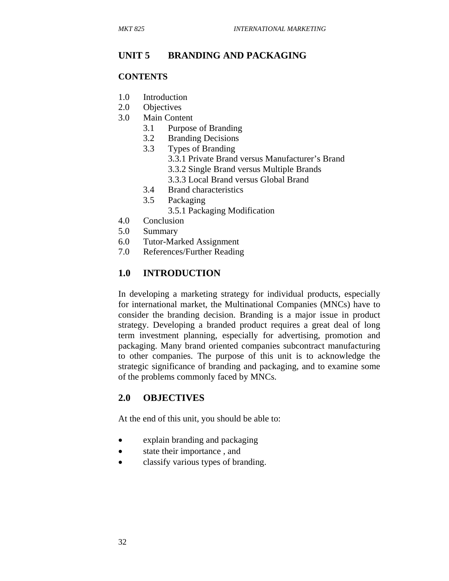### **UNIT 5 BRANDING AND PACKAGING**

#### **CONTENTS**

- 1.0 Introduction
- 2.0 Objectives
- 3.0 Main Content
	- 3.1 Purpose of Branding
	- 3.2 Branding Decisions
	- 3.3 Types of Branding
		- 3.3.1 Private Brand versus Manufacturer's Brand
		- 3.3.2 Single Brand versus Multiple Brands
		- 3.3.3 Local Brand versus Global Brand
	- 3.4 Brand characteristics
	- 3.5 Packaging
		- 3.5.1 Packaging Modification
- 4.0 Conclusion
- 5.0 Summary
- 6.0 Tutor-Marked Assignment
- 7.0 References/Further Reading

### **1.0 INTRODUCTION**

In developing a marketing strategy for individual products, especially for international market, the Multinational Companies (MNCs) have to consider the branding decision. Branding is a major issue in product strategy. Developing a branded product requires a great deal of long term investment planning, especially for advertising, promotion and packaging. Many brand oriented companies subcontract manufacturing to other companies. The purpose of this unit is to acknowledge the strategic significance of branding and packaging, and to examine some of the problems commonly faced by MNCs.

#### **2.0 OBJECTIVES**

At the end of this unit, you should be able to:

- explain branding and packaging
- state their importance, and
- classify various types of branding.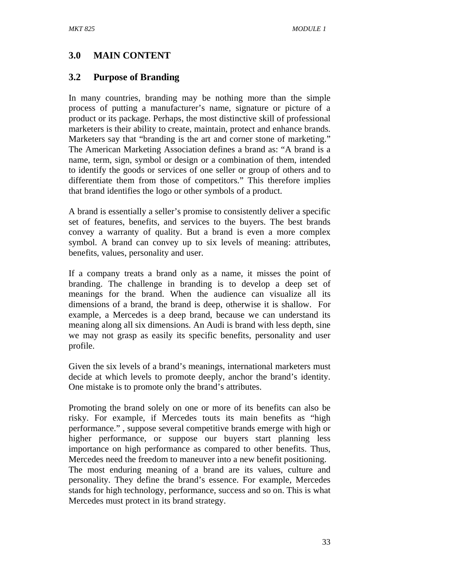# **3.0 MAIN CONTENT**

### **3.2 Purpose of Branding**

In many countries, branding may be nothing more than the simple process of putting a manufacturer's name, signature or picture of a product or its package. Perhaps, the most distinctive skill of professional marketers is their ability to create, maintain, protect and enhance brands. Marketers say that "branding is the art and corner stone of marketing." The American Marketing Association defines a brand as: "A brand is a name, term, sign, symbol or design or a combination of them, intended to identify the goods or services of one seller or group of others and to differentiate them from those of competitors." This therefore implies that brand identifies the logo or other symbols of a product.

A brand is essentially a seller's promise to consistently deliver a specific set of features, benefits, and services to the buyers. The best brands convey a warranty of quality. But a brand is even a more complex symbol. A brand can convey up to six levels of meaning: attributes, benefits, values, personality and user.

If a company treats a brand only as a name, it misses the point of branding. The challenge in branding is to develop a deep set of meanings for the brand. When the audience can visualize all its dimensions of a brand, the brand is deep, otherwise it is shallow. For example, a Mercedes is a deep brand, because we can understand its meaning along all six dimensions. An Audi is brand with less depth, sine we may not grasp as easily its specific benefits, personality and user profile.

Given the six levels of a brand's meanings, international marketers must decide at which levels to promote deeply, anchor the brand's identity. One mistake is to promote only the brand's attributes.

Promoting the brand solely on one or more of its benefits can also be risky. For example, if Mercedes touts its main benefits as "high performance." , suppose several competitive brands emerge with high or higher performance, or suppose our buyers start planning less importance on high performance as compared to other benefits. Thus, Mercedes need the freedom to maneuver into a new benefit positioning. The most enduring meaning of a brand are its values, culture and personality. They define the brand's essence. For example, Mercedes stands for high technology, performance, success and so on. This is what Mercedes must protect in its brand strategy.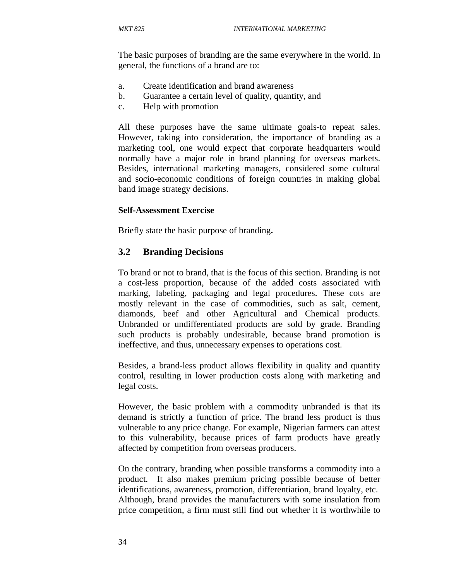The basic purposes of branding are the same everywhere in the world. In general, the functions of a brand are to:

- a. Create identification and brand awareness
- b. Guarantee a certain level of quality, quantity, and
- c. Help with promotion

All these purposes have the same ultimate goals-to repeat sales. However, taking into consideration, the importance of branding as a marketing tool, one would expect that corporate headquarters would normally have a major role in brand planning for overseas markets. Besides, international marketing managers, considered some cultural and socio-economic conditions of foreign countries in making global band image strategy decisions.

#### **Self-Assessment Exercise**

Briefly state the basic purpose of branding**.** 

### **3.2 Branding Decisions**

To brand or not to brand, that is the focus of this section. Branding is not a cost-less proportion, because of the added costs associated with marking, labeling, packaging and legal procedures. These cots are mostly relevant in the case of commodities, such as salt, cement, diamonds, beef and other Agricultural and Chemical products. Unbranded or undifferentiated products are sold by grade. Branding such products is probably undesirable, because brand promotion is ineffective, and thus, unnecessary expenses to operations cost.

Besides, a brand-less product allows flexibility in quality and quantity control, resulting in lower production costs along with marketing and legal costs.

However, the basic problem with a commodity unbranded is that its demand is strictly a function of price. The brand less product is thus vulnerable to any price change. For example, Nigerian farmers can attest to this vulnerability, because prices of farm products have greatly affected by competition from overseas producers.

On the contrary, branding when possible transforms a commodity into a product. It also makes premium pricing possible because of better identifications, awareness, promotion, differentiation, brand loyalty, etc. Although, brand provides the manufacturers with some insulation from price competition, a firm must still find out whether it is worthwhile to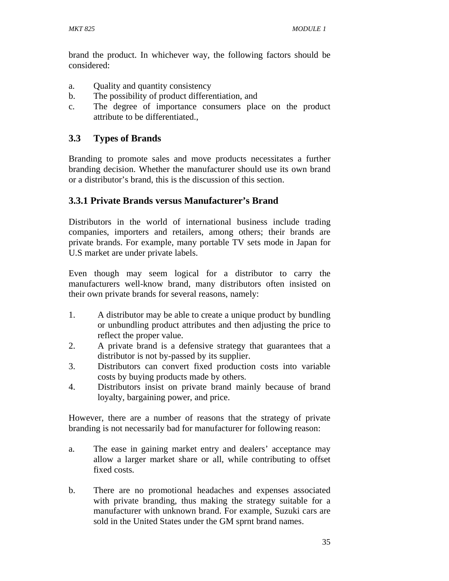brand the product. In whichever way, the following factors should be considered:

- a. Quality and quantity consistency
- b. The possibility of product differentiation, and
- c. The degree of importance consumers place on the product attribute to be differentiated.,

## **3.3 Types of Brands**

Branding to promote sales and move products necessitates a further branding decision. Whether the manufacturer should use its own brand or a distributor's brand, this is the discussion of this section.

## **3.3.1 Private Brands versus Manufacturer's Brand**

Distributors in the world of international business include trading companies, importers and retailers, among others; their brands are private brands. For example, many portable TV sets mode in Japan for U.S market are under private labels.

Even though may seem logical for a distributor to carry the manufacturers well-know brand, many distributors often insisted on their own private brands for several reasons, namely:

- 1. A distributor may be able to create a unique product by bundling or unbundling product attributes and then adjusting the price to reflect the proper value.
- 2. A private brand is a defensive strategy that guarantees that a distributor is not by-passed by its supplier.
- 3. Distributors can convert fixed production costs into variable costs by buying products made by others.
- 4. Distributors insist on private brand mainly because of brand loyalty, bargaining power, and price.

However, there are a number of reasons that the strategy of private branding is not necessarily bad for manufacturer for following reason:

- a. The ease in gaining market entry and dealers' acceptance may allow a larger market share or all, while contributing to offset fixed costs.
- b. There are no promotional headaches and expenses associated with private branding, thus making the strategy suitable for a manufacturer with unknown brand. For example, Suzuki cars are sold in the United States under the GM sprnt brand names.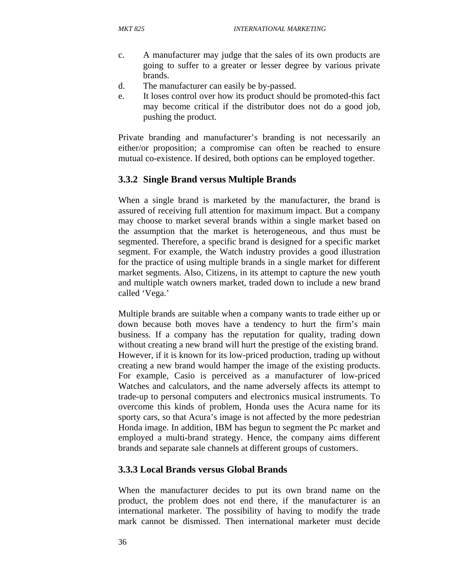- c. A manufacturer may judge that the sales of its own products are going to suffer to a greater or lesser degree by various private brands.
- d. The manufacturer can easily be by-passed.
- e. It loses control over how its product should be promoted-this fact may become critical if the distributor does not do a good job, pushing the product.

Private branding and manufacturer's branding is not necessarily an either/or proposition; a compromise can often be reached to ensure mutual co-existence. If desired, both options can be employed together.

### **3.3.2 Single Brand versus Multiple Brands**

When a single brand is marketed by the manufacturer, the brand is assured of receiving full attention for maximum impact. But a company may choose to market several brands within a single market based on the assumption that the market is heterogeneous, and thus must be segmented. Therefore, a specific brand is designed for a specific market segment. For example, the Watch industry provides a good illustration for the practice of using multiple brands in a single market for different market segments. Also, Citizens, in its attempt to capture the new youth and multiple watch owners market, traded down to include a new brand called 'Vega.'

Multiple brands are suitable when a company wants to trade either up or down because both moves have a tendency to hurt the firm's main business. If a company has the reputation for quality, trading down without creating a new brand will hurt the prestige of the existing brand. However, if it is known for its low-priced production, trading up without creating a new brand would hamper the image of the existing products. For example, Casio is perceived as a manufacturer of low-priced Watches and calculators, and the name adversely affects its attempt to trade-up to personal computers and electronics musical instruments. To overcome this kinds of problem, Honda uses the Acura name for its sporty cars, so that Acura's image is not affected by the more pedestrian Honda image. In addition, IBM has begun to segment the Pc market and employed a multi-brand strategy. Hence, the company aims different brands and separate sale channels at different groups of customers.

### **3.3.3 Local Brands versus Global Brands**

When the manufacturer decides to put its own brand name on the product, the problem does not end there, if the manufacturer is an international marketer. The possibility of having to modify the trade mark cannot be dismissed. Then international marketer must decide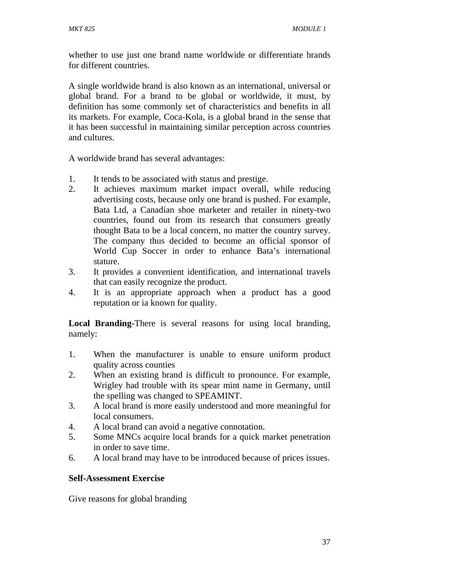whether to use just one brand name worldwide or differentiate brands for different countries.

A single worldwide brand is also known as an international, universal or global brand. For a brand to be global or worldwide, it must, by definition has some commonly set of characteristics and benefits in all its markets. For example, Coca-Kola, is a global brand in the sense that it has been successful in maintaining similar perception across countries and cultures.

A worldwide brand has several advantages:

- 1. It tends to be associated with status and prestige.
- 2. It achieves maximum market impact overall, while reducing advertising costs, because only one brand is pushed. For example, Bata Ltd, a Canadian shoe marketer and retailer in ninety-two countries, found out from its research that consumers greatly thought Bata to be a local concern, no matter the country survey. The company thus decided to become an official sponsor of World Cup Soccer in order to enhance Bata's international stature.
- 3. It provides a convenient identification, and international travels that can easily recognize the product.
- 4. It is an appropriate approach when a product has a good reputation or ia known for quality.

**Local Branding-**There is several reasons for using local branding, namely:

- 1. When the manufacturer is unable to ensure uniform product quality across counties
- 2. When an existing brand is difficult to pronounce. For example, Wrigley had trouble with its spear mint name in Germany, until the spelling was changed to SPEAMINT.
- 3. A local brand is more easily understood and more meaningful for local consumers.
- 4. A local brand can avoid a negative connotation.
- 5. Some MNCs acquire local brands for a quick market penetration in order to save time.
- 6. A local brand may have to be introduced because of prices issues.

### **Self-Assessment Exercise**

Give reasons for global branding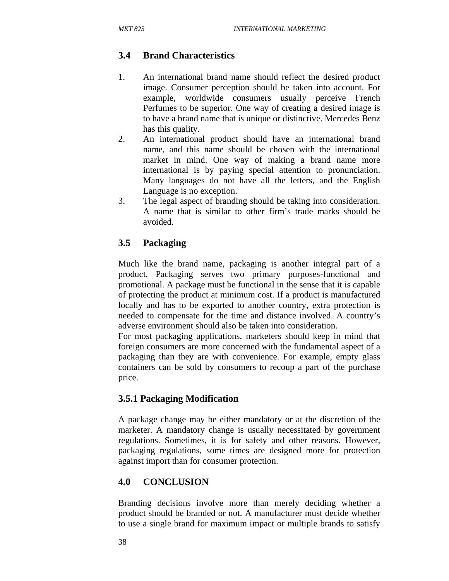# **3.4 Brand Characteristics**

- 1. An international brand name should reflect the desired product image. Consumer perception should be taken into account. For example, worldwide consumers usually perceive French Perfumes to be superior. One way of creating a desired image is to have a brand name that is unique or distinctive. Mercedes Benz has this quality.
- 2. An international product should have an international brand name, and this name should be chosen with the international market in mind. One way of making a brand name more international is by paying special attention to pronunciation. Many languages do not have all the letters, and the English Language is no exception.
- 3. The legal aspect of branding should be taking into consideration. A name that is similar to other firm's trade marks should be avoided.

## **3.5 Packaging**

Much like the brand name, packaging is another integral part of a product. Packaging serves two primary purposes-functional and promotional. A package must be functional in the sense that it is capable of protecting the product at minimum cost. If a product is manufactured locally and has to be exported to another country, extra protection is needed to compensate for the time and distance involved. A country's adverse environment should also be taken into consideration.

For most packaging applications, marketers should keep in mind that foreign consumers are more concerned with the fundamental aspect of a packaging than they are with convenience. For example, empty glass containers can be sold by consumers to recoup a part of the purchase price.

## **3.5.1 Packaging Modification**

A package change may be either mandatory or at the discretion of the marketer. A mandatory change is usually necessitated by government regulations. Sometimes, it is for safety and other reasons. However, packaging regulations, some times are designed more for protection against import than for consumer protection.

## **4.0 CONCLUSION**

Branding decisions involve more than merely deciding whether a product should be branded or not. A manufacturer must decide whether to use a single brand for maximum impact or multiple brands to satisfy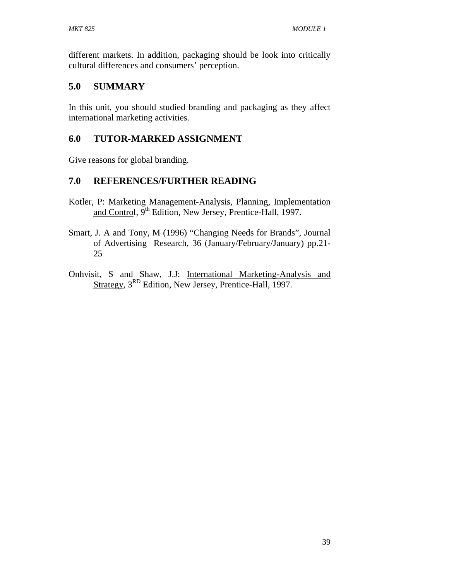different markets. In addition, packaging should be look into critically cultural differences and consumers' perception.

## **5.0 SUMMARY**

In this unit, you should studied branding and packaging as they affect international marketing activities.

## **6.0 TUTOR-MARKED ASSIGNMENT**

Give reasons for global branding.

## **7.0 REFERENCES/FURTHER READING**

- Kotler, P: Marketing Management-Analysis, Planning, Implementation and Control, 9<sup>th</sup> Edition, New Jersey, Prentice-Hall, 1997.
- Smart, J. A and Tony, M (1996) "Changing Needs for Brands", Journal of Advertising Research, 36 (January/February/January) pp.21- 25
- Onhvisit, S and Shaw, J.J: International Marketing-Analysis and Strategy, 3<sup>RD</sup> Edition, New Jersey, Prentice-Hall, 1997.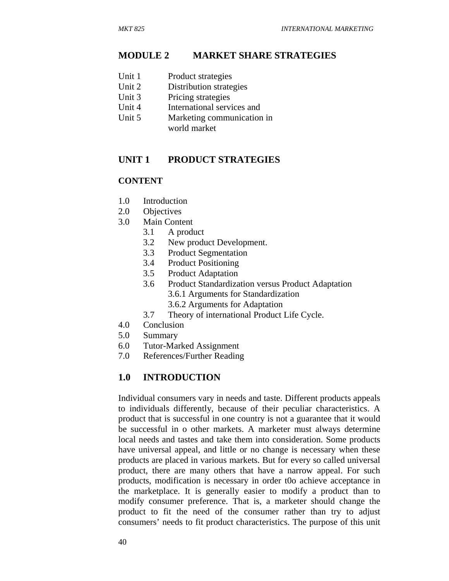#### **MODULE 2 MARKET SHARE STRATEGIES**

- Unit 1 Product strategies
- Unit 2 Distribution strategies
- Unit 3 Pricing strategies
- Unit 4 International services and
- Unit 5 Marketing communication in world market

#### **UNIT 1 PRODUCT STRATEGIES**

#### **CONTENT**

- 1.0 Introduction
- 2.0 Objectives
- 3.0 Main Content
	- 3.1 A product
	- 3.2 New product Development.
	- 3.3 Product Segmentation
	- 3.4 Product Positioning
	- 3.5 Product Adaptation
	- 3.6 Product Standardization versus Product Adaptation 3.6.1 Arguments for Standardization
		- 3.6.2 Arguments for Adaptation
	- 3.7 Theory of international Product Life Cycle.
- 4.0 Conclusion
- 5.0 Summary
- 6.0 Tutor-Marked Assignment
- 7.0 References/Further Reading

#### **1.0 INTRODUCTION**

Individual consumers vary in needs and taste. Different products appeals to individuals differently, because of their peculiar characteristics. A product that is successful in one country is not a guarantee that it would be successful in o other markets. A marketer must always determine local needs and tastes and take them into consideration. Some products have universal appeal, and little or no change is necessary when these products are placed in various markets. But for every so called universal product, there are many others that have a narrow appeal. For such products, modification is necessary in order t0o achieve acceptance in the marketplace. It is generally easier to modify a product than to modify consumer preference. That is, a marketer should change the product to fit the need of the consumer rather than try to adjust consumers' needs to fit product characteristics. The purpose of this unit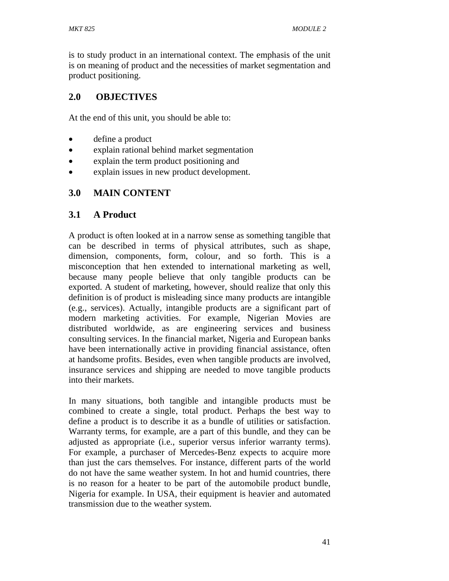is to study product in an international context. The emphasis of the unit is on meaning of product and the necessities of market segmentation and product positioning.

# **2.0 OBJECTIVES**

At the end of this unit, you should be able to:

- define a product
- explain rational behind market segmentation
- explain the term product positioning and
- explain issues in new product development.

## **3.0 MAIN CONTENT**

## **3.1 A Product**

A product is often looked at in a narrow sense as something tangible that can be described in terms of physical attributes, such as shape, dimension, components, form, colour, and so forth. This is a misconception that hen extended to international marketing as well, because many people believe that only tangible products can be exported. A student of marketing, however, should realize that only this definition is of product is misleading since many products are intangible (e.g., services). Actually, intangible products are a significant part of modern marketing activities. For example, Nigerian Movies are distributed worldwide, as are engineering services and business consulting services. In the financial market, Nigeria and European banks have been internationally active in providing financial assistance, often at handsome profits. Besides, even when tangible products are involved, insurance services and shipping are needed to move tangible products into their markets.

In many situations, both tangible and intangible products must be combined to create a single, total product. Perhaps the best way to define a product is to describe it as a bundle of utilities or satisfaction. Warranty terms, for example, are a part of this bundle, and they can be adjusted as appropriate (i.e., superior versus inferior warranty terms). For example, a purchaser of Mercedes-Benz expects to acquire more than just the cars themselves. For instance, different parts of the world do not have the same weather system. In hot and humid countries, there is no reason for a heater to be part of the automobile product bundle, Nigeria for example. In USA, their equipment is heavier and automated transmission due to the weather system.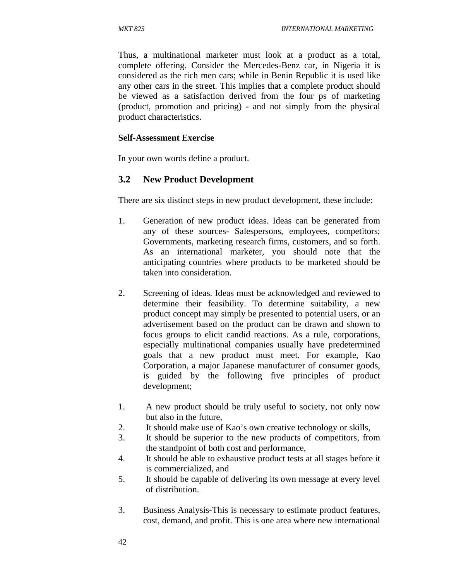Thus, a multinational marketer must look at a product as a total, complete offering. Consider the Mercedes-Benz car, in Nigeria it is considered as the rich men cars; while in Benin Republic it is used like any other cars in the street. This implies that a complete product should be viewed as a satisfaction derived from the four ps of marketing (product, promotion and pricing) - and not simply from the physical product characteristics.

#### **Self-Assessment Exercise**

In your own words define a product.

### **3.2 New Product Development**

There are six distinct steps in new product development, these include:

- 1. Generation of new product ideas. Ideas can be generated from any of these sources- Salespersons, employees, competitors; Governments, marketing research firms, customers, and so forth. As an international marketer, you should note that the anticipating countries where products to be marketed should be taken into consideration.
- 2. Screening of ideas. Ideas must be acknowledged and reviewed to determine their feasibility. To determine suitability, a new product concept may simply be presented to potential users, or an advertisement based on the product can be drawn and shown to focus groups to elicit candid reactions. As a rule, corporations, especially multinational companies usually have predetermined goals that a new product must meet. For example, Kao Corporation, a major Japanese manufacturer of consumer goods, is guided by the following five principles of product development;
- 1. A new product should be truly useful to society, not only now but also in the future,
- 2. It should make use of Kao's own creative technology or skills,
- 3. It should be superior to the new products of competitors, from the standpoint of both cost and performance,
- 4. It should be able to exhaustive product tests at all stages before it is commercialized, and
- 5. It should be capable of delivering its own message at every level of distribution.
- 3. Business Analysis-This is necessary to estimate product features, cost, demand, and profit. This is one area where new international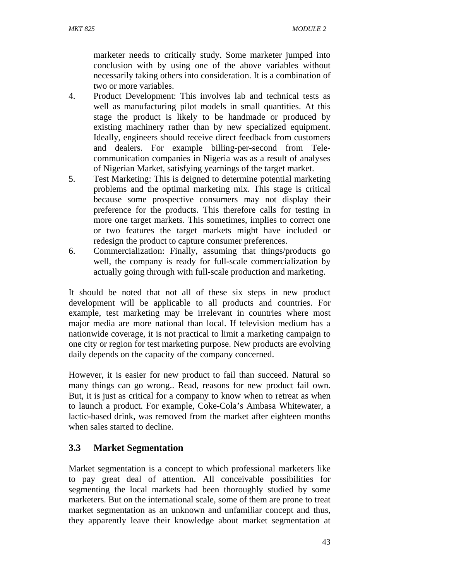marketer needs to critically study. Some marketer jumped into conclusion with by using one of the above variables without necessarily taking others into consideration. It is a combination of two or more variables.

- 4. Product Development: This involves lab and technical tests as well as manufacturing pilot models in small quantities. At this stage the product is likely to be handmade or produced by existing machinery rather than by new specialized equipment. Ideally, engineers should receive direct feedback from customers and dealers. For example billing-per-second from Telecommunication companies in Nigeria was as a result of analyses of Nigerian Market, satisfying yearnings of the target market.
- 5. Test Marketing: This is deigned to determine potential marketing problems and the optimal marketing mix. This stage is critical because some prospective consumers may not display their preference for the products. This therefore calls for testing in more one target markets. This sometimes, implies to correct one or two features the target markets might have included or redesign the product to capture consumer preferences.
- 6. Commercialization: Finally, assuming that things/products go well, the company is ready for full-scale commercialization by actually going through with full-scale production and marketing.

It should be noted that not all of these six steps in new product development will be applicable to all products and countries. For example, test marketing may be irrelevant in countries where most major media are more national than local. If television medium has a nationwide coverage, it is not practical to limit a marketing campaign to one city or region for test marketing purpose. New products are evolving daily depends on the capacity of the company concerned.

However, it is easier for new product to fail than succeed. Natural so many things can go wrong.. Read, reasons for new product fail own. But, it is just as critical for a company to know when to retreat as when to launch a product. For example, Coke-Cola's Ambasa Whitewater, a lactic-based drink, was removed from the market after eighteen months when sales started to decline.

# **3.3 Market Segmentation**

Market segmentation is a concept to which professional marketers like to pay great deal of attention. All conceivable possibilities for segmenting the local markets had been thoroughly studied by some marketers. But on the international scale, some of them are prone to treat market segmentation as an unknown and unfamiliar concept and thus, they apparently leave their knowledge about market segmentation at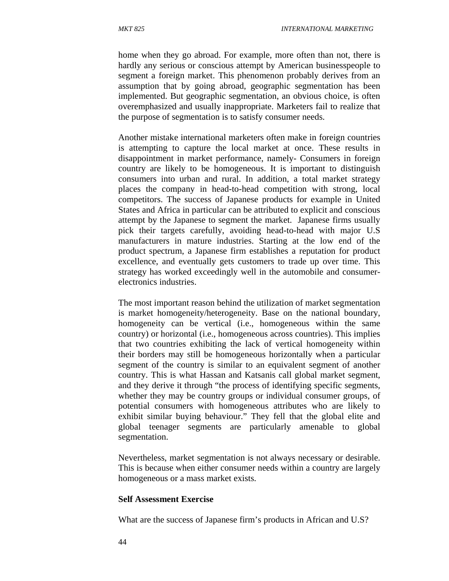home when they go abroad. For example, more often than not, there is hardly any serious or conscious attempt by American businesspeople to segment a foreign market. This phenomenon probably derives from an assumption that by going abroad, geographic segmentation has been implemented. But geographic segmentation, an obvious choice, is often overemphasized and usually inappropriate. Marketers fail to realize that the purpose of segmentation is to satisfy consumer needs.

Another mistake international marketers often make in foreign countries is attempting to capture the local market at once. These results in disappointment in market performance, namely- Consumers in foreign country are likely to be homogeneous. It is important to distinguish consumers into urban and rural. In addition, a total market strategy places the company in head-to-head competition with strong, local competitors. The success of Japanese products for example in United States and Africa in particular can be attributed to explicit and conscious attempt by the Japanese to segment the market. Japanese firms usually pick their targets carefully, avoiding head-to-head with major U.S manufacturers in mature industries. Starting at the low end of the product spectrum, a Japanese firm establishes a reputation for product excellence, and eventually gets customers to trade up over time. This strategy has worked exceedingly well in the automobile and consumerelectronics industries.

The most important reason behind the utilization of market segmentation is market homogeneity/heterogeneity. Base on the national boundary, homogeneity can be vertical (i.e., homogeneous within the same country) or horizontal (i.e., homogeneous across countries). This implies that two countries exhibiting the lack of vertical homogeneity within their borders may still be homogeneous horizontally when a particular segment of the country is similar to an equivalent segment of another country. This is what Hassan and Katsanis call global market segment, and they derive it through "the process of identifying specific segments, whether they may be country groups or individual consumer groups, of potential consumers with homogeneous attributes who are likely to exhibit similar buying behaviour." They fell that the global elite and global teenager segments are particularly amenable to global segmentation.

Nevertheless, market segmentation is not always necessary or desirable. This is because when either consumer needs within a country are largely homogeneous or a mass market exists.

#### **Self Assessment Exercise**

What are the success of Japanese firm's products in African and U.S?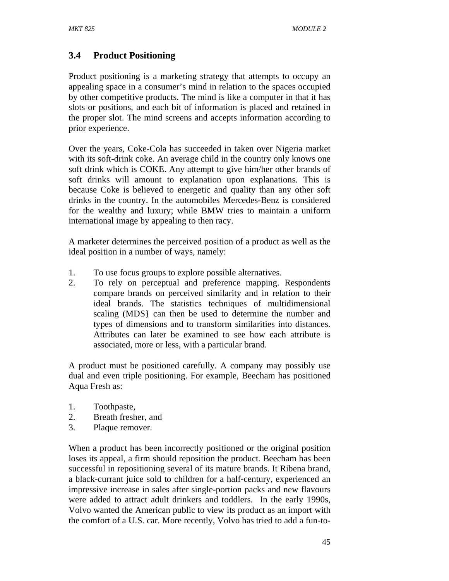# **3.4 Product Positioning**

Product positioning is a marketing strategy that attempts to occupy an appealing space in a consumer's mind in relation to the spaces occupied by other competitive products. The mind is like a computer in that it has slots or positions, and each bit of information is placed and retained in the proper slot. The mind screens and accepts information according to prior experience.

Over the years, Coke-Cola has succeeded in taken over Nigeria market with its soft-drink coke. An average child in the country only knows one soft drink which is COKE. Any attempt to give him/her other brands of soft drinks will amount to explanation upon explanations. This is because Coke is believed to energetic and quality than any other soft drinks in the country. In the automobiles Mercedes-Benz is considered for the wealthy and luxury; while BMW tries to maintain a uniform international image by appealing to then racy.

A marketer determines the perceived position of a product as well as the ideal position in a number of ways, namely:

- 1. To use focus groups to explore possible alternatives.
- 2. To rely on perceptual and preference mapping. Respondents compare brands on perceived similarity and in relation to their ideal brands. The statistics techniques of multidimensional scaling (MDS} can then be used to determine the number and types of dimensions and to transform similarities into distances. Attributes can later be examined to see how each attribute is associated, more or less, with a particular brand.

A product must be positioned carefully. A company may possibly use dual and even triple positioning. For example, Beecham has positioned Aqua Fresh as:

- 1. Toothpaste,
- 2. Breath fresher, and
- 3. Plaque remover.

When a product has been incorrectly positioned or the original position loses its appeal, a firm should reposition the product. Beecham has been successful in repositioning several of its mature brands. It Ribena brand, a black-currant juice sold to children for a half-century, experienced an impressive increase in sales after single-portion packs and new flavours were added to attract adult drinkers and toddlers. In the early 1990s, Volvo wanted the American public to view its product as an import with the comfort of a U.S. car. More recently, Volvo has tried to add a fun-to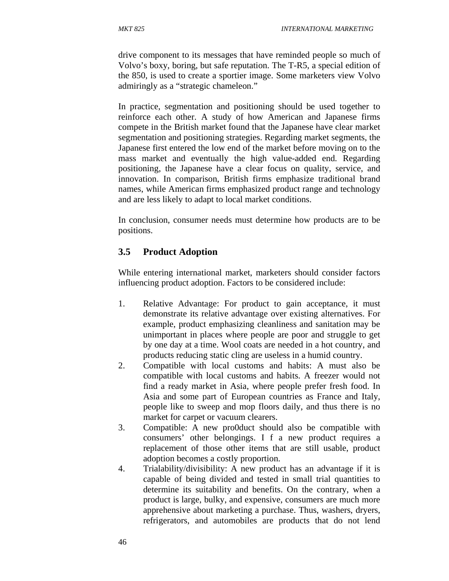drive component to its messages that have reminded people so much of Volvo's boxy, boring, but safe reputation. The T-R5, a special edition of the 850, is used to create a sportier image. Some marketers view Volvo admiringly as a "strategic chameleon."

In practice, segmentation and positioning should be used together to reinforce each other. A study of how American and Japanese firms compete in the British market found that the Japanese have clear market segmentation and positioning strategies. Regarding market segments, the Japanese first entered the low end of the market before moving on to the mass market and eventually the high value-added end. Regarding positioning, the Japanese have a clear focus on quality, service, and innovation. In comparison, British firms emphasize traditional brand names, while American firms emphasized product range and technology and are less likely to adapt to local market conditions.

In conclusion, consumer needs must determine how products are to be positions.

## **3.5 Product Adoption**

While entering international market, marketers should consider factors influencing product adoption. Factors to be considered include:

- 1. Relative Advantage: For product to gain acceptance, it must demonstrate its relative advantage over existing alternatives. For example, product emphasizing cleanliness and sanitation may be unimportant in places where people are poor and struggle to get by one day at a time. Wool coats are needed in a hot country, and products reducing static cling are useless in a humid country.
- 2. Compatible with local customs and habits: A must also be compatible with local customs and habits. A freezer would not find a ready market in Asia, where people prefer fresh food. In Asia and some part of European countries as France and Italy, people like to sweep and mop floors daily, and thus there is no market for carpet or vacuum clearers.
- 3. Compatible: A new pro0duct should also be compatible with consumers' other belongings. I f a new product requires a replacement of those other items that are still usable, product adoption becomes a costly proportion.
- 4. Trialability/divisibility: A new product has an advantage if it is capable of being divided and tested in small trial quantities to determine its suitability and benefits. On the contrary, when a product is large, bulky, and expensive, consumers are much more apprehensive about marketing a purchase. Thus, washers, dryers, refrigerators, and automobiles are products that do not lend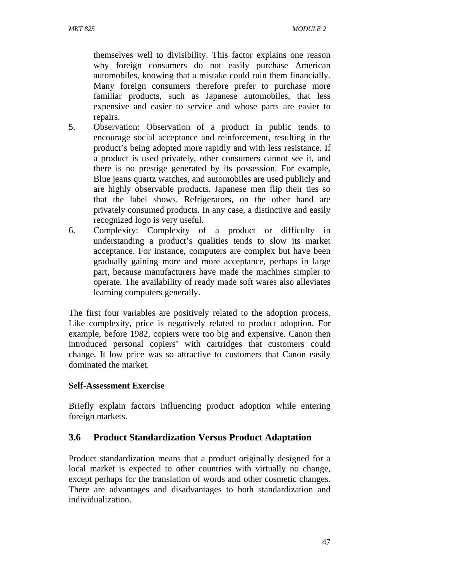themselves well to divisibility. This factor explains one reason why foreign consumers do not easily purchase American automobiles, knowing that a mistake could ruin them financially. Many foreign consumers therefore prefer to purchase more familiar products, such as Japanese automobiles, that less expensive and easier to service and whose parts are easier to repairs.

- 5. Observation: Observation of a product in public tends to encourage social acceptance and reinforcement, resulting in the product's being adopted more rapidly and with less resistance. If a product is used privately, other consumers cannot see it, and there is no prestige generated by its possession. For example, Blue jeans quartz watches, and automobiles are used publicly and are highly observable products. Japanese men flip their ties so that the label shows. Refrigerators, on the other hand are privately consumed products. In any case, a distinctive and easily recognized logo is very useful.
- 6. Complexity: Complexity of a product or difficulty in understanding a product's qualities tends to slow its market acceptance. For instance, computers are complex but have been gradually gaining more and more acceptance, perhaps in large part, because manufacturers have made the machines simpler to operate. The availability of ready made soft wares also alleviates learning computers generally.

The first four variables are positively related to the adoption process. Like complexity, price is negatively related to product adoption. For example, before 1982, copiers were too big and expensive. Canon then introduced personal copiers' with cartridges that customers could change. It low price was so attractive to customers that Canon easily dominated the market.

### **Self-Assessment Exercise**

Briefly explain factors influencing product adoption while entering foreign markets.

## **3.6 Product Standardization Versus Product Adaptation**

Product standardization means that a product originally designed for a local market is expected to other countries with virtually no change, except perhaps for the translation of words and other cosmetic changes. There are advantages and disadvantages to both standardization and individualization.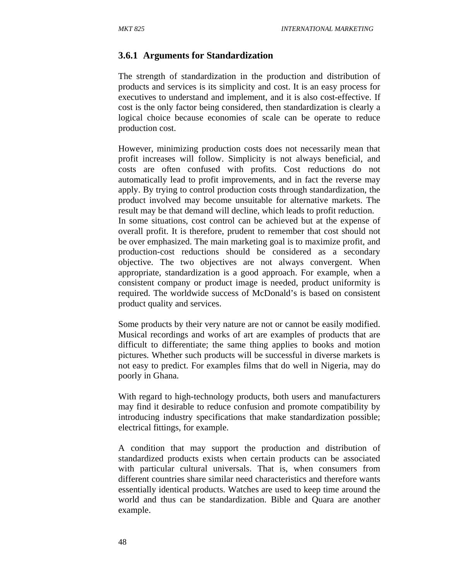### **3.6.1 Arguments for Standardization**

The strength of standardization in the production and distribution of products and services is its simplicity and cost. It is an easy process for executives to understand and implement, and it is also cost-effective. If cost is the only factor being considered, then standardization is clearly a logical choice because economies of scale can be operate to reduce production cost.

However, minimizing production costs does not necessarily mean that profit increases will follow. Simplicity is not always beneficial, and costs are often confused with profits. Cost reductions do not automatically lead to profit improvements, and in fact the reverse may apply. By trying to control production costs through standardization, the product involved may become unsuitable for alternative markets. The result may be that demand will decline, which leads to profit reduction. In some situations, cost control can be achieved but at the expense of overall profit. It is therefore, prudent to remember that cost should not be over emphasized. The main marketing goal is to maximize profit, and production-cost reductions should be considered as a secondary objective. The two objectives are not always convergent. When appropriate, standardization is a good approach. For example, when a consistent company or product image is needed, product uniformity is required. The worldwide success of McDonald's is based on consistent product quality and services.

Some products by their very nature are not or cannot be easily modified. Musical recordings and works of art are examples of products that are difficult to differentiate; the same thing applies to books and motion pictures. Whether such products will be successful in diverse markets is not easy to predict. For examples films that do well in Nigeria, may do poorly in Ghana.

With regard to high-technology products, both users and manufacturers may find it desirable to reduce confusion and promote compatibility by introducing industry specifications that make standardization possible; electrical fittings, for example.

A condition that may support the production and distribution of standardized products exists when certain products can be associated with particular cultural universals. That is, when consumers from different countries share similar need characteristics and therefore wants essentially identical products. Watches are used to keep time around the world and thus can be standardization. Bible and Quara are another example.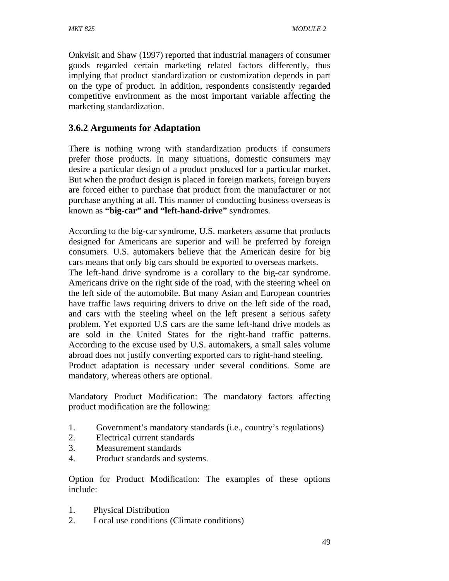Onkvisit and Shaw (1997) reported that industrial managers of consumer goods regarded certain marketing related factors differently, thus implying that product standardization or customization depends in part on the type of product. In addition, respondents consistently regarded competitive environment as the most important variable affecting the marketing standardization.

# **3.6.2 Arguments for Adaptation**

There is nothing wrong with standardization products if consumers prefer those products. In many situations, domestic consumers may desire a particular design of a product produced for a particular market. But when the product design is placed in foreign markets, foreign buyers are forced either to purchase that product from the manufacturer or not purchase anything at all. This manner of conducting business overseas is known as **"big-car" and "left-hand-drive"** syndromes.

According to the big-car syndrome, U.S. marketers assume that products designed for Americans are superior and will be preferred by foreign consumers. U.S. automakers believe that the American desire for big cars means that only big cars should be exported to overseas markets.

The left-hand drive syndrome is a corollary to the big-car syndrome. Americans drive on the right side of the road, with the steering wheel on the left side of the automobile. But many Asian and European countries have traffic laws requiring drivers to drive on the left side of the road, and cars with the steeling wheel on the left present a serious safety problem. Yet exported U.S cars are the same left-hand drive models as are sold in the United States for the right-hand traffic patterns. According to the excuse used by U.S. automakers, a small sales volume abroad does not justify converting exported cars to right-hand steeling. Product adaptation is necessary under several conditions. Some are mandatory, whereas others are optional.

Mandatory Product Modification: The mandatory factors affecting product modification are the following:

- 1. Government's mandatory standards (i.e., country's regulations)
- 2. Electrical current standards
- 3. Measurement standards
- 4. Product standards and systems.

Option for Product Modification: The examples of these options include:

- 1. Physical Distribution
- 2. Local use conditions (Climate conditions)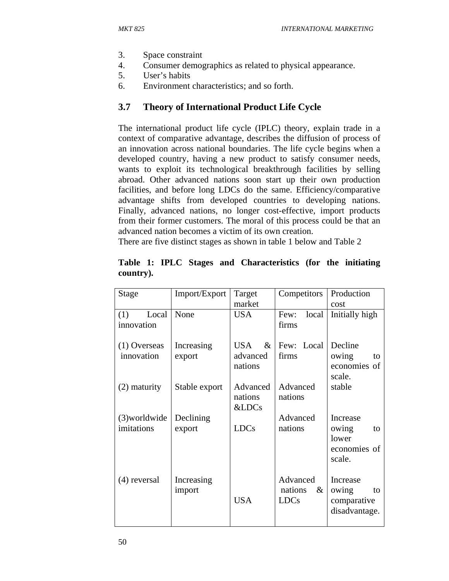- 3. Space constraint
- 4. Consumer demographics as related to physical appearance.
- 5. User's habits
- 6. Environment characteristics; and so forth.

### **3.7 Theory of International Product Life Cycle**

The international product life cycle (IPLC) theory, explain trade in a context of comparative advantage, describes the diffusion of process of an innovation across national boundaries. The life cycle begins when a developed country, having a new product to satisfy consumer needs, wants to exploit its technological breakthrough facilities by selling abroad. Other advanced nations soon start up their own production facilities, and before long LDCs do the same. Efficiency/comparative advantage shifts from developed countries to developing nations. Finally, advanced nations, no longer cost-effective, import products from their former customers. The moral of this process could be that an advanced nation becomes a victim of its own creation.

There are five distinct stages as shown in table 1 below and Table 2

| market<br>cost                                                        |    |
|-----------------------------------------------------------------------|----|
|                                                                       |    |
| None<br><b>USA</b><br>Initially high<br>(1)<br>Local<br>local<br>Few: |    |
| innovation<br>firms                                                   |    |
| Decline<br>Few: Local<br>Increasing<br>USA<br>$\&$<br>$(1)$ Overseas  |    |
| innovation<br>firms<br>advanced<br>export<br>owing                    | to |
| economies of<br>nations                                               |    |
| scale.                                                                |    |
| Advanced<br>Advanced<br>stable<br>$(2)$ maturity<br>Stable export     |    |
| nations<br>nations                                                    |    |
| &LDCs                                                                 |    |
| Advanced<br>$(3)$ worldwide<br>Declining<br>Increase                  |    |
| imitations<br><b>LDCs</b><br>nations<br>export<br>owing               | to |
| lower                                                                 |    |
| economies of                                                          |    |
| scale.                                                                |    |
| Advanced                                                              |    |
| Increase<br>(4) reversal<br>Increasing<br>nations<br>$\&$<br>owing    | to |
| import<br><b>USA</b><br><b>LDCs</b><br>comparative                    |    |
| disadvantage.                                                         |    |
|                                                                       |    |

**Table 1: IPLC Stages and Characteristics (for the initiating country).**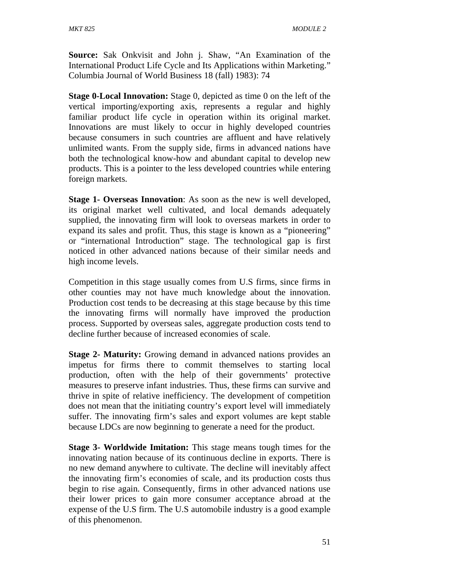**Source:** Sak Onkvisit and John j. Shaw, "An Examination of the International Product Life Cycle and Its Applications within Marketing." Columbia Journal of World Business 18 (fall) 1983): 74

**Stage 0-Local Innovation:** Stage 0, depicted as time 0 on the left of the vertical importing/exporting axis, represents a regular and highly familiar product life cycle in operation within its original market. Innovations are must likely to occur in highly developed countries because consumers in such countries are affluent and have relatively unlimited wants. From the supply side, firms in advanced nations have both the technological know-how and abundant capital to develop new products. This is a pointer to the less developed countries while entering foreign markets.

**Stage 1- Overseas Innovation**: As soon as the new is well developed, its original market well cultivated, and local demands adequately supplied, the innovating firm will look to overseas markets in order to expand its sales and profit. Thus, this stage is known as a "pioneering" or "international Introduction" stage. The technological gap is first noticed in other advanced nations because of their similar needs and high income levels.

Competition in this stage usually comes from U.S firms, since firms in other counties may not have much knowledge about the innovation. Production cost tends to be decreasing at this stage because by this time the innovating firms will normally have improved the production process. Supported by overseas sales, aggregate production costs tend to decline further because of increased economies of scale.

**Stage 2- Maturity:** Growing demand in advanced nations provides an impetus for firms there to commit themselves to starting local production, often with the help of their governments' protective measures to preserve infant industries. Thus, these firms can survive and thrive in spite of relative inefficiency. The development of competition does not mean that the initiating country's export level will immediately suffer. The innovating firm's sales and export volumes are kept stable because LDCs are now beginning to generate a need for the product.

**Stage 3- Worldwide Imitation:** This stage means tough times for the innovating nation because of its continuous decline in exports. There is no new demand anywhere to cultivate. The decline will inevitably affect the innovating firm's economies of scale, and its production costs thus begin to rise again. Consequently, firms in other advanced nations use their lower prices to gain more consumer acceptance abroad at the expense of the U.S firm. The U.S automobile industry is a good example of this phenomenon.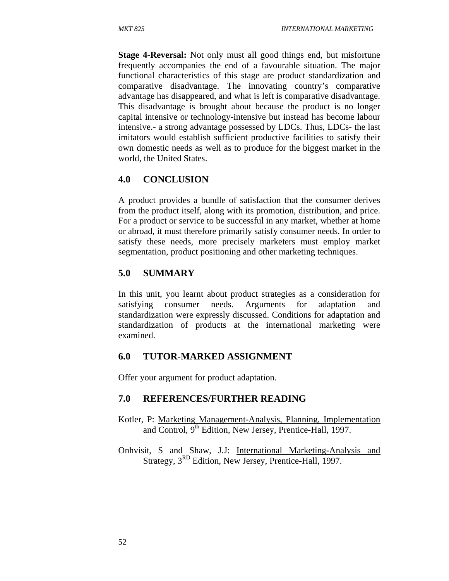**Stage 4-Reversal:** Not only must all good things end, but misfortune frequently accompanies the end of a favourable situation. The major functional characteristics of this stage are product standardization and comparative disadvantage. The innovating country's comparative advantage has disappeared, and what is left is comparative disadvantage. This disadvantage is brought about because the product is no longer capital intensive or technology-intensive but instead has become labour intensive.- a strong advantage possessed by LDCs. Thus, LDCs- the last imitators would establish sufficient productive facilities to satisfy their own domestic needs as well as to produce for the biggest market in the world, the United States.

## **4.0 CONCLUSION**

A product provides a bundle of satisfaction that the consumer derives from the product itself, along with its promotion, distribution, and price. For a product or service to be successful in any market, whether at home or abroad, it must therefore primarily satisfy consumer needs. In order to satisfy these needs, more precisely marketers must employ market segmentation, product positioning and other marketing techniques.

## **5.0 SUMMARY**

In this unit, you learnt about product strategies as a consideration for satisfying consumer needs. Arguments for adaptation and standardization were expressly discussed. Conditions for adaptation and standardization of products at the international marketing were examined.

## **6.0 TUTOR-MARKED ASSIGNMENT**

Offer your argument for product adaptation.

## **7.0 REFERENCES/FURTHER READING**

- Kotler, P: Marketing Management-Analysis, Planning, Implementation and Control,  $9<sup>th</sup>$  Edition, New Jersey, Prentice-Hall, 1997.
- Onhvisit, S and Shaw, J.J: International Marketing-Analysis and Strategy, 3<sup>RD</sup> Edition, New Jersey, Prentice-Hall, 1997.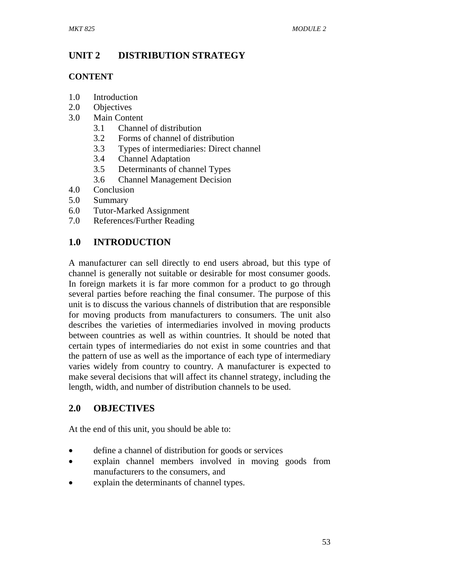# **UNIT 2 DISTRIBUTION STRATEGY**

## **CONTENT**

- 1.0 Introduction
- 2.0 Objectives
- 3.0 Main Content
	- 3.1 Channel of distribution
	- 3.2 Forms of channel of distribution
	- 3.3 Types of intermediaries: Direct channel
	- 3.4 Channel Adaptation
	- 3.5 Determinants of channel Types
	- 3.6 Channel Management Decision
- 4.0 Conclusion
- 5.0 Summary
- 6.0 Tutor-Marked Assignment
- 7.0 References/Further Reading

# **1.0 INTRODUCTION**

A manufacturer can sell directly to end users abroad, but this type of channel is generally not suitable or desirable for most consumer goods. In foreign markets it is far more common for a product to go through several parties before reaching the final consumer. The purpose of this unit is to discuss the various channels of distribution that are responsible for moving products from manufacturers to consumers. The unit also describes the varieties of intermediaries involved in moving products between countries as well as within countries. It should be noted that certain types of intermediaries do not exist in some countries and that the pattern of use as well as the importance of each type of intermediary varies widely from country to country. A manufacturer is expected to make several decisions that will affect its channel strategy, including the length, width, and number of distribution channels to be used.

# **2.0 OBJECTIVES**

At the end of this unit, you should be able to:

- define a channel of distribution for goods or services
- explain channel members involved in moving goods from manufacturers to the consumers, and
- explain the determinants of channel types.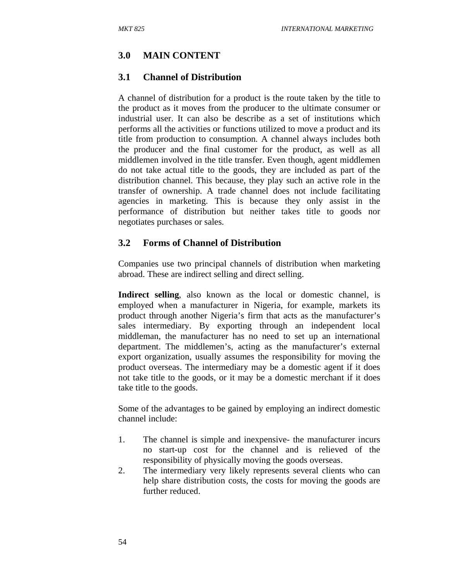# **3.0 MAIN CONTENT**

## **3.1 Channel of Distribution**

A channel of distribution for a product is the route taken by the title to the product as it moves from the producer to the ultimate consumer or industrial user. It can also be describe as a set of institutions which performs all the activities or functions utilized to move a product and its title from production to consumption. A channel always includes both the producer and the final customer for the product, as well as all middlemen involved in the title transfer. Even though, agent middlemen do not take actual title to the goods, they are included as part of the distribution channel. This because, they play such an active role in the transfer of ownership. A trade channel does not include facilitating agencies in marketing. This is because they only assist in the performance of distribution but neither takes title to goods nor negotiates purchases or sales.

### **3.2 Forms of Channel of Distribution**

Companies use two principal channels of distribution when marketing abroad. These are indirect selling and direct selling.

**Indirect selling**, also known as the local or domestic channel, is employed when a manufacturer in Nigeria, for example, markets its product through another Nigeria's firm that acts as the manufacturer's sales intermediary. By exporting through an independent local middleman, the manufacturer has no need to set up an international department. The middlemen's, acting as the manufacturer's external export organization, usually assumes the responsibility for moving the product overseas. The intermediary may be a domestic agent if it does not take title to the goods, or it may be a domestic merchant if it does take title to the goods.

Some of the advantages to be gained by employing an indirect domestic channel include:

- 1. The channel is simple and inexpensive- the manufacturer incurs no start-up cost for the channel and is relieved of the responsibility of physically moving the goods overseas.
- 2. The intermediary very likely represents several clients who can help share distribution costs, the costs for moving the goods are further reduced.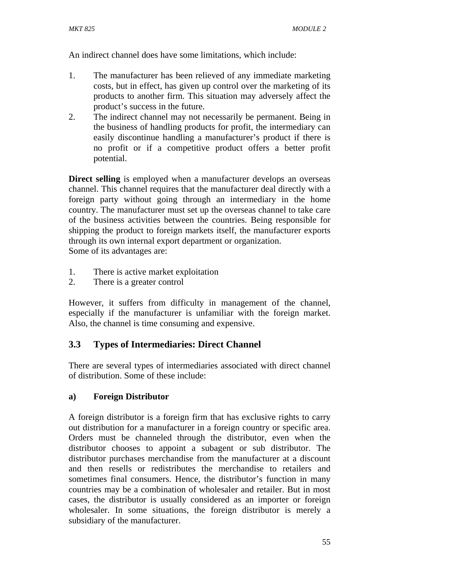An indirect channel does have some limitations, which include:

- 1. The manufacturer has been relieved of any immediate marketing costs, but in effect, has given up control over the marketing of its products to another firm. This situation may adversely affect the product's success in the future.
- 2. The indirect channel may not necessarily be permanent. Being in the business of handling products for profit, the intermediary can easily discontinue handling a manufacturer's product if there is no profit or if a competitive product offers a better profit potential.

**Direct selling** is employed when a manufacturer develops an overseas channel. This channel requires that the manufacturer deal directly with a foreign party without going through an intermediary in the home country. The manufacturer must set up the overseas channel to take care of the business activities between the countries. Being responsible for shipping the product to foreign markets itself, the manufacturer exports through its own internal export department or organization. Some of its advantages are:

1. There is active market exploitation

2. There is a greater control

However, it suffers from difficulty in management of the channel, especially if the manufacturer is unfamiliar with the foreign market. Also, the channel is time consuming and expensive.

# **3.3 Types of Intermediaries: Direct Channel**

There are several types of intermediaries associated with direct channel of distribution. Some of these include:

## **a) Foreign Distributor**

A foreign distributor is a foreign firm that has exclusive rights to carry out distribution for a manufacturer in a foreign country or specific area. Orders must be channeled through the distributor, even when the distributor chooses to appoint a subagent or sub distributor. The distributor purchases merchandise from the manufacturer at a discount and then resells or redistributes the merchandise to retailers and sometimes final consumers. Hence, the distributor's function in many countries may be a combination of wholesaler and retailer. But in most cases, the distributor is usually considered as an importer or foreign wholesaler. In some situations, the foreign distributor is merely a subsidiary of the manufacturer.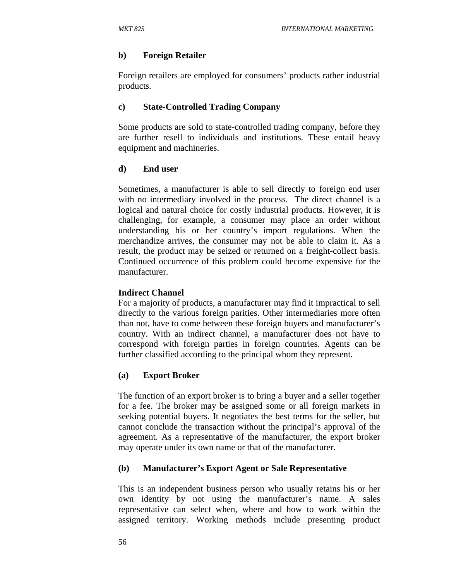### **b) Foreign Retailer**

Foreign retailers are employed for consumers' products rather industrial products.

### **c) State-Controlled Trading Company**

Some products are sold to state-controlled trading company, before they are further resell to individuals and institutions. These entail heavy equipment and machineries.

### **d) End user**

Sometimes, a manufacturer is able to sell directly to foreign end user with no intermediary involved in the process. The direct channel is a logical and natural choice for costly industrial products. However, it is challenging, for example, a consumer may place an order without understanding his or her country's import regulations. When the merchandize arrives, the consumer may not be able to claim it. As a result, the product may be seized or returned on a freight-collect basis. Continued occurrence of this problem could become expensive for the manufacturer.

### **Indirect Channel**

For a majority of products, a manufacturer may find it impractical to sell directly to the various foreign parities. Other intermediaries more often than not, have to come between these foreign buyers and manufacturer's country. With an indirect channel, a manufacturer does not have to correspond with foreign parties in foreign countries. Agents can be further classified according to the principal whom they represent.

### **(a) Export Broker**

The function of an export broker is to bring a buyer and a seller together for a fee. The broker may be assigned some or all foreign markets in seeking potential buyers. It negotiates the best terms for the seller, but cannot conclude the transaction without the principal's approval of the agreement. As a representative of the manufacturer, the export broker may operate under its own name or that of the manufacturer.

### **(b) Manufacturer's Export Agent or Sale Representative**

This is an independent business person who usually retains his or her own identity by not using the manufacturer's name. A sales representative can select when, where and how to work within the assigned territory. Working methods include presenting product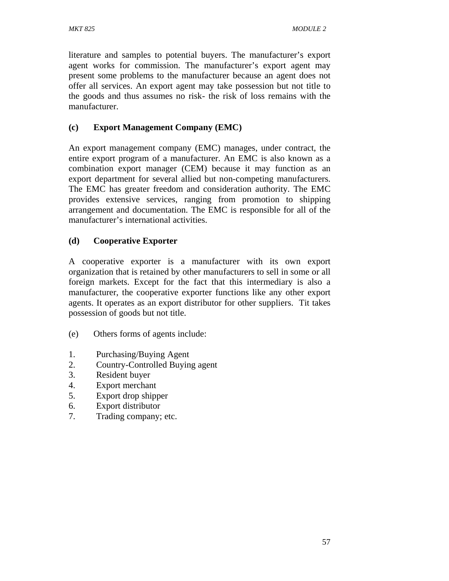literature and samples to potential buyers. The manufacturer's export agent works for commission. The manufacturer's export agent may present some problems to the manufacturer because an agent does not offer all services. An export agent may take possession but not title to the goods and thus assumes no risk- the risk of loss remains with the manufacturer.

# **(c) Export Management Company (EMC)**

An export management company (EMC) manages, under contract, the entire export program of a manufacturer. An EMC is also known as a combination export manager (CEM) because it may function as an export department for several allied but non-competing manufacturers. The EMC has greater freedom and consideration authority. The EMC provides extensive services, ranging from promotion to shipping arrangement and documentation. The EMC is responsible for all of the manufacturer's international activities.

## **(d) Cooperative Exporter**

A cooperative exporter is a manufacturer with its own export organization that is retained by other manufacturers to sell in some or all foreign markets. Except for the fact that this intermediary is also a manufacturer, the cooperative exporter functions like any other export agents. It operates as an export distributor for other suppliers. Tit takes possession of goods but not title.

- (e) Others forms of agents include:
- 1. Purchasing/Buying Agent
- 2. Country-Controlled Buying agent
- 3. Resident buyer
- 4. Export merchant
- 5. Export drop shipper
- 6. Export distributor
- 7. Trading company; etc.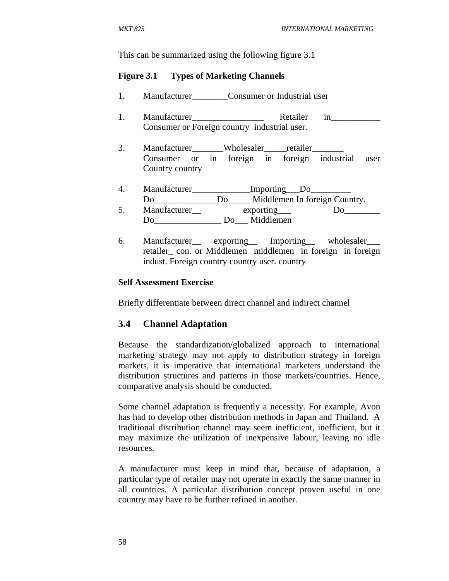This can be summarized using the following figure 3.1

#### **Figure 3.1 Types of Marketing Channels**

- 1. Manufacturer Consumer or Industrial user
- 1. Manufacturer Retailer in Consumer or Foreign country industrial user.
- 3. Manufacturer Wholesaler retailer Consumer or in foreign in foreign industrial user Country country
- 4. Manufacturer\_\_\_\_\_\_\_\_\_\_\_\_\_Importing\_\_\_Do\_\_\_\_\_\_\_\_\_ Do Do Middlemen In foreign Country. 5. Manufacturer exporting Do Do Middlemen
- 6. Manufacturer\_\_ exporting\_\_ Importing\_\_ wholesaler\_\_\_ retailer\_ con. or Middlemen middlemen in foreign in foreign indust. Foreign country country user. country

#### **Self Assessment Exercise**

Briefly differentiate between direct channel and indirect channel

#### **3.4 Channel Adaptation**

Because the standardization/globalized approach to international marketing strategy may not apply to distribution strategy in foreign markets, it is imperative that international marketers understand the distribution structures and patterns in those markets/countries. Hence, comparative analysis should be conducted.

Some channel adaptation is frequently a necessity. For example, Avon has had to develop other distribution methods in Japan and Thailand. A traditional distribution channel may seem inefficient, inefficient, but it may maximize the utilization of inexpensive labour, leaving no idle resources.

A manufacturer must keep in mind that, because of adaptation, a particular type of retailer may not operate in exactly the same manner in all countries. A particular distribution concept proven useful in one country may have to be further refined in another.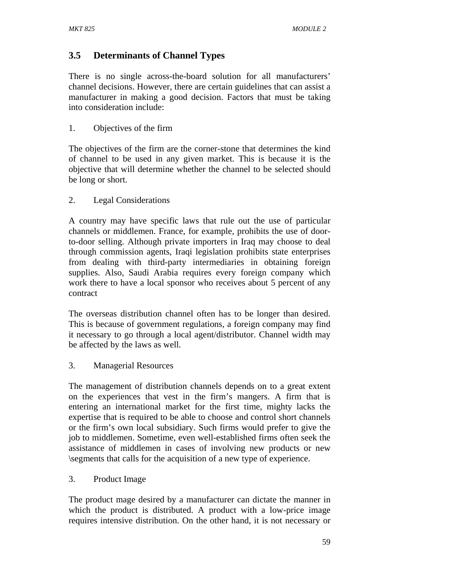# **3.5 Determinants of Channel Types**

There is no single across-the-board solution for all manufacturers' channel decisions. However, there are certain guidelines that can assist a manufacturer in making a good decision. Factors that must be taking into consideration include:

### 1. Objectives of the firm

The objectives of the firm are the corner-stone that determines the kind of channel to be used in any given market. This is because it is the objective that will determine whether the channel to be selected should be long or short.

### 2. Legal Considerations

A country may have specific laws that rule out the use of particular channels or middlemen. France, for example, prohibits the use of doorto-door selling. Although private importers in Iraq may choose to deal through commission agents, Iraqi legislation prohibits state enterprises from dealing with third-party intermediaries in obtaining foreign supplies. Also, Saudi Arabia requires every foreign company which work there to have a local sponsor who receives about 5 percent of any contract

The overseas distribution channel often has to be longer than desired. This is because of government regulations, a foreign company may find it necessary to go through a local agent/distributor. Channel width may be affected by the laws as well.

3. Managerial Resources

The management of distribution channels depends on to a great extent on the experiences that vest in the firm's mangers. A firm that is entering an international market for the first time, mighty lacks the expertise that is required to be able to choose and control short channels or the firm's own local subsidiary. Such firms would prefer to give the job to middlemen. Sometime, even well-established firms often seek the assistance of middlemen in cases of involving new products or new \segments that calls for the acquisition of a new type of experience.

3. Product Image

The product mage desired by a manufacturer can dictate the manner in which the product is distributed. A product with a low-price image requires intensive distribution. On the other hand, it is not necessary or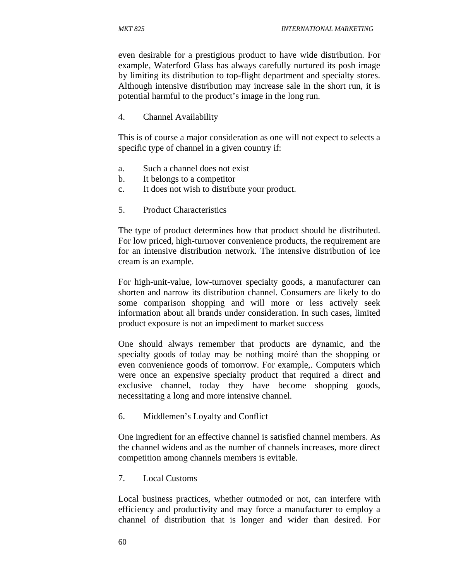even desirable for a prestigious product to have wide distribution. For example, Waterford Glass has always carefully nurtured its posh image by limiting its distribution to top-flight department and specialty stores. Although intensive distribution may increase sale in the short run, it is potential harmful to the product's image in the long run.

4. Channel Availability

This is of course a major consideration as one will not expect to selects a specific type of channel in a given country if:

- a. Such a channel does not exist
- b. It belongs to a competitor
- c. It does not wish to distribute your product.
- 5. Product Characteristics

The type of product determines how that product should be distributed. For low priced, high-turnover convenience products, the requirement are for an intensive distribution network. The intensive distribution of ice cream is an example.

For high-unit-value, low-turnover specialty goods, a manufacturer can shorten and narrow its distribution channel. Consumers are likely to do some comparison shopping and will more or less actively seek information about all brands under consideration. In such cases, limited product exposure is not an impediment to market success

One should always remember that products are dynamic, and the specialty goods of today may be nothing moiré than the shopping or even convenience goods of tomorrow. For example,. Computers which were once an expensive specialty product that required a direct and exclusive channel, today they have become shopping goods, necessitating a long and more intensive channel.

6. Middlemen's Loyalty and Conflict

One ingredient for an effective channel is satisfied channel members. As the channel widens and as the number of channels increases, more direct competition among channels members is evitable.

7. Local Customs

Local business practices, whether outmoded or not, can interfere with efficiency and productivity and may force a manufacturer to employ a channel of distribution that is longer and wider than desired. For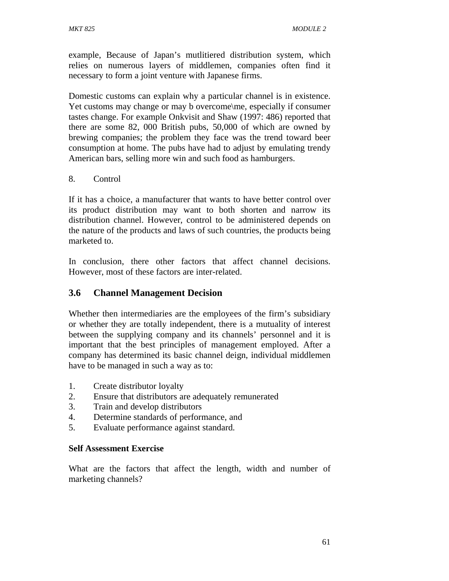example, Because of Japan's mutlitiered distribution system, which relies on numerous layers of middlemen, companies often find it necessary to form a joint venture with Japanese firms.

Domestic customs can explain why a particular channel is in existence. Yet customs may change or may b overcome\me, especially if consumer tastes change. For example Onkvisit and Shaw (1997: 486) reported that there are some 82, 000 British pubs, 50,000 of which are owned by brewing companies; the problem they face was the trend toward beer consumption at home. The pubs have had to adjust by emulating trendy American bars, selling more win and such food as hamburgers.

#### 8. Control

If it has a choice, a manufacturer that wants to have better control over its product distribution may want to both shorten and narrow its distribution channel. However, control to be administered depends on the nature of the products and laws of such countries, the products being marketed to.

In conclusion, there other factors that affect channel decisions. However, most of these factors are inter-related.

## **3.6 Channel Management Decision**

Whether then intermediaries are the employees of the firm's subsidiary or whether they are totally independent, there is a mutuality of interest between the supplying company and its channels' personnel and it is important that the best principles of management employed. After a company has determined its basic channel deign, individual middlemen have to be managed in such a way as to:

- 1. Create distributor loyalty
- 2. Ensure that distributors are adequately remunerated
- 3. Train and develop distributors
- 4. Determine standards of performance, and
- 5. Evaluate performance against standard.

#### **Self Assessment Exercise**

What are the factors that affect the length, width and number of marketing channels?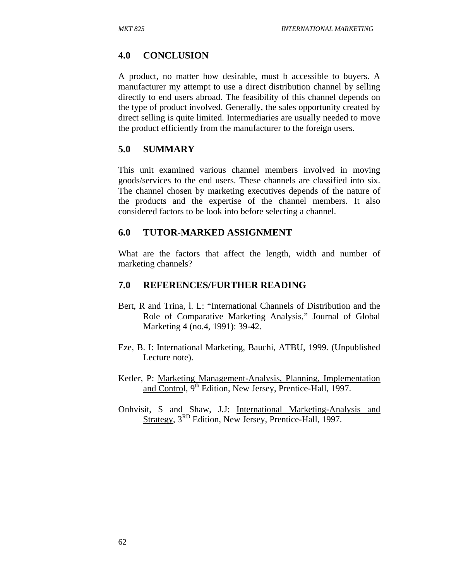### **4.0 CONCLUSION**

A product, no matter how desirable, must b accessible to buyers. A manufacturer my attempt to use a direct distribution channel by selling directly to end users abroad. The feasibility of this channel depends on the type of product involved. Generally, the sales opportunity created by direct selling is quite limited. Intermediaries are usually needed to move the product efficiently from the manufacturer to the foreign users.

#### **5.0 SUMMARY**

This unit examined various channel members involved in moving goods/services to the end users. These channels are classified into six. The channel chosen by marketing executives depends of the nature of the products and the expertise of the channel members. It also considered factors to be look into before selecting a channel.

#### **6.0 TUTOR-MARKED ASSIGNMENT**

What are the factors that affect the length, width and number of marketing channels?

#### **7.0 REFERENCES/FURTHER READING**

- Bert, R and Trina, l. L: "International Channels of Distribution and the Role of Comparative Marketing Analysis," Journal of Global Marketing 4 (no.4, 1991): 39-42.
- Eze, B. I: International Marketing, Bauchi, ATBU, 1999. (Unpublished Lecture note).
- Ketler, P: Marketing Management-Analysis, Planning, Implementation and Control, 9<sup>th</sup> Edition, New Jersey, Prentice-Hall, 1997.
- Onhvisit, S and Shaw, J.J: International Marketing-Analysis and Strategy, 3<sup>RD</sup> Edition, New Jersey, Prentice-Hall, 1997.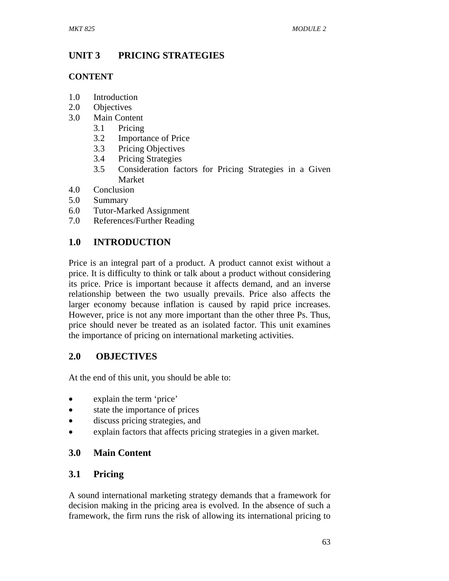# **UNIT 3 PRICING STRATEGIES**

## **CONTENT**

- 1.0 Introduction
- 2.0 Objectives
- 3.0 Main Content
	- 3.1 Pricing
	- 3.2 Importance of Price
	- 3.3 Pricing Objectives
	- 3.4 Pricing Strategies
	- 3.5 Consideration factors for Pricing Strategies in a Given Market
- 4.0 Conclusion
- 5.0 Summary
- 6.0 Tutor-Marked Assignment
- 7.0 References/Further Reading

# **1.0 INTRODUCTION**

Price is an integral part of a product. A product cannot exist without a price. It is difficulty to think or talk about a product without considering its price. Price is important because it affects demand, and an inverse relationship between the two usually prevails. Price also affects the larger economy because inflation is caused by rapid price increases. However, price is not any more important than the other three Ps. Thus, price should never be treated as an isolated factor. This unit examines the importance of pricing on international marketing activities.

# **2.0 OBJECTIVES**

At the end of this unit, you should be able to:

- explain the term 'price'
- state the importance of prices
- discuss pricing strategies, and
- explain factors that affects pricing strategies in a given market.

# **3.0 Main Content**

# **3.1 Pricing**

A sound international marketing strategy demands that a framework for decision making in the pricing area is evolved. In the absence of such a framework, the firm runs the risk of allowing its international pricing to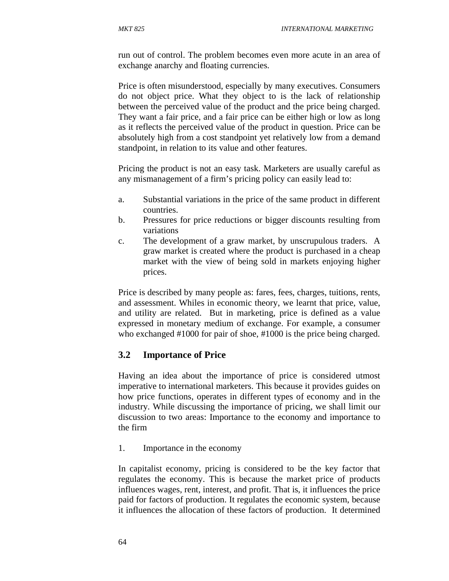run out of control. The problem becomes even more acute in an area of exchange anarchy and floating currencies.

Price is often misunderstood, especially by many executives. Consumers do not object price. What they object to is the lack of relationship between the perceived value of the product and the price being charged. They want a fair price, and a fair price can be either high or low as long as it reflects the perceived value of the product in question. Price can be absolutely high from a cost standpoint yet relatively low from a demand standpoint, in relation to its value and other features.

Pricing the product is not an easy task. Marketers are usually careful as any mismanagement of a firm's pricing policy can easily lead to:

- a. Substantial variations in the price of the same product in different countries.
- b. Pressures for price reductions or bigger discounts resulting from variations
- c. The development of a graw market, by unscrupulous traders. A graw market is created where the product is purchased in a cheap market with the view of being sold in markets enjoying higher prices.

Price is described by many people as: fares, fees, charges, tuitions, rents, and assessment. Whiles in economic theory, we learnt that price, value, and utility are related. But in marketing, price is defined as a value expressed in monetary medium of exchange. For example, a consumer who exchanged #1000 for pair of shoe, #1000 is the price being charged.

### **3.2 Importance of Price**

Having an idea about the importance of price is considered utmost imperative to international marketers. This because it provides guides on how price functions, operates in different types of economy and in the industry. While discussing the importance of pricing, we shall limit our discussion to two areas: Importance to the economy and importance to the firm

1. Importance in the economy

In capitalist economy, pricing is considered to be the key factor that regulates the economy. This is because the market price of products influences wages, rent, interest, and profit. That is, it influences the price paid for factors of production. It regulates the economic system, because it influences the allocation of these factors of production. It determined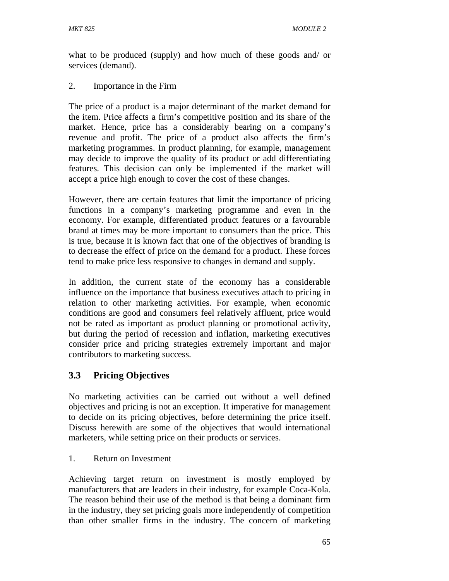what to be produced (supply) and how much of these goods and/ or services (demand).

#### 2. Importance in the Firm

The price of a product is a major determinant of the market demand for the item. Price affects a firm's competitive position and its share of the market. Hence, price has a considerably bearing on a company's revenue and profit. The price of a product also affects the firm's marketing programmes. In product planning, for example, management may decide to improve the quality of its product or add differentiating features. This decision can only be implemented if the market will accept a price high enough to cover the cost of these changes.

However, there are certain features that limit the importance of pricing functions in a company's marketing programme and even in the economy. For example, differentiated product features or a favourable brand at times may be more important to consumers than the price. This is true, because it is known fact that one of the objectives of branding is to decrease the effect of price on the demand for a product. These forces tend to make price less responsive to changes in demand and supply.

In addition, the current state of the economy has a considerable influence on the importance that business executives attach to pricing in relation to other marketing activities. For example, when economic conditions are good and consumers feel relatively affluent, price would not be rated as important as product planning or promotional activity, but during the period of recession and inflation, marketing executives consider price and pricing strategies extremely important and major contributors to marketing success.

## **3.3 Pricing Objectives**

No marketing activities can be carried out without a well defined objectives and pricing is not an exception. It imperative for management to decide on its pricing objectives, before determining the price itself. Discuss herewith are some of the objectives that would international marketers, while setting price on their products or services.

1. Return on Investment

Achieving target return on investment is mostly employed by manufacturers that are leaders in their industry, for example Coca-Kola. The reason behind their use of the method is that being a dominant firm in the industry, they set pricing goals more independently of competition than other smaller firms in the industry. The concern of marketing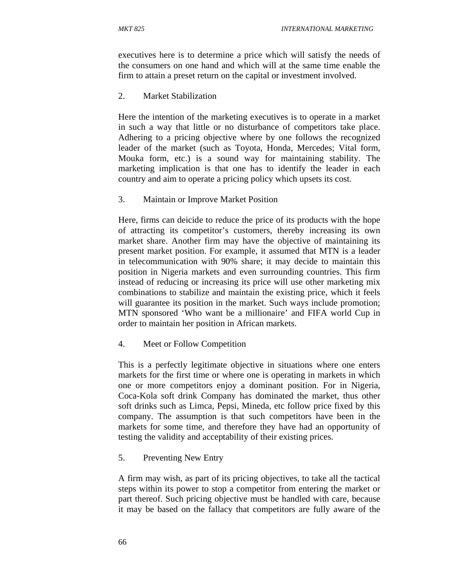executives here is to determine a price which will satisfy the needs of the consumers on one hand and which will at the same time enable the firm to attain a preset return on the capital or investment involved.

2. Market Stabilization

Here the intention of the marketing executives is to operate in a market in such a way that little or no disturbance of competitors take place. Adhering to a pricing objective where by one follows the recognized leader of the market (such as Toyota, Honda, Mercedes; Vital form, Mouka form, etc.) is a sound way for maintaining stability. The marketing implication is that one has to identify the leader in each country and aim to operate a pricing policy which upsets its cost.

3. Maintain or Improve Market Position

Here, firms can deicide to reduce the price of its products with the hope of attracting its competitor's customers, thereby increasing its own market share. Another firm may have the objective of maintaining its present market position. For example, it assumed that MTN is a leader in telecommunication with 90% share; it may decide to maintain this position in Nigeria markets and even surrounding countries. This firm instead of reducing or increasing its price will use other marketing mix combinations to stabilize and maintain the existing price, which it feels will guarantee its position in the market. Such ways include promotion; MTN sponsored 'Who want be a millionaire' and FIFA world Cup in order to maintain her position in African markets.

4. Meet or Follow Competition

This is a perfectly legitimate objective in situations where one enters markets for the first time or where one is operating in markets in which one or more competitors enjoy a dominant position. For in Nigeria, Coca-Kola soft drink Company has dominated the market, thus other soft drinks such as Limca, Pepsi, Mineda, etc follow price fixed by this company. The assumption is that such competitors have been in the markets for some time, and therefore they have had an opportunity of testing the validity and acceptability of their existing prices.

5. Preventing New Entry

A firm may wish, as part of its pricing objectives, to take all the tactical steps within its power to stop a competitor from entering the market or part thereof. Such pricing objective must be handled with care, because it may be based on the fallacy that competitors are fully aware of the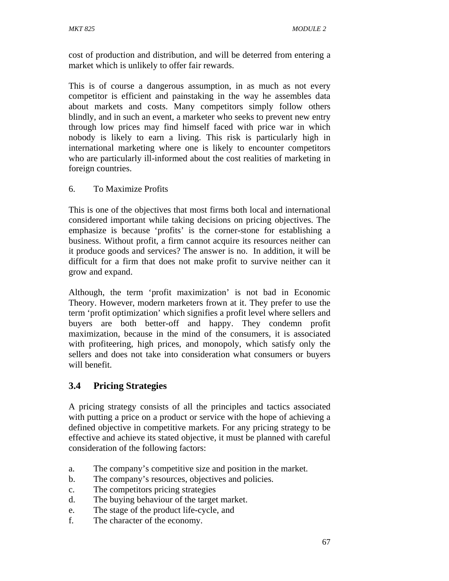cost of production and distribution, and will be deterred from entering a market which is unlikely to offer fair rewards.

This is of course a dangerous assumption, in as much as not every competitor is efficient and painstaking in the way he assembles data about markets and costs. Many competitors simply follow others blindly, and in such an event, a marketer who seeks to prevent new entry through low prices may find himself faced with price war in which nobody is likely to earn a living. This risk is particularly high in international marketing where one is likely to encounter competitors who are particularly ill-informed about the cost realities of marketing in foreign countries.

### 6. To Maximize Profits

This is one of the objectives that most firms both local and international considered important while taking decisions on pricing objectives. The emphasize is because 'profits' is the corner-stone for establishing a business. Without profit, a firm cannot acquire its resources neither can it produce goods and services? The answer is no. In addition, it will be difficult for a firm that does not make profit to survive neither can it grow and expand.

Although, the term 'profit maximization' is not bad in Economic Theory. However, modern marketers frown at it. They prefer to use the term 'profit optimization' which signifies a profit level where sellers and buyers are both better-off and happy. They condemn profit maximization, because in the mind of the consumers, it is associated with profiteering, high prices, and monopoly, which satisfy only the sellers and does not take into consideration what consumers or buyers will benefit.

## **3.4 Pricing Strategies**

A pricing strategy consists of all the principles and tactics associated with putting a price on a product or service with the hope of achieving a defined objective in competitive markets. For any pricing strategy to be effective and achieve its stated objective, it must be planned with careful consideration of the following factors:

- a. The company's competitive size and position in the market.
- b. The company's resources, objectives and policies.
- c. The competitors pricing strategies
- d. The buying behaviour of the target market.
- e. The stage of the product life-cycle, and
- f. The character of the economy.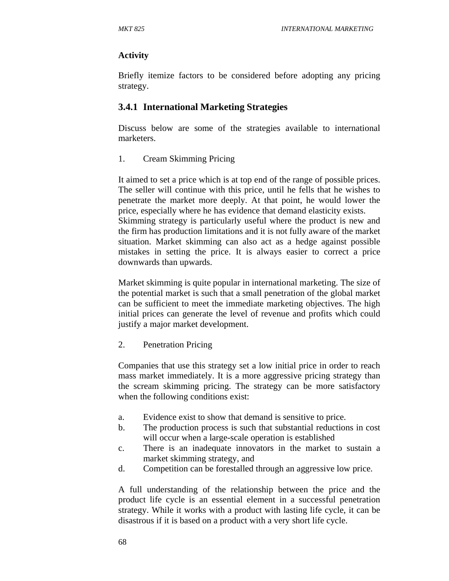### **Activity**

Briefly itemize factors to be considered before adopting any pricing strategy.

## **3.4.1 International Marketing Strategies**

Discuss below are some of the strategies available to international marketers.

### 1. Cream Skimming Pricing

It aimed to set a price which is at top end of the range of possible prices. The seller will continue with this price, until he fells that he wishes to penetrate the market more deeply. At that point, he would lower the price, especially where he has evidence that demand elasticity exists. Skimming strategy is particularly useful where the product is new and the firm has production limitations and it is not fully aware of the market situation. Market skimming can also act as a hedge against possible mistakes in setting the price. It is always easier to correct a price downwards than upwards.

Market skimming is quite popular in international marketing. The size of the potential market is such that a small penetration of the global market can be sufficient to meet the immediate marketing objectives. The high initial prices can generate the level of revenue and profits which could justify a major market development.

### 2. Penetration Pricing

Companies that use this strategy set a low initial price in order to reach mass market immediately. It is a more aggressive pricing strategy than the scream skimming pricing. The strategy can be more satisfactory when the following conditions exist:

- a. Evidence exist to show that demand is sensitive to price.
- b. The production process is such that substantial reductions in cost will occur when a large-scale operation is established
- c. There is an inadequate innovators in the market to sustain a market skimming strategy, and
- d. Competition can be forestalled through an aggressive low price.

A full understanding of the relationship between the price and the product life cycle is an essential element in a successful penetration strategy. While it works with a product with lasting life cycle, it can be disastrous if it is based on a product with a very short life cycle.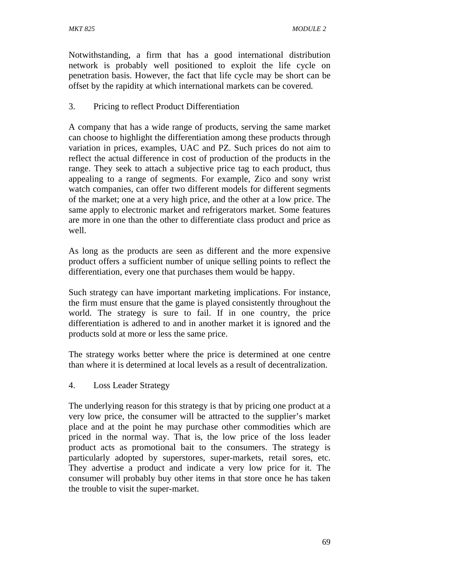Notwithstanding, a firm that has a good international distribution network is probably well positioned to exploit the life cycle on penetration basis. However, the fact that life cycle may be short can be offset by the rapidity at which international markets can be covered.

### 3. Pricing to reflect Product Differentiation

A company that has a wide range of products, serving the same market can choose to highlight the differentiation among these products through variation in prices, examples, UAC and PZ. Such prices do not aim to reflect the actual difference in cost of production of the products in the range. They seek to attach a subjective price tag to each product, thus appealing to a range of segments. For example, Zico and sony wrist watch companies, can offer two different models for different segments of the market; one at a very high price, and the other at a low price. The same apply to electronic market and refrigerators market. Some features are more in one than the other to differentiate class product and price as well.

As long as the products are seen as different and the more expensive product offers a sufficient number of unique selling points to reflect the differentiation, every one that purchases them would be happy.

Such strategy can have important marketing implications. For instance, the firm must ensure that the game is played consistently throughout the world. The strategy is sure to fail. If in one country, the price differentiation is adhered to and in another market it is ignored and the products sold at more or less the same price.

The strategy works better where the price is determined at one centre than where it is determined at local levels as a result of decentralization.

4. Loss Leader Strategy

The underlying reason for this strategy is that by pricing one product at a very low price, the consumer will be attracted to the supplier's market place and at the point he may purchase other commodities which are priced in the normal way. That is, the low price of the loss leader product acts as promotional bait to the consumers. The strategy is particularly adopted by superstores, super-markets, retail sores, etc. They advertise a product and indicate a very low price for it. The consumer will probably buy other items in that store once he has taken the trouble to visit the super-market.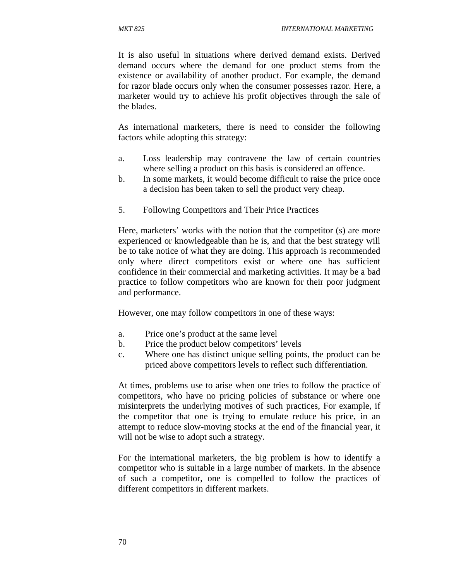It is also useful in situations where derived demand exists. Derived demand occurs where the demand for one product stems from the existence or availability of another product. For example, the demand for razor blade occurs only when the consumer possesses razor. Here, a marketer would try to achieve his profit objectives through the sale of the blades.

As international marketers, there is need to consider the following factors while adopting this strategy:

- a. Loss leadership may contravene the law of certain countries where selling a product on this basis is considered an offence.
- b. In some markets, it would become difficult to raise the price once a decision has been taken to sell the product very cheap.
- 5. Following Competitors and Their Price Practices

Here, marketers' works with the notion that the competitor (s) are more experienced or knowledgeable than he is, and that the best strategy will be to take notice of what they are doing. This approach is recommended only where direct competitors exist or where one has sufficient confidence in their commercial and marketing activities. It may be a bad practice to follow competitors who are known for their poor judgment and performance.

However, one may follow competitors in one of these ways:

- a. Price one's product at the same level
- b. Price the product below competitors' levels
- c. Where one has distinct unique selling points, the product can be priced above competitors levels to reflect such differentiation.

At times, problems use to arise when one tries to follow the practice of competitors, who have no pricing policies of substance or where one misinterprets the underlying motives of such practices, For example, if the competitor that one is trying to emulate reduce his price, in an attempt to reduce slow-moving stocks at the end of the financial year, it will not be wise to adopt such a strategy.

For the international marketers, the big problem is how to identify a competitor who is suitable in a large number of markets. In the absence of such a competitor, one is compelled to follow the practices of different competitors in different markets.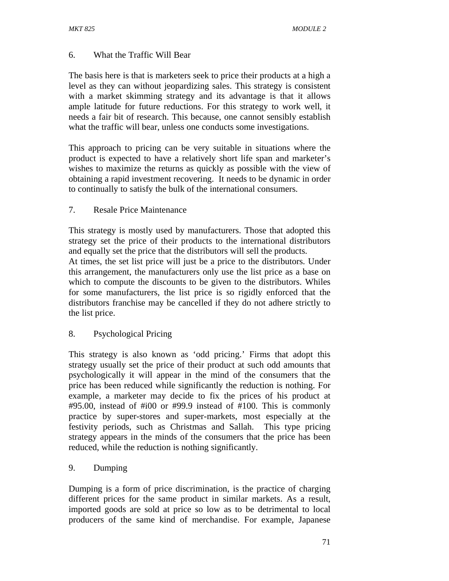### 6. What the Traffic Will Bear

The basis here is that is marketers seek to price their products at a high a level as they can without jeopardizing sales. This strategy is consistent with a market skimming strategy and its advantage is that it allows ample latitude for future reductions. For this strategy to work well, it needs a fair bit of research. This because, one cannot sensibly establish what the traffic will bear, unless one conducts some investigations.

This approach to pricing can be very suitable in situations where the product is expected to have a relatively short life span and marketer's wishes to maximize the returns as quickly as possible with the view of obtaining a rapid investment recovering. It needs to be dynamic in order to continually to satisfy the bulk of the international consumers.

### 7. Resale Price Maintenance

This strategy is mostly used by manufacturers. Those that adopted this strategy set the price of their products to the international distributors and equally set the price that the distributors will sell the products.

At times, the set list price will just be a price to the distributors. Under this arrangement, the manufacturers only use the list price as a base on which to compute the discounts to be given to the distributors. Whiles for some manufacturers, the list price is so rigidly enforced that the distributors franchise may be cancelled if they do not adhere strictly to the list price.

### 8. Psychological Pricing

This strategy is also known as 'odd pricing.' Firms that adopt this strategy usually set the price of their product at such odd amounts that psychologically it will appear in the mind of the consumers that the price has been reduced while significantly the reduction is nothing. For example, a marketer may decide to fix the prices of his product at #95.00, instead of #i00 or #99.9 instead of #100. This is commonly practice by super-stores and super-markets, most especially at the festivity periods, such as Christmas and Sallah. This type pricing strategy appears in the minds of the consumers that the price has been reduced, while the reduction is nothing significantly.

### 9. Dumping

Dumping is a form of price discrimination, is the practice of charging different prices for the same product in similar markets. As a result, imported goods are sold at price so low as to be detrimental to local producers of the same kind of merchandise. For example, Japanese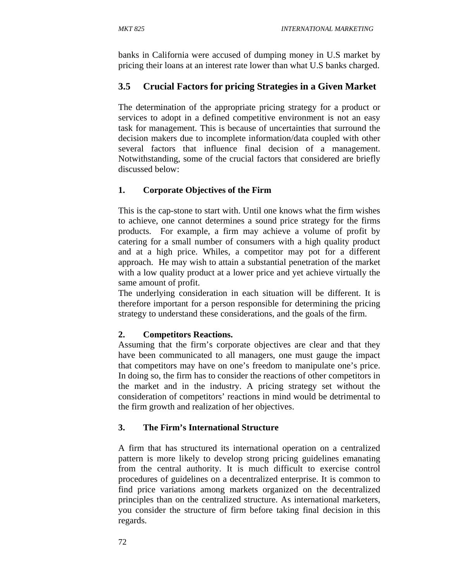banks in California were accused of dumping money in U.S market by pricing their loans at an interest rate lower than what U.S banks charged.

## **3.5 Crucial Factors for pricing Strategies in a Given Market**

The determination of the appropriate pricing strategy for a product or services to adopt in a defined competitive environment is not an easy task for management. This is because of uncertainties that surround the decision makers due to incomplete information/data coupled with other several factors that influence final decision of a management. Notwithstanding, some of the crucial factors that considered are briefly discussed below:

## **1. Corporate Objectives of the Firm**

This is the cap-stone to start with. Until one knows what the firm wishes to achieve, one cannot determines a sound price strategy for the firms products. For example, a firm may achieve a volume of profit by catering for a small number of consumers with a high quality product and at a high price. Whiles, a competitor may pot for a different approach. He may wish to attain a substantial penetration of the market with a low quality product at a lower price and yet achieve virtually the same amount of profit.

The underlying consideration in each situation will be different. It is therefore important for a person responsible for determining the pricing strategy to understand these considerations, and the goals of the firm.

## **2. Competitors Reactions.**

Assuming that the firm's corporate objectives are clear and that they have been communicated to all managers, one must gauge the impact that competitors may have on one's freedom to manipulate one's price. In doing so, the firm has to consider the reactions of other competitors in the market and in the industry. A pricing strategy set without the consideration of competitors' reactions in mind would be detrimental to the firm growth and realization of her objectives.

## **3. The Firm's International Structure**

A firm that has structured its international operation on a centralized pattern is more likely to develop strong pricing guidelines emanating from the central authority. It is much difficult to exercise control procedures of guidelines on a decentralized enterprise. It is common to find price variations among markets organized on the decentralized principles than on the centralized structure. As international marketers, you consider the structure of firm before taking final decision in this regards.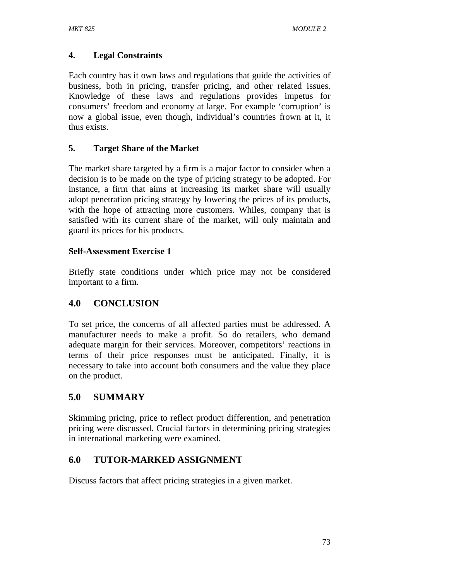## **4. Legal Constraints**

Each country has it own laws and regulations that guide the activities of business, both in pricing, transfer pricing, and other related issues. Knowledge of these laws and regulations provides impetus for consumers' freedom and economy at large. For example 'corruption' is now a global issue, even though, individual's countries frown at it, it thus exists.

### **5. Target Share of the Market**

The market share targeted by a firm is a major factor to consider when a decision is to be made on the type of pricing strategy to be adopted. For instance, a firm that aims at increasing its market share will usually adopt penetration pricing strategy by lowering the prices of its products, with the hope of attracting more customers. Whiles, company that is satisfied with its current share of the market, will only maintain and guard its prices for his products.

### **Self-Assessment Exercise 1**

Briefly state conditions under which price may not be considered important to a firm.

## **4.0 CONCLUSION**

To set price, the concerns of all affected parties must be addressed. A manufacturer needs to make a profit. So do retailers, who demand adequate margin for their services. Moreover, competitors' reactions in terms of their price responses must be anticipated. Finally, it is necessary to take into account both consumers and the value they place on the product.

## **5.0 SUMMARY**

Skimming pricing, price to reflect product differention, and penetration pricing were discussed. Crucial factors in determining pricing strategies in international marketing were examined.

## **6.0 TUTOR-MARKED ASSIGNMENT**

Discuss factors that affect pricing strategies in a given market.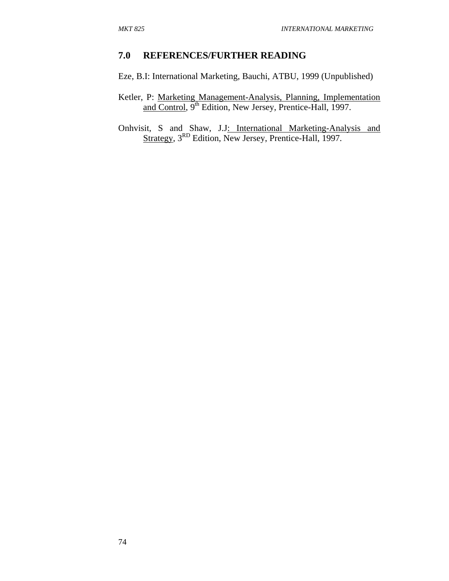### **7.0 REFERENCES/FURTHER READING**

Eze, B.I: International Marketing, Bauchi, ATBU, 1999 (Unpublished)

Ketler, P: Marketing Management-Analysis, Planning, Implementation and Control, 9<sup>th</sup> Edition, New Jersey, Prentice-Hall, 1997.

Onhvisit, S and Shaw, J.J: International Marketing-Analysis and Strategy, 3<sup>RD</sup> Edition, New Jersey, Prentice-Hall, 1997.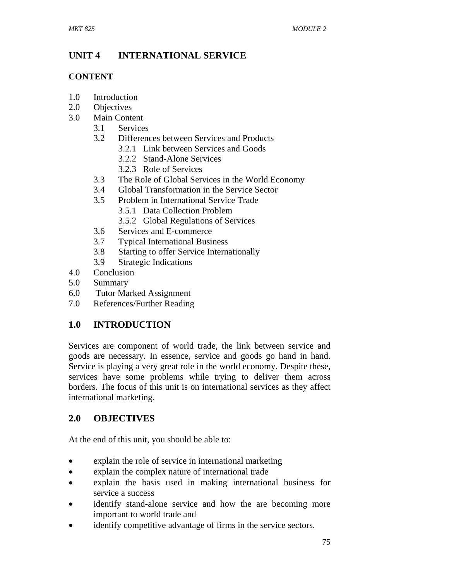# **UNIT 4 INTERNATIONAL SERVICE**

## **CONTENT**

- 1.0 Introduction
- 2.0 Objectives
- 3.0 Main Content
	- 3.1 Services
	- 3.2 Differences between Services and Products
		- 3.2.1 Link between Services and Goods
		- 3.2.2 Stand-Alone Services
		- 3.2.3 Role of Services
	- 3.3 The Role of Global Services in the World Economy
	- 3.4 Global Transformation in the Service Sector
	- 3.5 Problem in International Service Trade
		- 3.5.1 Data Collection Problem
		- 3.5.2 Global Regulations of Services
	- 3.6 Services and E-commerce
	- 3.7 Typical International Business
	- 3.8 Starting to offer Service Internationally
	- 3.9 Strategic Indications
- 4.0 Conclusion
- 5.0 Summary
- 6.0 Tutor Marked Assignment
- 7.0 References/Further Reading

# **1.0 INTRODUCTION**

Services are component of world trade, the link between service and goods are necessary. In essence, service and goods go hand in hand. Service is playing a very great role in the world economy. Despite these, services have some problems while trying to deliver them across borders. The focus of this unit is on international services as they affect international marketing.

# **2.0 OBJECTIVES**

At the end of this unit, you should be able to:

- explain the role of service in international marketing
- explain the complex nature of international trade
- explain the basis used in making international business for service a success
- identify stand-alone service and how the are becoming more important to world trade and
- identify competitive advantage of firms in the service sectors.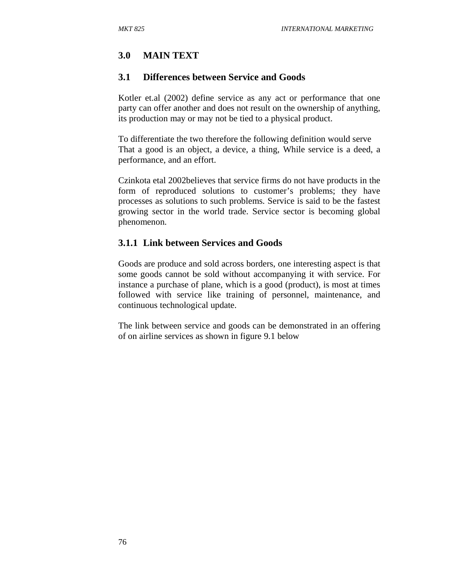## **3.0 MAIN TEXT**

#### **3.1 Differences between Service and Goods**

Kotler et.al (2002) define service as any act or performance that one party can offer another and does not result on the ownership of anything, its production may or may not be tied to a physical product.

To differentiate the two therefore the following definition would serve That a good is an object, a device, a thing, While service is a deed, a performance, and an effort.

Czinkota etal 2002believes that service firms do not have products in the form of reproduced solutions to customer's problems; they have processes as solutions to such problems. Service is said to be the fastest growing sector in the world trade. Service sector is becoming global phenomenon.

### **3.1.1 Link between Services and Goods**

Goods are produce and sold across borders, one interesting aspect is that some goods cannot be sold without accompanying it with service. For instance a purchase of plane, which is a good (product), is most at times followed with service like training of personnel, maintenance, and continuous technological update.

The link between service and goods can be demonstrated in an offering of on airline services as shown in figure 9.1 below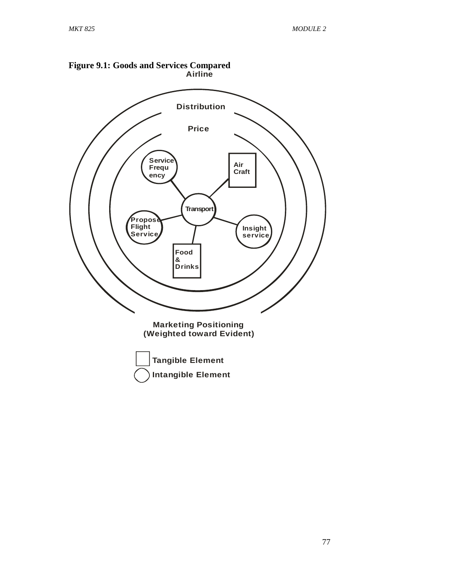

**Intangible Element**

**Figure 9.1: Goods and Services Compared**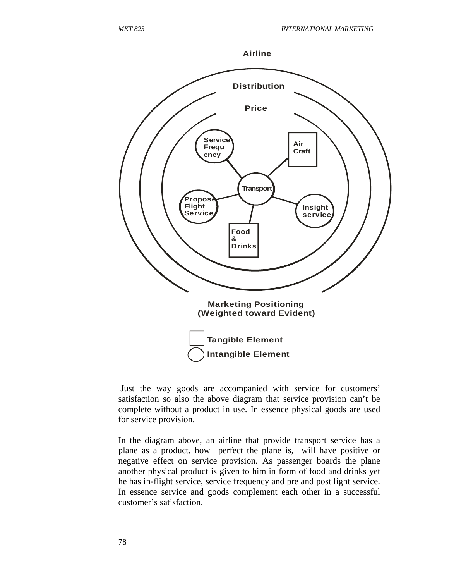

 Just the way goods are accompanied with service for customers' satisfaction so also the above diagram that service provision can't be complete without a product in use. In essence physical goods are used for service provision.

In the diagram above, an airline that provide transport service has a plane as a product, how perfect the plane is, will have positive or negative effect on service provision. As passenger boards the plane another physical product is given to him in form of food and drinks yet he has in-flight service, service frequency and pre and post light service. In essence service and goods complement each other in a successful customer's satisfaction.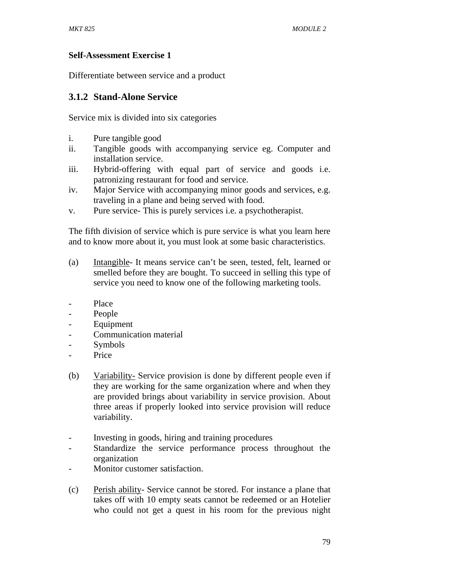### **Self-Assessment Exercise 1**

Differentiate between service and a product

## **3.1.2 Stand-Alone Service**

Service mix is divided into six categories

- i. Pure tangible good
- ii. Tangible goods with accompanying service eg. Computer and installation service.
- iii. Hybrid-offering with equal part of service and goods i.e. patronizing restaurant for food and service.
- iv. Major Service with accompanying minor goods and services, e.g. traveling in a plane and being served with food.
- v. Pure service- This is purely services i.e. a psychotherapist.

The fifth division of service which is pure service is what you learn here and to know more about it, you must look at some basic characteristics.

- (a) Intangible- It means service can't be seen, tested, felt, learned or smelled before they are bought. To succeed in selling this type of service you need to know one of the following marketing tools.
- Place
- People
- Equipment
- Communication material
- **Symbols**
- Price
- (b) Variability- Service provision is done by different people even if they are working for the same organization where and when they are provided brings about variability in service provision. About three areas if properly looked into service provision will reduce variability.
- Investing in goods, hiring and training procedures
- Standardize the service performance process throughout the organization
- Monitor customer satisfaction.
- (c) Perish ability- Service cannot be stored. For instance a plane that takes off with 10 empty seats cannot be redeemed or an Hotelier who could not get a quest in his room for the previous night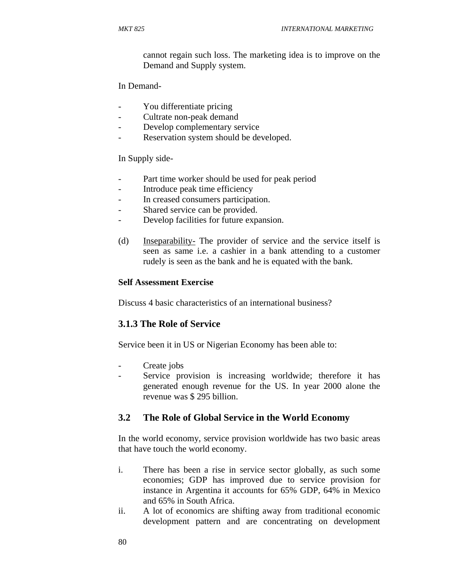cannot regain such loss. The marketing idea is to improve on the Demand and Supply system.

In Demand-

- You differentiate pricing
- Cultrate non-peak demand
- Develop complementary service
- Reservation system should be developed.

In Supply side-

- Part time worker should be used for peak period
- Introduce peak time efficiency
- In creased consumers participation.
- Shared service can be provided.
- Develop facilities for future expansion.
- (d) Inseparability- The provider of service and the service itself is seen as same i.e. a cashier in a bank attending to a customer rudely is seen as the bank and he is equated with the bank.

### **Self Assessment Exercise**

Discuss 4 basic characteristics of an international business?

## **3.1.3 The Role of Service**

Service been it in US or Nigerian Economy has been able to:

- Create jobs
- Service provision is increasing worldwide; therefore it has generated enough revenue for the US. In year 2000 alone the revenue was \$ 295 billion.

## **3.2 The Role of Global Service in the World Economy**

In the world economy, service provision worldwide has two basic areas that have touch the world economy.

- i. There has been a rise in service sector globally, as such some economies; GDP has improved due to service provision for instance in Argentina it accounts for 65% GDP, 64% in Mexico and 65% in South Africa.
- ii. A lot of economics are shifting away from traditional economic development pattern and are concentrating on development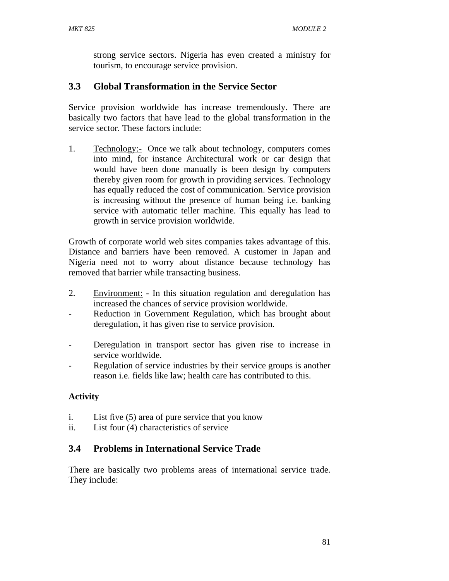strong service sectors. Nigeria has even created a ministry for tourism, to encourage service provision.

## **3.3 Global Transformation in the Service Sector**

Service provision worldwide has increase tremendously. There are basically two factors that have lead to the global transformation in the service sector. These factors include:

1. Technology:- Once we talk about technology, computers comes into mind, for instance Architectural work or car design that would have been done manually is been design by computers thereby given room for growth in providing services. Technology has equally reduced the cost of communication. Service provision is increasing without the presence of human being i.e. banking service with automatic teller machine. This equally has lead to growth in service provision worldwide.

Growth of corporate world web sites companies takes advantage of this. Distance and barriers have been removed. A customer in Japan and Nigeria need not to worry about distance because technology has removed that barrier while transacting business.

- 2. Environment: In this situation regulation and deregulation has increased the chances of service provision worldwide.
- Reduction in Government Regulation, which has brought about deregulation, it has given rise to service provision.
- Deregulation in transport sector has given rise to increase in service worldwide.
- Regulation of service industries by their service groups is another reason i.e. fields like law; health care has contributed to this.

## **Activity**

- i. List five (5) area of pure service that you know
- ii. List four (4) characteristics of service

## **3.4 Problems in International Service Trade**

There are basically two problems areas of international service trade. They include: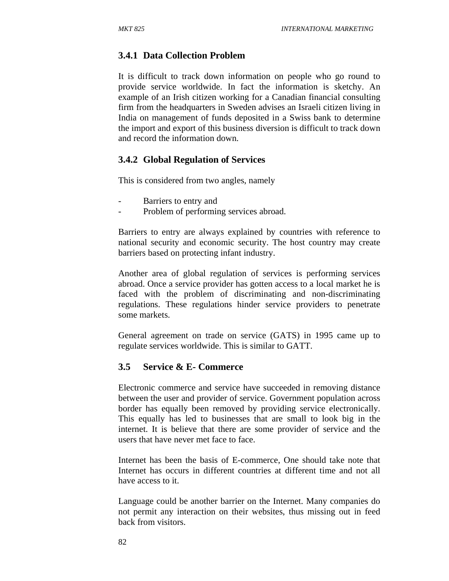### **3.4.1 Data Collection Problem**

It is difficult to track down information on people who go round to provide service worldwide. In fact the information is sketchy. An example of an Irish citizen working for a Canadian financial consulting firm from the headquarters in Sweden advises an Israeli citizen living in India on management of funds deposited in a Swiss bank to determine the import and export of this business diversion is difficult to track down and record the information down.

#### **3.4.2 Global Regulation of Services**

This is considered from two angles, namely

- Barriers to entry and
- Problem of performing services abroad.

Barriers to entry are always explained by countries with reference to national security and economic security. The host country may create barriers based on protecting infant industry.

Another area of global regulation of services is performing services abroad. Once a service provider has gotten access to a local market he is faced with the problem of discriminating and non-discriminating regulations. These regulations hinder service providers to penetrate some markets.

General agreement on trade on service (GATS) in 1995 came up to regulate services worldwide. This is similar to GATT.

#### **3.5 Service & E- Commerce**

Electronic commerce and service have succeeded in removing distance between the user and provider of service. Government population across border has equally been removed by providing service electronically. This equally has led to businesses that are small to look big in the internet. It is believe that there are some provider of service and the users that have never met face to face.

Internet has been the basis of E-commerce, One should take note that Internet has occurs in different countries at different time and not all have access to it.

Language could be another barrier on the Internet. Many companies do not permit any interaction on their websites, thus missing out in feed back from visitors.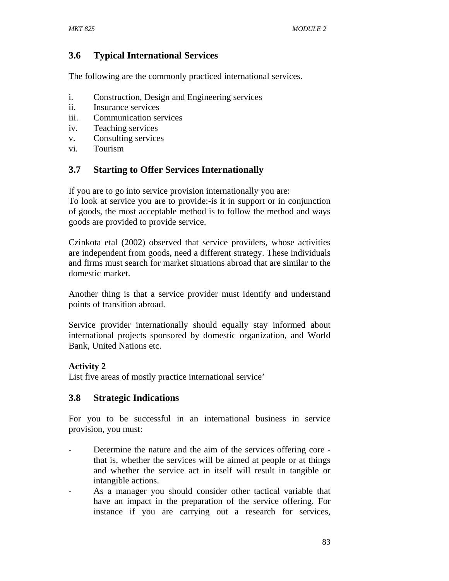## **3.6 Typical International Services**

The following are the commonly practiced international services.

- i. Construction, Design and Engineering services
- ii. Insurance services
- iii. Communication services
- iv. Teaching services
- v. Consulting services
- vi. Tourism

## **3.7 Starting to Offer Services Internationally**

If you are to go into service provision internationally you are:

To look at service you are to provide:-is it in support or in conjunction of goods, the most acceptable method is to follow the method and ways goods are provided to provide service.

Czinkota etal (2002) observed that service providers, whose activities are independent from goods, need a different strategy. These individuals and firms must search for market situations abroad that are similar to the domestic market.

Another thing is that a service provider must identify and understand points of transition abroad.

Service provider internationally should equally stay informed about international projects sponsored by domestic organization, and World Bank, United Nations etc.

## **Activity 2**

List five areas of mostly practice international service'

## **3.8 Strategic Indications**

For you to be successful in an international business in service provision, you must:

- Determine the nature and the aim of the services offering core that is, whether the services will be aimed at people or at things and whether the service act in itself will result in tangible or intangible actions.
- As a manager you should consider other tactical variable that have an impact in the preparation of the service offering. For instance if you are carrying out a research for services,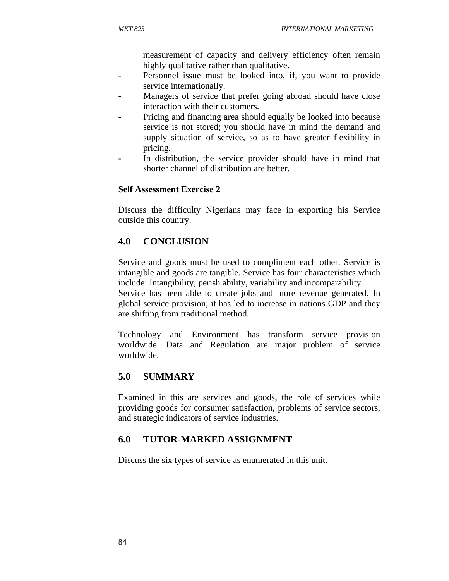measurement of capacity and delivery efficiency often remain highly qualitative rather than qualitative.

- Personnel issue must be looked into, if, you want to provide service internationally.
- Managers of service that prefer going abroad should have close interaction with their customers.
- Pricing and financing area should equally be looked into because service is not stored; you should have in mind the demand and supply situation of service, so as to have greater flexibility in pricing.
- In distribution, the service provider should have in mind that shorter channel of distribution are better.

### **Self Assessment Exercise 2**

Discuss the difficulty Nigerians may face in exporting his Service outside this country.

## **4.0 CONCLUSION**

Service and goods must be used to compliment each other. Service is intangible and goods are tangible. Service has four characteristics which include: Intangibility, perish ability, variability and incomparability.

Service has been able to create jobs and more revenue generated. In global service provision, it has led to increase in nations GDP and they are shifting from traditional method.

Technology and Environment has transform service provision worldwide. Data and Regulation are major problem of service worldwide.

## **5.0 SUMMARY**

Examined in this are services and goods, the role of services while providing goods for consumer satisfaction, problems of service sectors, and strategic indicators of service industries.

## **6.0 TUTOR-MARKED ASSIGNMENT**

Discuss the six types of service as enumerated in this unit.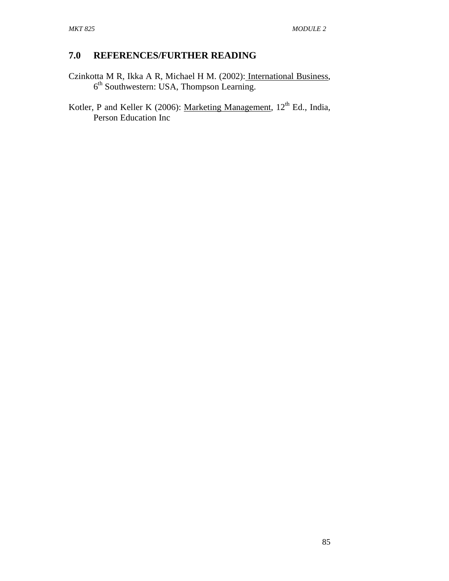## **7.0 REFERENCES/FURTHER READING**

- Czinkotta M R, Ikka A R, Michael H M. (2002): International Business, 6<sup>th</sup> Southwestern: USA, Thompson Learning.
- Kotler, P and Keller K (2006): Marketing Management,  $12<sup>th</sup>$  Ed., India, Person Education Inc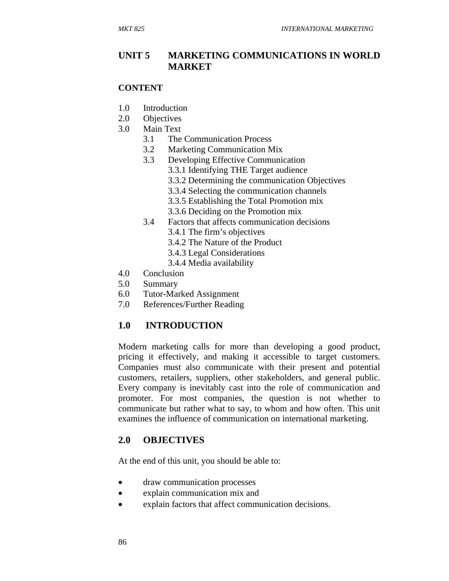### **UNIT 5 MARKETING COMMUNICATIONS IN WORLD MARKET**

#### **CONTENT**

- 1.0 Introduction
- 2.0 Objectives
- 3.0 Main Text
	- 3.1 The Communication Process
	- 3.2 Marketing Communication Mix
	- 3.3 Developing Effective Communication
		- 3.3.1 Identifying THE Target audience
		- 3.3.2 Determining the communication Objectives
		- 3.3.4 Selecting the communication channels
		- 3.3.5 Establishing the Total Promotion mix
		- 3.3.6 Deciding on the Promotion mix
	- 3.4 Factors that affects communication decisions
		- 3.4.1 The firm's objectives
		- 3.4.2 The Nature of the Product
		- 3.4.3 Legal Considerations
		- 3.4.4 Media availability
- 4.0 Conclusion
- 5.0 Summary
- 6.0 Tutor-Marked Assignment
- 7.0 References/Further Reading

## **1.0 INTRODUCTION**

Modern marketing calls for more than developing a good product, pricing it effectively, and making it accessible to target customers. Companies must also communicate with their present and potential customers, retailers, suppliers, other stakeholders, and general public. Every company is inevitably cast into the role of communication and promoter. For most companies, the question is not whether to communicate but rather what to say, to whom and how often. This unit examines the influence of communication on international marketing.

### **2.0 OBJECTIVES**

At the end of this unit, you should be able to:

- draw communication processes
- explain communication mix and
- explain factors that affect communication decisions.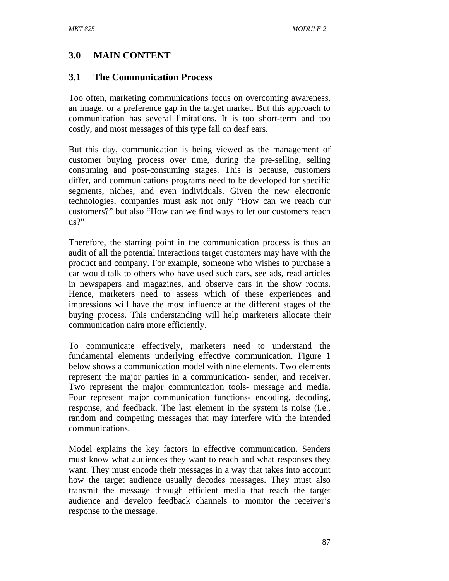## **3.0 MAIN CONTENT**

### **3.1 The Communication Process**

Too often, marketing communications focus on overcoming awareness, an image, or a preference gap in the target market. But this approach to communication has several limitations. It is too short-term and too costly, and most messages of this type fall on deaf ears.

But this day, communication is being viewed as the management of customer buying process over time, during the pre-selling, selling consuming and post-consuming stages. This is because, customers differ, and communications programs need to be developed for specific segments, niches, and even individuals. Given the new electronic technologies, companies must ask not only "How can we reach our customers?" but also "How can we find ways to let our customers reach us?"

Therefore, the starting point in the communication process is thus an audit of all the potential interactions target customers may have with the product and company. For example, someone who wishes to purchase a car would talk to others who have used such cars, see ads, read articles in newspapers and magazines, and observe cars in the show rooms. Hence, marketers need to assess which of these experiences and impressions will have the most influence at the different stages of the buying process. This understanding will help marketers allocate their communication naira more efficiently.

To communicate effectively, marketers need to understand the fundamental elements underlying effective communication. Figure 1 below shows a communication model with nine elements. Two elements represent the major parties in a communication- sender, and receiver. Two represent the major communication tools- message and media. Four represent major communication functions- encoding, decoding, response, and feedback. The last element in the system is noise (i.e., random and competing messages that may interfere with the intended communications.

Model explains the key factors in effective communication. Senders must know what audiences they want to reach and what responses they want. They must encode their messages in a way that takes into account how the target audience usually decodes messages. They must also transmit the message through efficient media that reach the target audience and develop feedback channels to monitor the receiver's response to the message.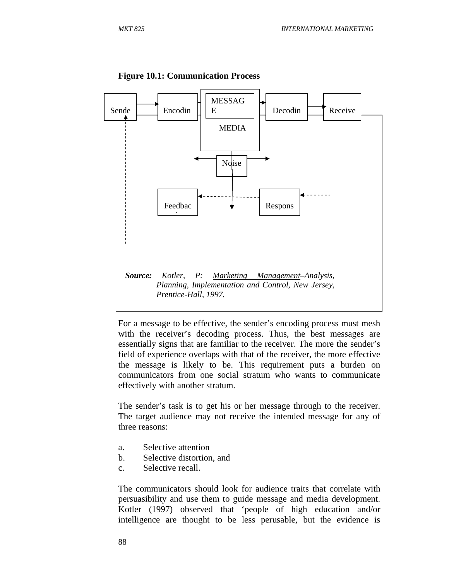

#### **Figure 10.1: Communication Process**

For a message to be effective, the sender's encoding process must mesh with the receiver's decoding process. Thus, the best messages are essentially signs that are familiar to the receiver. The more the sender's field of experience overlaps with that of the receiver, the more effective the message is likely to be. This requirement puts a burden on communicators from one social stratum who wants to communicate effectively with another stratum.

The sender's task is to get his or her message through to the receiver. The target audience may not receive the intended message for any of three reasons:

- a. Selective attention
- b. Selective distortion, and
- c. Selective recall.

The communicators should look for audience traits that correlate with persuasibility and use them to guide message and media development. Kotler (1997) observed that 'people of high education and/or intelligence are thought to be less perusable, but the evidence is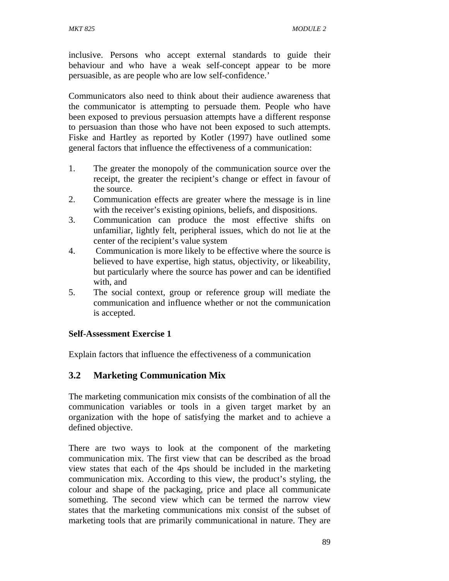inclusive. Persons who accept external standards to guide their behaviour and who have a weak self-concept appear to be more persuasible, as are people who are low self-confidence.'

Communicators also need to think about their audience awareness that the communicator is attempting to persuade them. People who have been exposed to previous persuasion attempts have a different response to persuasion than those who have not been exposed to such attempts. Fiske and Hartley as reported by Kotler (1997) have outlined some general factors that influence the effectiveness of a communication:

- 1. The greater the monopoly of the communication source over the receipt, the greater the recipient's change or effect in favour of the source.
- 2. Communication effects are greater where the message is in line with the receiver's existing opinions, beliefs, and dispositions.
- 3. Communication can produce the most effective shifts on unfamiliar, lightly felt, peripheral issues, which do not lie at the center of the recipient's value system
- 4. Communication is more likely to be effective where the source is believed to have expertise, high status, objectivity, or likeability, but particularly where the source has power and can be identified with, and
- 5. The social context, group or reference group will mediate the communication and influence whether or not the communication is accepted.

### **Self-Assessment Exercise 1**

Explain factors that influence the effectiveness of a communication

## **3.2 Marketing Communication Mix**

The marketing communication mix consists of the combination of all the communication variables or tools in a given target market by an organization with the hope of satisfying the market and to achieve a defined objective.

There are two ways to look at the component of the marketing communication mix. The first view that can be described as the broad view states that each of the 4ps should be included in the marketing communication mix. According to this view, the product's styling, the colour and shape of the packaging, price and place all communicate something. The second view which can be termed the narrow view states that the marketing communications mix consist of the subset of marketing tools that are primarily communicational in nature. They are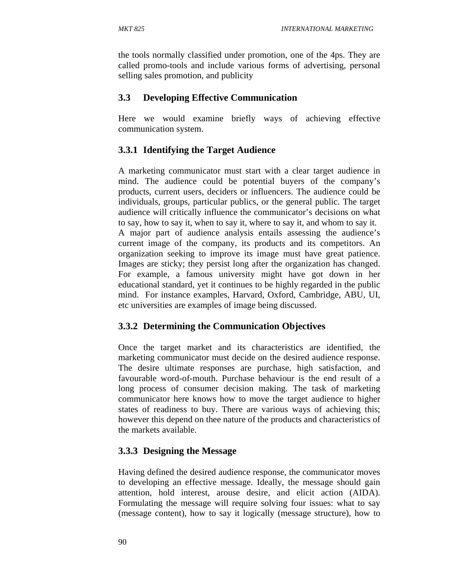the tools normally classified under promotion, one of the 4ps. They are called promo-tools and include various forms of advertising, personal selling sales promotion, and publicity

### **3.3 Developing Effective Communication**

Here we would examine briefly ways of achieving effective communication system.

## **3.3.1 Identifying the Target Audience**

A marketing communicator must start with a clear target audience in mind. The audience could be potential buyers of the company's products, current users, deciders or influencers. The audience could be individuals, groups, particular publics, or the general public. The target audience will critically influence the communicator's decisions on what to say, how to say it, when to say it, where to say it, and whom to say it. A major part of audience analysis entails assessing the audience's current image of the company, its products and its competitors. An organization seeking to improve its image must have great patience. Images are sticky; they persist long after the organization has changed. For example, a famous university might have got down in her educational standard, yet it continues to be highly regarded in the public mind. For instance examples, Harvard, Oxford, Cambridge, ABU, UI, etc universities are examples of image being discussed.

## **3.3.2 Determining the Communication Objectives**

Once the target market and its characteristics are identified, the marketing communicator must decide on the desired audience response. The desire ultimate responses are purchase, high satisfaction, and favourable word-of-mouth. Purchase behaviour is the end result of a long process of consumer decision making. The task of marketing communicator here knows how to move the target audience to higher states of readiness to buy. There are various ways of achieving this; however this depend on thee nature of the products and characteristics of the markets available.

## **3.3.3 Designing the Message**

Having defined the desired audience response, the communicator moves to developing an effective message. Ideally, the message should gain attention, hold interest, arouse desire, and elicit action (AIDA). Formulating the message will require solving four issues: what to say (message content), how to say it logically (message structure), how to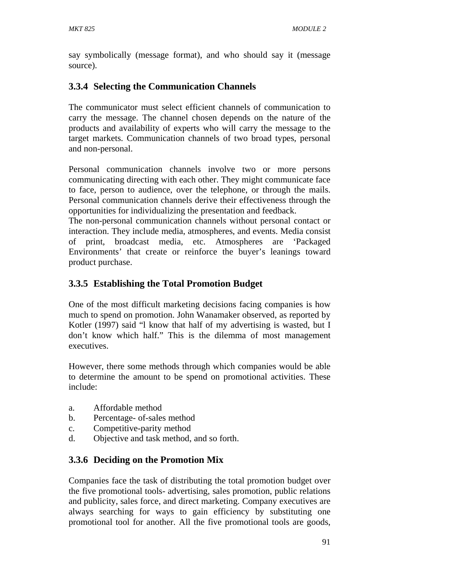say symbolically (message format), and who should say it (message source).

## **3.3.4 Selecting the Communication Channels**

The communicator must select efficient channels of communication to carry the message. The channel chosen depends on the nature of the products and availability of experts who will carry the message to the target markets. Communication channels of two broad types, personal and non-personal.

Personal communication channels involve two or more persons communicating directing with each other. They might communicate face to face, person to audience, over the telephone, or through the mails. Personal communication channels derive their effectiveness through the opportunities for individualizing the presentation and feedback.

The non-personal communication channels without personal contact or interaction. They include media, atmospheres, and events. Media consist of print, broadcast media, etc. Atmospheres are 'Packaged Environments' that create or reinforce the buyer's leanings toward product purchase.

## **3.3.5 Establishing the Total Promotion Budget**

One of the most difficult marketing decisions facing companies is how much to spend on promotion. John Wanamaker observed, as reported by Kotler (1997) said "l know that half of my advertising is wasted, but I don't know which half." This is the dilemma of most management executives.

However, there some methods through which companies would be able to determine the amount to be spend on promotional activities. These include:

- a. Affordable method
- b. Percentage- of-sales method
- c. Competitive-parity method
- d. Objective and task method, and so forth.

## **3.3.6 Deciding on the Promotion Mix**

Companies face the task of distributing the total promotion budget over the five promotional tools- advertising, sales promotion, public relations and publicity, sales force, and direct marketing. Company executives are always searching for ways to gain efficiency by substituting one promotional tool for another. All the five promotional tools are goods,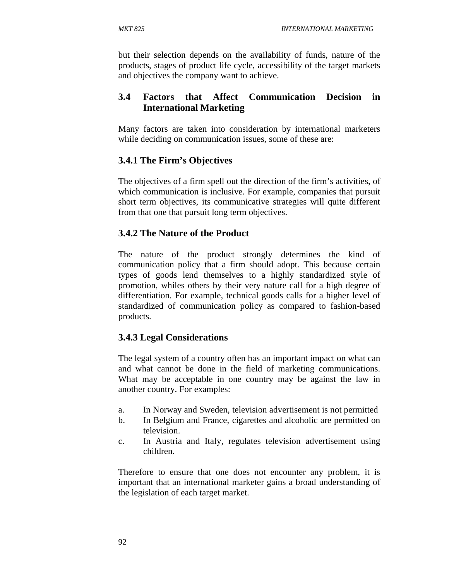but their selection depends on the availability of funds, nature of the products, stages of product life cycle, accessibility of the target markets and objectives the company want to achieve.

## **3.4 Factors that Affect Communication Decision in International Marketing**

Many factors are taken into consideration by international marketers while deciding on communication issues, some of these are:

## **3.4.1 The Firm's Objectives**

The objectives of a firm spell out the direction of the firm's activities, of which communication is inclusive. For example, companies that pursuit short term objectives, its communicative strategies will quite different from that one that pursuit long term objectives.

## **3.4.2 The Nature of the Product**

The nature of the product strongly determines the kind of communication policy that a firm should adopt. This because certain types of goods lend themselves to a highly standardized style of promotion, whiles others by their very nature call for a high degree of differentiation. For example, technical goods calls for a higher level of standardized of communication policy as compared to fashion-based products.

## **3.4.3 Legal Considerations**

The legal system of a country often has an important impact on what can and what cannot be done in the field of marketing communications. What may be acceptable in one country may be against the law in another country. For examples:

- a. In Norway and Sweden, television advertisement is not permitted
- b. In Belgium and France, cigarettes and alcoholic are permitted on television.
- c. In Austria and Italy, regulates television advertisement using children.

Therefore to ensure that one does not encounter any problem, it is important that an international marketer gains a broad understanding of the legislation of each target market.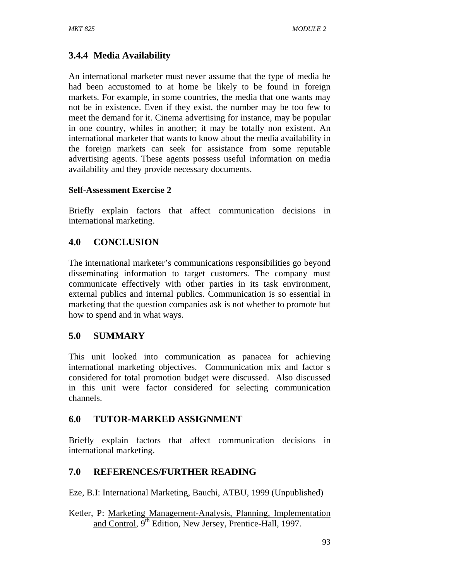# **3.4.4 Media Availability**

An international marketer must never assume that the type of media he had been accustomed to at home be likely to be found in foreign markets. For example, in some countries, the media that one wants may not be in existence. Even if they exist, the number may be too few to meet the demand for it. Cinema advertising for instance, may be popular in one country, whiles in another; it may be totally non existent. An international marketer that wants to know about the media availability in the foreign markets can seek for assistance from some reputable advertising agents. These agents possess useful information on media availability and they provide necessary documents.

### **Self-Assessment Exercise 2**

Briefly explain factors that affect communication decisions in international marketing.

# **4.0 CONCLUSION**

The international marketer's communications responsibilities go beyond disseminating information to target customers. The company must communicate effectively with other parties in its task environment, external publics and internal publics. Communication is so essential in marketing that the question companies ask is not whether to promote but how to spend and in what ways.

## **5.0 SUMMARY**

This unit looked into communication as panacea for achieving international marketing objectives. Communication mix and factor s considered for total promotion budget were discussed. Also discussed in this unit were factor considered for selecting communication channels.

## **6.0 TUTOR-MARKED ASSIGNMENT**

Briefly explain factors that affect communication decisions in international marketing.

## **7.0 REFERENCES/FURTHER READING**

Eze, B.I: International Marketing, Bauchi, ATBU, 1999 (Unpublished)

Ketler, P: Marketing Management-Analysis, Planning, Implementation and Control, 9<sup>th</sup> Edition, New Jersey, Prentice-Hall, 1997.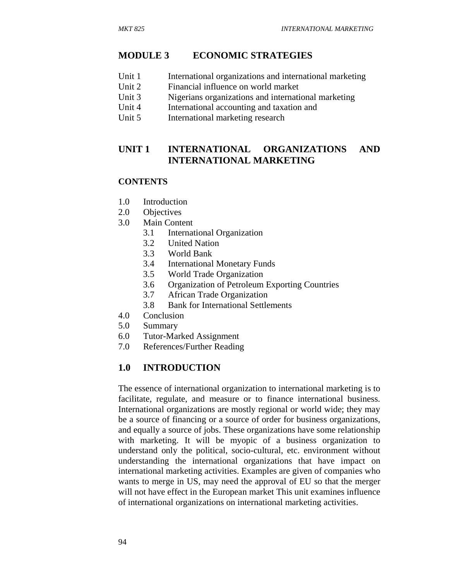#### **MODULE 3 ECONOMIC STRATEGIES**

- Unit 1 International organizations and international marketing
- Unit 2 Financial influence on world market
- Unit 3 Nigerians organizations and international marketing
- Unit 4 International accounting and taxation and
- Unit 5 International marketing research

### **UNIT 1 INTERNATIONAL ORGANIZATIONS AND INTERNATIONAL MARKETING**

#### **CONTENTS**

- 1.0 Introduction
- 2.0 Objectives
- 3.0 Main Content
	- 3.1 International Organization
	- 3.2 United Nation
	- 3.3 World Bank
	- 3.4 International Monetary Funds
	- 3.5 World Trade Organization
	- 3.6 Organization of Petroleum Exporting Countries
	- 3.7 African Trade Organization
	- 3.8 Bank for International Settlements
- 4.0 Conclusion
- 5.0 Summary
- 6.0 Tutor-Marked Assignment
- 7.0 References/Further Reading

### **1.0 INTRODUCTION**

The essence of international organization to international marketing is to facilitate, regulate, and measure or to finance international business. International organizations are mostly regional or world wide; they may be a source of financing or a source of order for business organizations, and equally a source of jobs. These organizations have some relationship with marketing. It will be myopic of a business organization to understand only the political, socio-cultural, etc. environment without understanding the international organizations that have impact on international marketing activities. Examples are given of companies who wants to merge in US, may need the approval of EU so that the merger will not have effect in the European market This unit examines influence of international organizations on international marketing activities.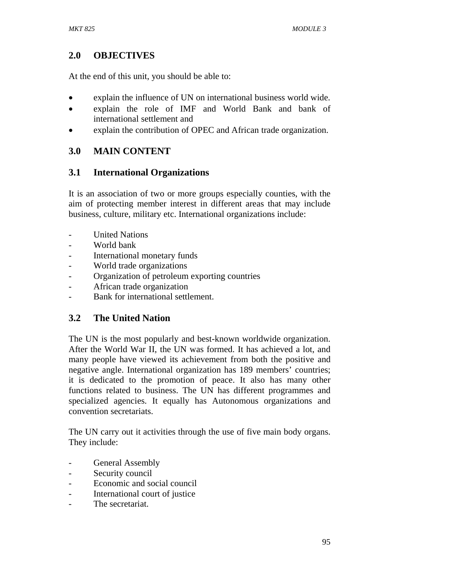## **2.0 OBJECTIVES**

At the end of this unit, you should be able to:

- explain the influence of UN on international business world wide.
- explain the role of IMF and World Bank and bank of international settlement and
- explain the contribution of OPEC and African trade organization.

## **3.0 MAIN CONTENT**

## **3.1 International Organizations**

It is an association of two or more groups especially counties, with the aim of protecting member interest in different areas that may include business, culture, military etc. International organizations include:

- **United Nations**
- World bank
- International monetary funds
- World trade organizations
- Organization of petroleum exporting countries
- African trade organization
- Bank for international settlement.

## **3.2 The United Nation**

The UN is the most popularly and best-known worldwide organization. After the World War II, the UN was formed. It has achieved a lot, and many people have viewed its achievement from both the positive and negative angle. International organization has 189 members' countries; it is dedicated to the promotion of peace. It also has many other functions related to business. The UN has different programmes and specialized agencies. It equally has Autonomous organizations and convention secretariats.

The UN carry out it activities through the use of five main body organs. They include:

- General Assembly
- Security council
- Economic and social council
- International court of justice
- The secretariat.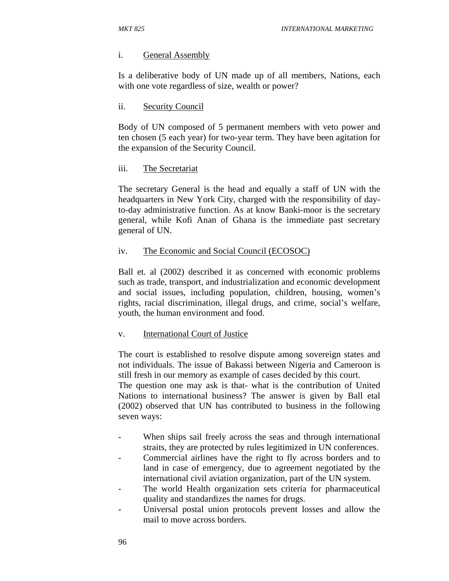#### i. General Assembly

Is a deliberative body of UN made up of all members, Nations, each with one vote regardless of size, wealth or power?

#### ii. Security Council

Body of UN composed of 5 permanent members with veto power and ten chosen (5 each year) for two-year term. They have been agitation for the expansion of the Security Council.

#### iii. The Secretariat

The secretary General is the head and equally a staff of UN with the headquarters in New York City, charged with the responsibility of dayto-day administrative function. As at know Banki-moor is the secretary general, while Kofi Anan of Ghana is the immediate past secretary general of UN.

#### iv. The Economic and Social Council (ECOSOC)

Ball et. al (2002) described it as concerned with economic problems such as trade, transport, and industrialization and economic development and social issues, including population, children, housing, women's rights, racial discrimination, illegal drugs, and crime, social's welfare, youth, the human environment and food.

#### v. International Court of Justice

The court is established to resolve dispute among sovereign states and not individuals. The issue of Bakassi between Nigeria and Cameroon is still fresh in our memory as example of cases decided by this court.

The question one may ask is that- what is the contribution of United Nations to international business? The answer is given by Ball etal (2002) observed that UN has contributed to business in the following seven ways:

- When ships sail freely across the seas and through international straits, they are protected by rules legitimized in UN conferences.
- Commercial airlines have the right to fly across borders and to land in case of emergency, due to agreement negotiated by the international civil aviation organization, part of the UN system.
- The world Health organization sets criteria for pharmaceutical quality and standardizes the names for drugs.
- Universal postal union protocols prevent losses and allow the mail to move across borders.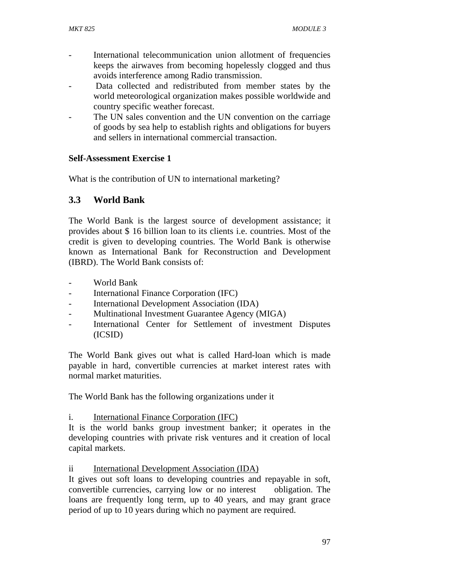- International telecommunication union allotment of frequencies keeps the airwaves from becoming hopelessly clogged and thus avoids interference among Radio transmission.
- Data collected and redistributed from member states by the world meteorological organization makes possible worldwide and country specific weather forecast.
- The UN sales convention and the UN convention on the carriage of goods by sea help to establish rights and obligations for buyers and sellers in international commercial transaction.

### **Self-Assessment Exercise 1**

What is the contribution of UN to international marketing?

## **3.3 World Bank**

The World Bank is the largest source of development assistance; it provides about \$ 16 billion loan to its clients i.e. countries. Most of the credit is given to developing countries. The World Bank is otherwise known as International Bank for Reconstruction and Development (IBRD). The World Bank consists of:

- World Bank
- International Finance Corporation (IFC)
- International Development Association (IDA)
- Multinational Investment Guarantee Agency (MIGA)
- International Center for Settlement of investment Disputes (ICSID)

The World Bank gives out what is called Hard-loan which is made payable in hard, convertible currencies at market interest rates with normal market maturities.

The World Bank has the following organizations under it

i. International Finance Corporation (IFC)

It is the world banks group investment banker; it operates in the developing countries with private risk ventures and it creation of local capital markets.

ii International Development Association (IDA)

It gives out soft loans to developing countries and repayable in soft, convertible currencies, carrying low or no interest obligation. The loans are frequently long term, up to 40 years, and may grant grace period of up to 10 years during which no payment are required.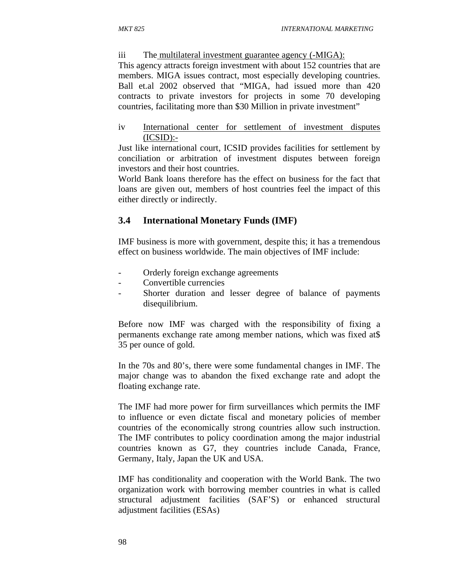#### iii The multilateral investment guarantee agency (-MIGA):

This agency attracts foreign investment with about 152 countries that are members. MIGA issues contract, most especially developing countries. Ball et.al 2002 observed that "MIGA, had issued more than 420 contracts to private investors for projects in some 70 developing countries, facilitating more than \$30 Million in private investment"

#### iv International center for settlement of investment disputes  $(ICSID):$

Just like international court, ICSID provides facilities for settlement by conciliation or arbitration of investment disputes between foreign investors and their host countries.

World Bank loans therefore has the effect on business for the fact that loans are given out, members of host countries feel the impact of this either directly or indirectly.

### **3.4 International Monetary Funds (IMF)**

IMF business is more with government, despite this; it has a tremendous effect on business worldwide. The main objectives of IMF include:

- Orderly foreign exchange agreements
- Convertible currencies
- Shorter duration and lesser degree of balance of payments disequilibrium.

Before now IMF was charged with the responsibility of fixing a permanents exchange rate among member nations, which was fixed at\$ 35 per ounce of gold.

In the 70s and 80's, there were some fundamental changes in IMF. The major change was to abandon the fixed exchange rate and adopt the floating exchange rate.

The IMF had more power for firm surveillances which permits the IMF to influence or even dictate fiscal and monetary policies of member countries of the economically strong countries allow such instruction. The IMF contributes to policy coordination among the major industrial countries known as G7, they countries include Canada, France, Germany, Italy, Japan the UK and USA.

IMF has conditionality and cooperation with the World Bank. The two organization work with borrowing member countries in what is called structural adjustment facilities (SAF'S) or enhanced structural adjustment facilities (ESAs)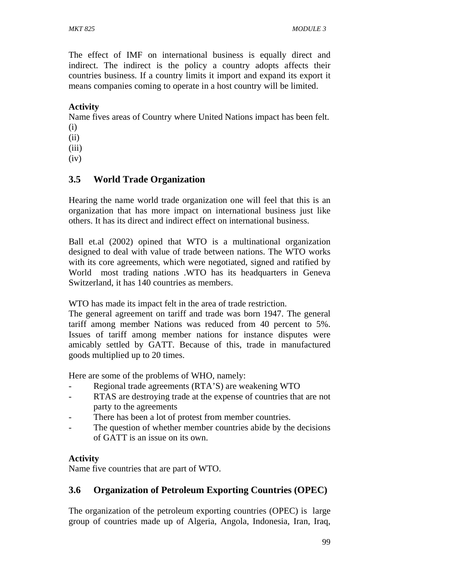The effect of IMF on international business is equally direct and indirect. The indirect is the policy a country adopts affects their countries business. If a country limits it import and expand its export it means companies coming to operate in a host country will be limited.

## **Activity**

Name fives areas of Country where United Nations impact has been felt.

- (i)
- (ii)
- (iii)
- $(iv)$

## **3.5 World Trade Organization**

Hearing the name world trade organization one will feel that this is an organization that has more impact on international business just like others. It has its direct and indirect effect on international business.

Ball et.al (2002) opined that WTO is a multinational organization designed to deal with value of trade between nations. The WTO works with its core agreements, which were negotiated, signed and ratified by World most trading nations .WTO has its headquarters in Geneva Switzerland, it has 140 countries as members.

WTO has made its impact felt in the area of trade restriction.

The general agreement on tariff and trade was born 1947. The general tariff among member Nations was reduced from 40 percent to 5%. Issues of tariff among member nations for instance disputes were amicably settled by GATT. Because of this, trade in manufactured goods multiplied up to 20 times.

Here are some of the problems of WHO, namely:

- Regional trade agreements (RTA'S) are weakening WTO
- RTAS are destroying trade at the expense of countries that are not party to the agreements
- There has been a lot of protest from member countries.
- The question of whether member countries abide by the decisions of GATT is an issue on its own.

## **Activity**

Name five countries that are part of WTO.

## **3.6 Organization of Petroleum Exporting Countries (OPEC)**

The organization of the petroleum exporting countries (OPEC) is large group of countries made up of Algeria, Angola, Indonesia, Iran, Iraq,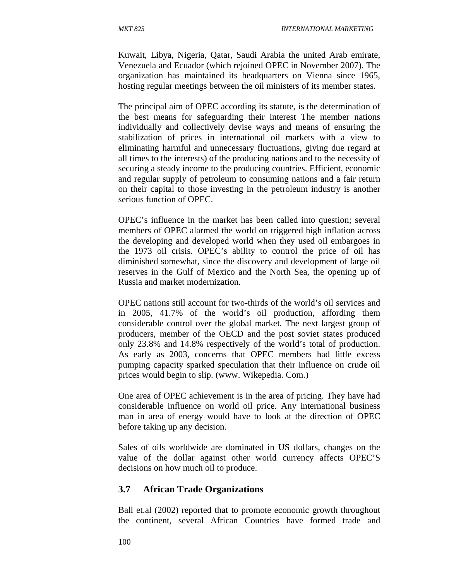Kuwait, Libya, Nigeria, Qatar, Saudi Arabia the united Arab emirate, Venezuela and Ecuador (which rejoined OPEC in November 2007). The organization has maintained its headquarters on Vienna since 1965, hosting regular meetings between the oil ministers of its member states.

The principal aim of OPEC according its statute, is the determination of the best means for safeguarding their interest The member nations individually and collectively devise ways and means of ensuring the stabilization of prices in international oil markets with a view to eliminating harmful and unnecessary fluctuations, giving due regard at all times to the interests) of the producing nations and to the necessity of securing a steady income to the producing countries. Efficient, economic and regular supply of petroleum to consuming nations and a fair return on their capital to those investing in the petroleum industry is another serious function of OPEC.

OPEC's influence in the market has been called into question; several members of OPEC alarmed the world on triggered high inflation across the developing and developed world when they used oil embargoes in the 1973 oil crisis. OPEC's ability to control the price of oil has diminished somewhat, since the discovery and development of large oil reserves in the Gulf of Mexico and the North Sea, the opening up of Russia and market modernization.

OPEC nations still account for two-thirds of the world's oil services and in 2005, 41.7% of the world's oil production, affording them considerable control over the global market. The next largest group of producers, member of the OECD and the post soviet states produced only 23.8% and 14.8% respectively of the world's total of production. As early as 2003, concerns that OPEC members had little excess pumping capacity sparked speculation that their influence on crude oil prices would begin to slip. (www. Wikepedia. Com.)

One area of OPEC achievement is in the area of pricing. They have had considerable influence on world oil price. Any international business man in area of energy would have to look at the direction of OPEC before taking up any decision.

Sales of oils worldwide are dominated in US dollars, changes on the value of the dollar against other world currency affects OPEC'S decisions on how much oil to produce.

### **3.7 African Trade Organizations**

Ball et.al (2002) reported that to promote economic growth throughout the continent, several African Countries have formed trade and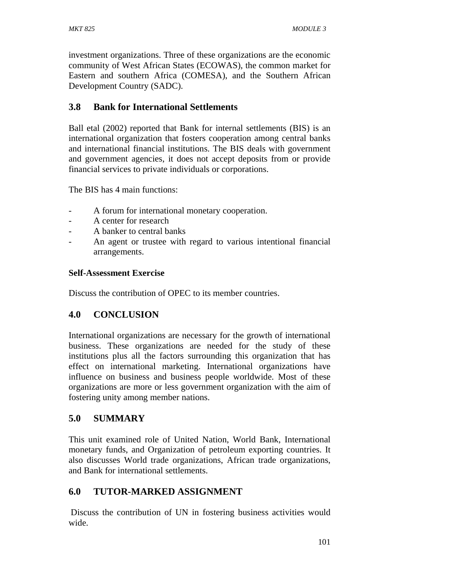investment organizations. Three of these organizations are the economic community of West African States (ECOWAS), the common market for Eastern and southern Africa (COMESA), and the Southern African Development Country (SADC).

# **3.8 Bank for International Settlements**

Ball etal (2002) reported that Bank for internal settlements (BIS) is an international organization that fosters cooperation among central banks and international financial institutions. The BIS deals with government and government agencies, it does not accept deposits from or provide financial services to private individuals or corporations.

The BIS has 4 main functions:

- A forum for international monetary cooperation.
- A center for research
- A banker to central banks
- An agent or trustee with regard to various intentional financial arrangements.

## **Self-Assessment Exercise**

Discuss the contribution of OPEC to its member countries.

# **4.0 CONCLUSION**

International organizations are necessary for the growth of international business. These organizations are needed for the study of these institutions plus all the factors surrounding this organization that has effect on international marketing. International organizations have influence on business and business people worldwide. Most of these organizations are more or less government organization with the aim of fostering unity among member nations.

# **5.0 SUMMARY**

This unit examined role of United Nation, World Bank, International monetary funds, and Organization of petroleum exporting countries. It also discusses World trade organizations, African trade organizations, and Bank for international settlements.

# **6.0 TUTOR-MARKED ASSIGNMENT**

 Discuss the contribution of UN in fostering business activities would wide.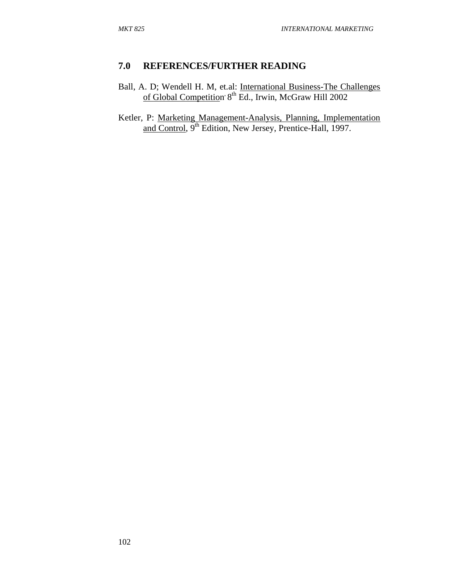### **7.0 REFERENCES/FURTHER READING**

- Ball, A. D; Wendell H. M, et.al: International Business-The Challenges of Global Competition<sup>, 8th</sup> Ed., Irwin, McGraw Hill 2002
- Ketler, P: Marketing Management-Analysis, Planning, Implementation and Control, 9<sup>th</sup> Edition, New Jersey, Prentice-Hall, 1997.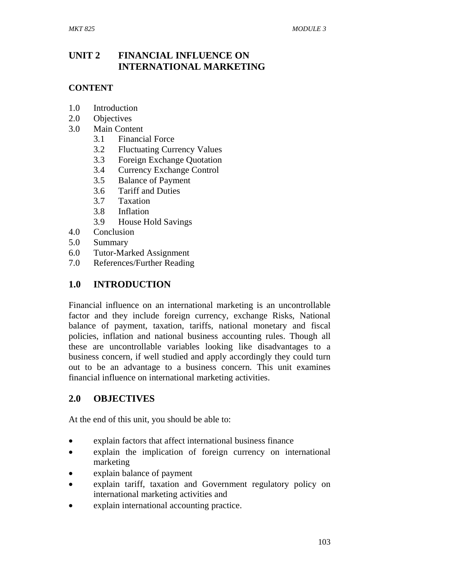## **UNIT 2 FINANCIAL INFLUENCE ON INTERNATIONAL MARKETING**

### **CONTENT**

- 1.0 Introduction
- 2.0 Objectives
- 3.0 Main Content
	- 3.1 Financial Force
	- 3.2 Fluctuating Currency Values
	- 3.3 Foreign Exchange Quotation
	- 3.4 Currency Exchange Control
	- 3.5 Balance of Payment
	- 3.6 Tariff and Duties
	- 3.7 Taxation
	- 3.8 Inflation
	- 3.9 House Hold Savings
- 4.0 Conclusion
- 5.0 Summary
- 6.0 Tutor-Marked Assignment
- 7.0 References/Further Reading

### **1.0 INTRODUCTION**

Financial influence on an international marketing is an uncontrollable factor and they include foreign currency, exchange Risks, National balance of payment, taxation, tariffs, national monetary and fiscal policies, inflation and national business accounting rules. Though all these are uncontrollable variables looking like disadvantages to a business concern, if well studied and apply accordingly they could turn out to be an advantage to a business concern. This unit examines financial influence on international marketing activities.

### **2.0 OBJECTIVES**

At the end of this unit, you should be able to:

- explain factors that affect international business finance
- explain the implication of foreign currency on international marketing
- explain balance of payment
- explain tariff, taxation and Government regulatory policy on international marketing activities and
- explain international accounting practice.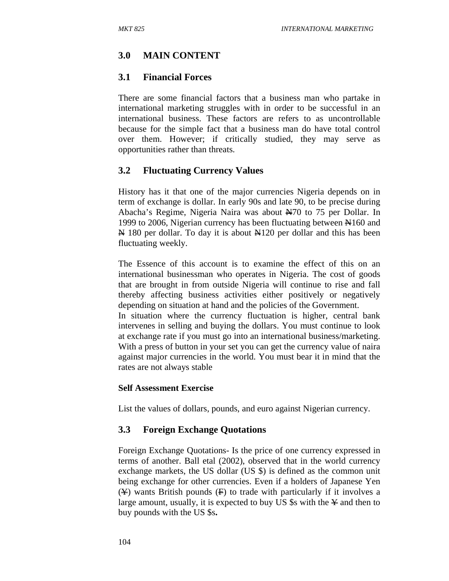# **3.0 MAIN CONTENT**

### **3.1 Financial Forces**

There are some financial factors that a business man who partake in international marketing struggles with in order to be successful in an international business. These factors are refers to as uncontrollable because for the simple fact that a business man do have total control over them. However; if critically studied, they may serve as opportunities rather than threats.

### **3.2 Fluctuating Currency Values**

History has it that one of the major currencies Nigeria depends on in term of exchange is dollar. In early 90s and late 90, to be precise during Abacha's Regime, Nigeria Naira was about  $\frac{N}{10}$  to 75 per Dollar. In 1999 to 2006, Nigerian currency has been fluctuating between N160 and  $\overline{N}$  180 per dollar. To day it is about  $\overline{N}$ 120 per dollar and this has been fluctuating weekly.

The Essence of this account is to examine the effect of this on an international businessman who operates in Nigeria. The cost of goods that are brought in from outside Nigeria will continue to rise and fall thereby affecting business activities either positively or negatively depending on situation at hand and the policies of the Government. In situation where the currency fluctuation is higher, central bank intervenes in selling and buying the dollars. You must continue to look at exchange rate if you must go into an international business/marketing. With a press of button in your set you can get the currency value of naira against major currencies in the world. You must bear it in mind that the rates are not always stable

### **Self Assessment Exercise**

List the values of dollars, pounds, and euro against Nigerian currency.

### **3.3 Foreign Exchange Quotations**

Foreign Exchange Quotations- Is the price of one currency expressed in terms of another. Ball etal (2002), observed that in the world currency exchange markets, the US dollar (US \$) is defined as the common unit being exchange for other currencies. Even if a holders of Japanese Yen  $(\frac{\gamma}{\gamma})$  wants British pounds  $(\frac{\gamma}{\gamma})$  to trade with particularly if it involves a large amount, usually, it is expected to buy US  $\$ s with the  $\angle$  and then to buy pounds with the US \$s**.**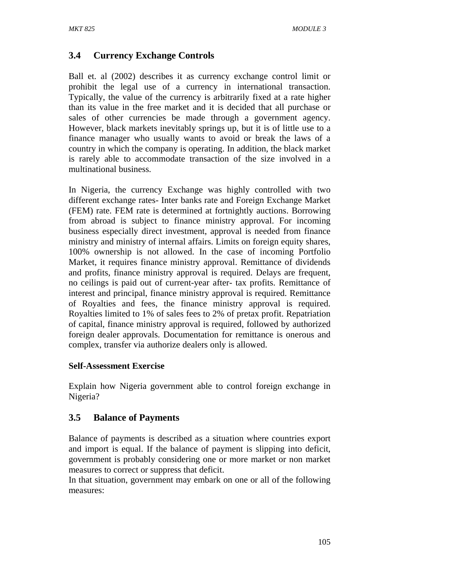# **3.4 Currency Exchange Controls**

Ball et. al (2002) describes it as currency exchange control limit or prohibit the legal use of a currency in international transaction. Typically, the value of the currency is arbitrarily fixed at a rate higher than its value in the free market and it is decided that all purchase or sales of other currencies be made through a government agency. However, black markets inevitably springs up, but it is of little use to a finance manager who usually wants to avoid or break the laws of a country in which the company is operating. In addition, the black market is rarely able to accommodate transaction of the size involved in a multinational business.

In Nigeria, the currency Exchange was highly controlled with two different exchange rates- Inter banks rate and Foreign Exchange Market (FEM) rate. FEM rate is determined at fortnightly auctions. Borrowing from abroad is subject to finance ministry approval. For incoming business especially direct investment, approval is needed from finance ministry and ministry of internal affairs. Limits on foreign equity shares, 100% ownership is not allowed. In the case of incoming Portfolio Market, it requires finance ministry approval. Remittance of dividends and profits, finance ministry approval is required. Delays are frequent, no ceilings is paid out of current-year after- tax profits. Remittance of interest and principal, finance ministry approval is required. Remittance of Royalties and fees, the finance ministry approval is required. Royalties limited to 1% of sales fees to 2% of pretax profit. Repatriation of capital, finance ministry approval is required, followed by authorized foreign dealer approvals. Documentation for remittance is onerous and complex, transfer via authorize dealers only is allowed.

### **Self-Assessment Exercise**

Explain how Nigeria government able to control foreign exchange in Nigeria?

## **3.5 Balance of Payments**

Balance of payments is described as a situation where countries export and import is equal. If the balance of payment is slipping into deficit, government is probably considering one or more market or non market measures to correct or suppress that deficit.

In that situation, government may embark on one or all of the following measures: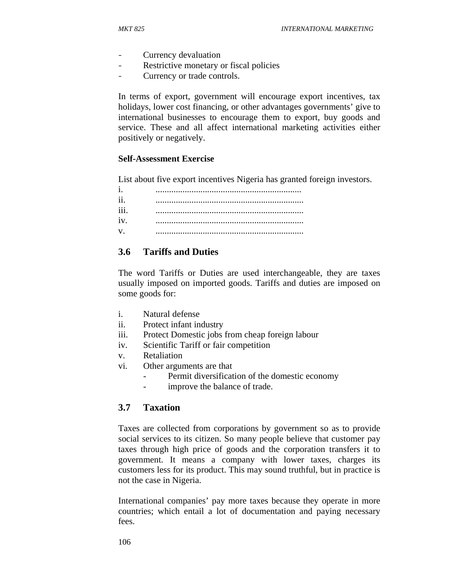- Currency devaluation
- Restrictive monetary or fiscal policies
- Currency or trade controls.

In terms of export, government will encourage export incentives, tax holidays, lower cost financing, or other advantages governments' give to international businesses to encourage them to export, buy goods and service. These and all affect international marketing activities either positively or negatively.

#### **Self-Assessment Exercise**

List about five export incentives Nigeria has granted foreign investors.

| i.   |  |
|------|--|
| 11   |  |
| 111. |  |
| iv.  |  |
| V    |  |

### **3.6 Tariffs and Duties**

The word Tariffs or Duties are used interchangeable, they are taxes usually imposed on imported goods. Tariffs and duties are imposed on some goods for:

- i. Natural defense
- ii. Protect infant industry
- iii. Protect Domestic jobs from cheap foreign labour
- iv. Scientific Tariff or fair competition
- v. Retaliation
- vi. Other arguments are that
	- Permit diversification of the domestic economy
	- improve the balance of trade.

#### **3.7 Taxation**

Taxes are collected from corporations by government so as to provide social services to its citizen. So many people believe that customer pay taxes through high price of goods and the corporation transfers it to government. It means a company with lower taxes, charges its customers less for its product. This may sound truthful, but in practice is not the case in Nigeria.

International companies' pay more taxes because they operate in more countries; which entail a lot of documentation and paying necessary fees.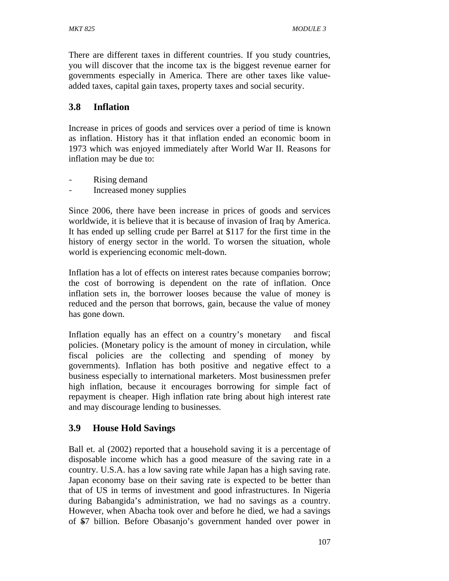There are different taxes in different countries. If you study countries, you will discover that the income tax is the biggest revenue earner for governments especially in America. There are other taxes like valueadded taxes, capital gain taxes, property taxes and social security.

### **3.8 Inflation**

Increase in prices of goods and services over a period of time is known as inflation. History has it that inflation ended an economic boom in 1973 which was enjoyed immediately after World War II. Reasons for inflation may be due to:

- Rising demand
- Increased money supplies

Since 2006, there have been increase in prices of goods and services worldwide, it is believe that it is because of invasion of Iraq by America. It has ended up selling crude per Barrel at \$117 for the first time in the history of energy sector in the world. To worsen the situation, whole world is experiencing economic melt-down.

Inflation has a lot of effects on interest rates because companies borrow; the cost of borrowing is dependent on the rate of inflation. Once inflation sets in, the borrower looses because the value of money is reduced and the person that borrows, gain, because the value of money has gone down.

Inflation equally has an effect on a country's monetary and fiscal policies. (Monetary policy is the amount of money in circulation, while fiscal policies are the collecting and spending of money by governments). Inflation has both positive and negative effect to a business especially to international marketers. Most businessmen prefer high inflation, because it encourages borrowing for simple fact of repayment is cheaper. High inflation rate bring about high interest rate and may discourage lending to businesses.

## **3.9 House Hold Savings**

Ball et. al (2002) reported that a household saving it is a percentage of disposable income which has a good measure of the saving rate in a country. U.S.A. has a low saving rate while Japan has a high saving rate. Japan economy base on their saving rate is expected to be better than that of US in terms of investment and good infrastructures. In Nigeria during Babangida's administration, we had no savings as a country. However, when Abacha took over and before he died, we had a savings of \$7 billion. Before Obasanjo's government handed over power in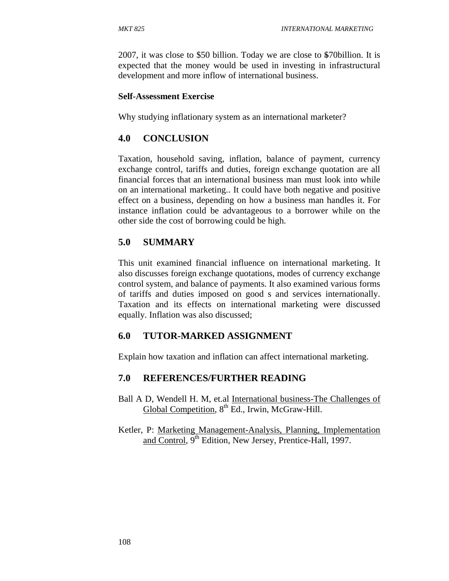2007, it was close to \$50 billion. Today we are close to \$70billion. It is expected that the money would be used in investing in infrastructural development and more inflow of international business.

#### **Self-Assessment Exercise**

Why studying inflationary system as an international marketer?

### **4.0 CONCLUSION**

Taxation, household saving, inflation, balance of payment, currency exchange control, tariffs and duties, foreign exchange quotation are all financial forces that an international business man must look into while on an international marketing.. It could have both negative and positive effect on a business, depending on how a business man handles it. For instance inflation could be advantageous to a borrower while on the other side the cost of borrowing could be high.

### **5.0 SUMMARY**

This unit examined financial influence on international marketing. It also discusses foreign exchange quotations, modes of currency exchange control system, and balance of payments. It also examined various forms of tariffs and duties imposed on good s and services internationally. Taxation and its effects on international marketing were discussed equally. Inflation was also discussed;

### **6.0 TUTOR-MARKED ASSIGNMENT**

Explain how taxation and inflation can affect international marketing.

### **7.0 REFERENCES/FURTHER READING**

- Ball A D, Wendell H. M, et.al International business-The Challenges of Global Competition,  $8<sup>th</sup>$  Ed., Irwin, McGraw-Hill.
- Ketler, P: Marketing Management-Analysis, Planning, Implementation and Control, 9<sup>th</sup> Edition, New Jersey, Prentice-Hall, 1997.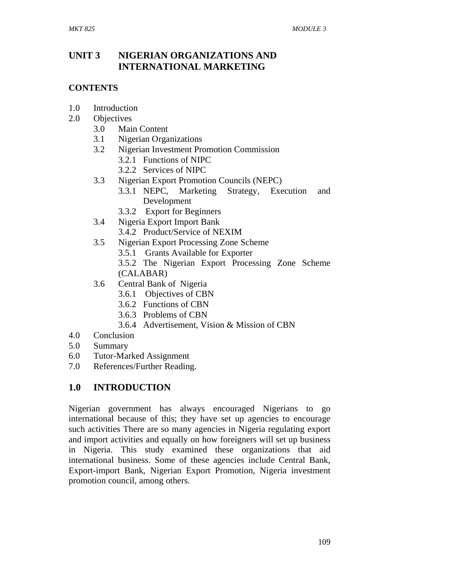### **UNIT 3 NIGERIAN ORGANIZATIONS AND INTERNATIONAL MARKETING**

### **CONTENTS**

- 1.0 Introduction
- 2.0 Objectives
	- 3.0 Main Content
	- 3.1 Nigerian Organizations
	- 3.2 Nigerian Investment Promotion Commission
		- 3.2.1 Functions of NIPC
		- 3.2.2 Services of NIPC
	- 3.3 Nigerian Export Promotion Councils (NEPC)
		- 3.3.1 NEPC, Marketing Strategy, Execution and Development
		- 3.3.2 Export for Beginners
	- 3.4 Nigeria Export Import Bank
		- 3.4.2 Product/Service of NEXIM
	- 3.5 Nigerian Export Processing Zone Scheme
		- 3.5.1 Grants Available for Exporter
		- 3.5.2 The Nigerian Export Processing Zone Scheme (CALABAR)
	- 3.6 Central Bank of Nigeria
		- 3.6.1 Objectives of CBN
		- 3.6.2 Functions of CBN
		- 3.6.3 Problems of CBN
		- 3.6.4 Advertisement, Vision & Mission of CBN
- 4.0 Conclusion
- 5.0 Summary
- 6.0 Tutor-Marked Assignment
- 7.0 References/Further Reading.

## **1.0 INTRODUCTION**

Nigerian government has always encouraged Nigerians to go international because of this; they have set up agencies to encourage such activities There are so many agencies in Nigeria regulating export and import activities and equally on how foreigners will set up business in Nigeria. This study examined these organizations that aid international business. Some of these agencies include Central Bank, Export-import Bank, Nigerian Export Promotion, Nigeria investment promotion council, among others.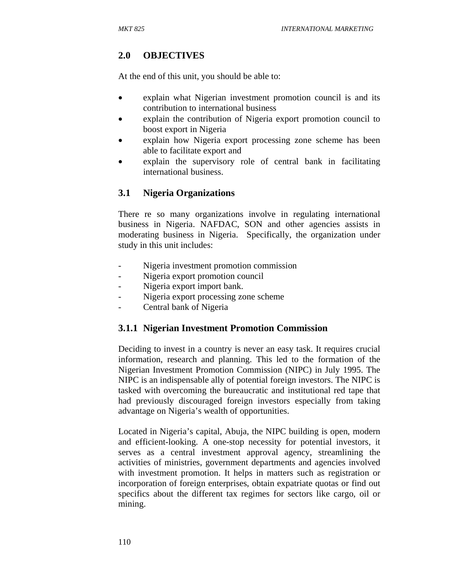# **2.0 OBJECTIVES**

At the end of this unit, you should be able to:

- explain what Nigerian investment promotion council is and its contribution to international business
- explain the contribution of Nigeria export promotion council to boost export in Nigeria
- explain how Nigeria export processing zone scheme has been able to facilitate export and
- explain the supervisory role of central bank in facilitating international business.

## **3.1 Nigeria Organizations**

There re so many organizations involve in regulating international business in Nigeria. NAFDAC, SON and other agencies assists in moderating business in Nigeria. Specifically, the organization under study in this unit includes:

- Nigeria investment promotion commission
- Nigeria export promotion council
- Nigeria export import bank.
- Nigeria export processing zone scheme
- Central bank of Nigeria

## **3.1.1 Nigerian Investment Promotion Commission**

Deciding to invest in a country is never an easy task. It requires crucial information, research and planning. This led to the formation of the Nigerian Investment Promotion Commission (NIPC) in July 1995. The NIPC is an indispensable ally of potential foreign investors. The NIPC is tasked with overcoming the bureaucratic and institutional red tape that had previously discouraged foreign investors especially from taking advantage on Nigeria's wealth of opportunities.

Located in Nigeria's capital, Abuja, the NIPC building is open, modern and efficient-looking. A one-stop necessity for potential investors, it serves as a central investment approval agency, streamlining the activities of ministries, government departments and agencies involved with investment promotion. It helps in matters such as registration or incorporation of foreign enterprises, obtain expatriate quotas or find out specifics about the different tax regimes for sectors like cargo, oil or mining.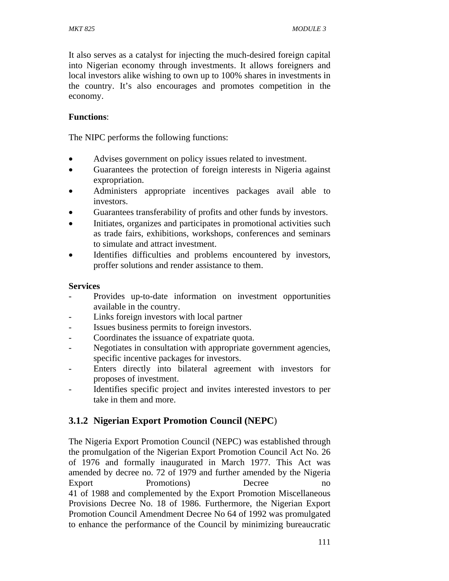It also serves as a catalyst for injecting the much-desired foreign capital into Nigerian economy through investments. It allows foreigners and local investors alike wishing to own up to 100% shares in investments in the country. It's also encourages and promotes competition in the economy.

### **Functions**:

The NIPC performs the following functions:

- Advises government on policy issues related to investment.
- Guarantees the protection of foreign interests in Nigeria against expropriation.
- Administers appropriate incentives packages avail able to investors.
- Guarantees transferability of profits and other funds by investors.
- Initiates, organizes and participates in promotional activities such as trade fairs, exhibitions, workshops, conferences and seminars to simulate and attract investment.
- Identifies difficulties and problems encountered by investors, proffer solutions and render assistance to them.

#### **Services**

- Provides up-to-date information on investment opportunities available in the country.
- Links foreign investors with local partner
- Issues business permits to foreign investors.
- Coordinates the issuance of expatriate quota.
- Negotiates in consultation with appropriate government agencies, specific incentive packages for investors.
- Enters directly into bilateral agreement with investors for proposes of investment.
- Identifies specific project and invites interested investors to per take in them and more.

### **3.1.2 Nigerian Export Promotion Council (NEPC**)

The Nigeria Export Promotion Council (NEPC) was established through the promulgation of the Nigerian Export Promotion Council Act No. 26 of 1976 and formally inaugurated in March 1977. This Act was amended by decree no. 72 of 1979 and further amended by the Nigeria Export Promotions) Decree no 41 of 1988 and complemented by the Export Promotion Miscellaneous Provisions Decree No. 18 of 1986. Furthermore, the Nigerian Export Promotion Council Amendment Decree No 64 of 1992 was promulgated to enhance the performance of the Council by minimizing bureaucratic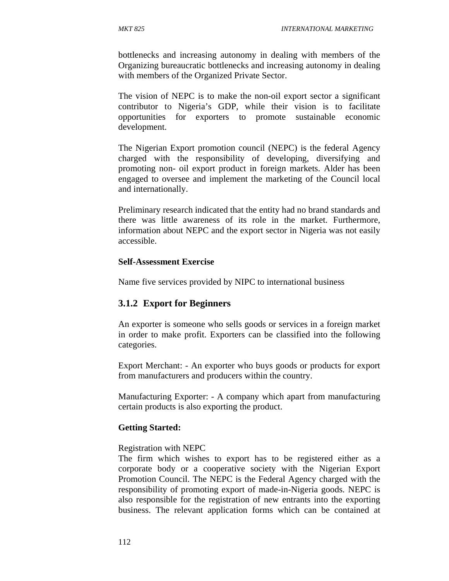bottlenecks and increasing autonomy in dealing with members of the Organizing bureaucratic bottlenecks and increasing autonomy in dealing with members of the Organized Private Sector.

The vision of NEPC is to make the non-oil export sector a significant contributor to Nigeria's GDP, while their vision is to facilitate opportunities for exporters to promote sustainable economic development.

The Nigerian Export promotion council (NEPC) is the federal Agency charged with the responsibility of developing, diversifying and promoting non- oil export product in foreign markets. Alder has been engaged to oversee and implement the marketing of the Council local and internationally.

Preliminary research indicated that the entity had no brand standards and there was little awareness of its role in the market. Furthermore, information about NEPC and the export sector in Nigeria was not easily accessible.

#### **Self-Assessment Exercise**

Name five services provided by NIPC to international business

#### **3.1.2 Export for Beginners**

An exporter is someone who sells goods or services in a foreign market in order to make profit. Exporters can be classified into the following categories.

Export Merchant: - An exporter who buys goods or products for export from manufacturers and producers within the country.

Manufacturing Exporter: - A company which apart from manufacturing certain products is also exporting the product.

#### **Getting Started:**

#### Registration with NEPC

The firm which wishes to export has to be registered either as a corporate body or a cooperative society with the Nigerian Export Promotion Council. The NEPC is the Federal Agency charged with the responsibility of promoting export of made-in-Nigeria goods. NEPC is also responsible for the registration of new entrants into the exporting business. The relevant application forms which can be contained at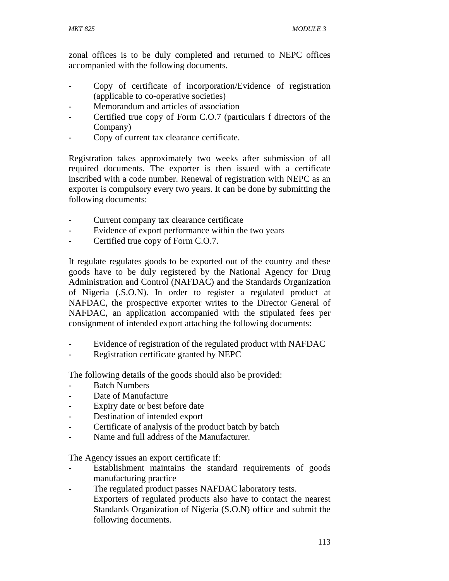zonal offices is to be duly completed and returned to NEPC offices accompanied with the following documents.

- Copy of certificate of incorporation/Evidence of registration (applicable to co-operative societies)
- Memorandum and articles of association
- Certified true copy of Form C.O.7 (particulars f directors of the Company)
- Copy of current tax clearance certificate.

Registration takes approximately two weeks after submission of all required documents. The exporter is then issued with a certificate inscribed with a code number. Renewal of registration with NEPC as an exporter is compulsory every two years. It can be done by submitting the following documents:

- Current company tax clearance certificate
- Evidence of export performance within the two years
- Certified true copy of Form C.O.7.

It regulate regulates goods to be exported out of the country and these goods have to be duly registered by the National Agency for Drug Administration and Control (NAFDAC) and the Standards Organization of Nigeria (.S.O.N). In order to register a regulated product at NAFDAC, the prospective exporter writes to the Director General of NAFDAC, an application accompanied with the stipulated fees per consignment of intended export attaching the following documents:

- Evidence of registration of the regulated product with NAFDAC
- Registration certificate granted by NEPC

The following details of the goods should also be provided:

- Batch Numbers
- Date of Manufacture
- Expiry date or best before date
- Destination of intended export
- Certificate of analysis of the product batch by batch
- Name and full address of the Manufacturer.

The Agency issues an export certificate if:

- Establishment maintains the standard requirements of goods manufacturing practice
- The regulated product passes NAFDAC laboratory tests. Exporters of regulated products also have to contact the nearest Standards Organization of Nigeria (S.O.N) office and submit the following documents.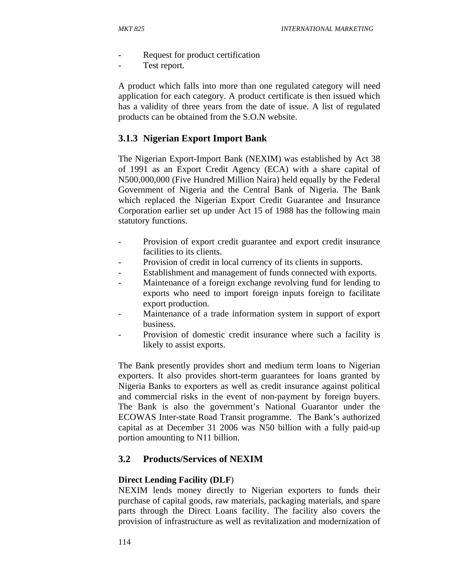- Request for product certification
- Test report.

A product which falls into more than one regulated category will need application for each category. A product certificate is then issued which has a validity of three years from the date of issue. A list of regulated products can be obtained from the S.O.N website.

## **3.1.3 Nigerian Export Import Bank**

The Nigerian Export-Import Bank (NEXIM) was established by Act 38 of 1991 as an Export Credit Agency (ECA) with a share capital of N500,000,000 (Five Hundred Million Naira) held equally by the Federal Government of Nigeria and the Central Bank of Nigeria. The Bank which replaced the Nigerian Export Credit Guarantee and Insurance Corporation earlier set up under Act 15 of 1988 has the following main statutory functions.

- Provision of export credit guarantee and export credit insurance facilities to its clients.
- Provision of credit in local currency of its clients in supports.
- Establishment and management of funds connected with exports.
- Maintenance of a foreign exchange revolving fund for lending to exports who need to import foreign inputs foreign to facilitate export production.
- Maintenance of a trade information system in support of export business.
- Provision of domestic credit insurance where such a facility is likely to assist exports.

The Bank presently provides short and medium term loans to Nigerian exporters. It also provides short-term guarantees for loans granted by Nigeria Banks to exporters as well as credit insurance against political and commercial risks in the event of non-payment by foreign buyers. The Bank is also the government's National Guarantor under the ECOWAS Inter-state Road Transit programme. The Bank's authorized capital as at December 31 2006 was N50 billion with a fully paid-up portion amounting to N11 billion.

### **3.2 Products/Services of NEXIM**

### **Direct Lending Facility (DLF**)

NEXIM lends money directly to Nigerian exporters to funds their purchase of capital goods, raw materials, packaging materials, and spare parts through the Direct Loans facility. The facility also covers the provision of infrastructure as well as revitalization and modernization of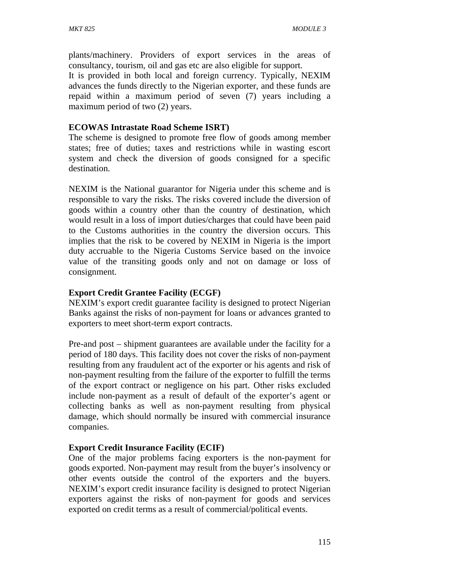plants/machinery. Providers of export services in the areas of consultancy, tourism, oil and gas etc are also eligible for support.

It is provided in both local and foreign currency. Typically, NEXIM advances the funds directly to the Nigerian exporter, and these funds are repaid within a maximum period of seven (7) years including a maximum period of two (2) years.

### **ECOWAS Intrastate Road Scheme ISRT)**

The scheme is designed to promote free flow of goods among member states; free of duties; taxes and restrictions while in wasting escort system and check the diversion of goods consigned for a specific destination.

NEXIM is the National guarantor for Nigeria under this scheme and is responsible to vary the risks. The risks covered include the diversion of goods within a country other than the country of destination, which would result in a loss of import duties/charges that could have been paid to the Customs authorities in the country the diversion occurs. This implies that the risk to be covered by NEXIM in Nigeria is the import duty accruable to the Nigeria Customs Service based on the invoice value of the transiting goods only and not on damage or loss of consignment.

### **Export Credit Grantee Facility (ECGF)**

NEXIM's export credit guarantee facility is designed to protect Nigerian Banks against the risks of non-payment for loans or advances granted to exporters to meet short-term export contracts.

Pre-and post – shipment guarantees are available under the facility for a period of 180 days. This facility does not cover the risks of non-payment resulting from any fraudulent act of the exporter or his agents and risk of non-payment resulting from the failure of the exporter to fulfill the terms of the export contract or negligence on his part. Other risks excluded include non-payment as a result of default of the exporter's agent or collecting banks as well as non-payment resulting from physical damage, which should normally be insured with commercial insurance companies.

### **Export Credit Insurance Facility (ECIF)**

One of the major problems facing exporters is the non-payment for goods exported. Non-payment may result from the buyer's insolvency or other events outside the control of the exporters and the buyers. NEXIM's export credit insurance facility is designed to protect Nigerian exporters against the risks of non-payment for goods and services exported on credit terms as a result of commercial/political events.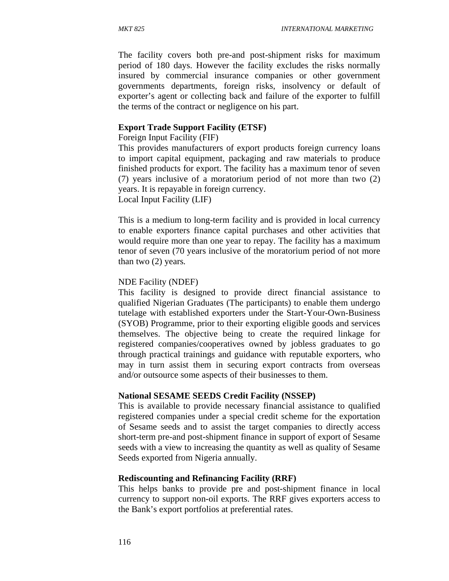The facility covers both pre-and post-shipment risks for maximum period of 180 days. However the facility excludes the risks normally insured by commercial insurance companies or other government governments departments, foreign risks, insolvency or default of exporter's agent or collecting back and failure of the exporter to fulfill the terms of the contract or negligence on his part.

### **Export Trade Support Facility (ETSF)**

Foreign Input Facility (FIF)

This provides manufacturers of export products foreign currency loans to import capital equipment, packaging and raw materials to produce finished products for export. The facility has a maximum tenor of seven (7) years inclusive of a moratorium period of not more than two (2) years. It is repayable in foreign currency.

Local Input Facility (LIF)

This is a medium to long-term facility and is provided in local currency to enable exporters finance capital purchases and other activities that would require more than one year to repay. The facility has a maximum tenor of seven (70 years inclusive of the moratorium period of not more than two (2) years.

#### NDE Facility (NDEF)

This facility is designed to provide direct financial assistance to qualified Nigerian Graduates (The participants) to enable them undergo tutelage with established exporters under the Start-Your-Own-Business (SYOB) Programme, prior to their exporting eligible goods and services themselves. The objective being to create the required linkage for registered companies/cooperatives owned by jobless graduates to go through practical trainings and guidance with reputable exporters, who may in turn assist them in securing export contracts from overseas and/or outsource some aspects of their businesses to them.

### **National SESAME SEEDS Credit Facility (NSSEP)**

This is available to provide necessary financial assistance to qualified registered companies under a special credit scheme for the exportation of Sesame seeds and to assist the target companies to directly access short-term pre-and post-shipment finance in support of export of Sesame seeds with a view to increasing the quantity as well as quality of Sesame Seeds exported from Nigeria annually.

### **Rediscounting and Refinancing Facility (RRF)**

This helps banks to provide pre and post-shipment finance in local currency to support non-oil exports. The RRF gives exporters access to the Bank's export portfolios at preferential rates.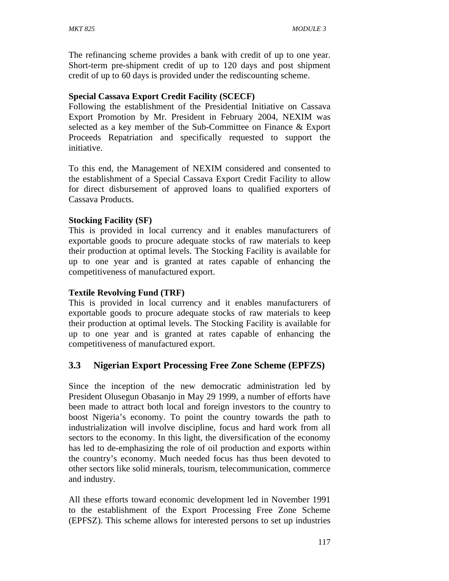The refinancing scheme provides a bank with credit of up to one year. Short-term pre-shipment credit of up to 120 days and post shipment credit of up to 60 days is provided under the rediscounting scheme.

### **Special Cassava Export Credit Facility (SCECF)**

Following the establishment of the Presidential Initiative on Cassava Export Promotion by Mr. President in February 2004, NEXIM was selected as a key member of the Sub-Committee on Finance & Export Proceeds Repatriation and specifically requested to support the initiative.

To this end, the Management of NEXIM considered and consented to the establishment of a Special Cassava Export Credit Facility to allow for direct disbursement of approved loans to qualified exporters of Cassava Products.

### **Stocking Facility (SF)**

This is provided in local currency and it enables manufacturers of exportable goods to procure adequate stocks of raw materials to keep their production at optimal levels. The Stocking Facility is available for up to one year and is granted at rates capable of enhancing the competitiveness of manufactured export.

### **Textile Revolving Fund (TRF)**

This is provided in local currency and it enables manufacturers of exportable goods to procure adequate stocks of raw materials to keep their production at optimal levels. The Stocking Facility is available for up to one year and is granted at rates capable of enhancing the competitiveness of manufactured export.

### **3.3 Nigerian Export Processing Free Zone Scheme (EPFZS)**

Since the inception of the new democratic administration led by President Olusegun Obasanjo in May 29 1999, a number of efforts have been made to attract both local and foreign investors to the country to boost Nigeria's economy. To point the country towards the path to industrialization will involve discipline, focus and hard work from all sectors to the economy. In this light, the diversification of the economy has led to de-emphasizing the role of oil production and exports within the country's economy. Much needed focus has thus been devoted to other sectors like solid minerals, tourism, telecommunication, commerce and industry.

All these efforts toward economic development led in November 1991 to the establishment of the Export Processing Free Zone Scheme (EPFSZ). This scheme allows for interested persons to set up industries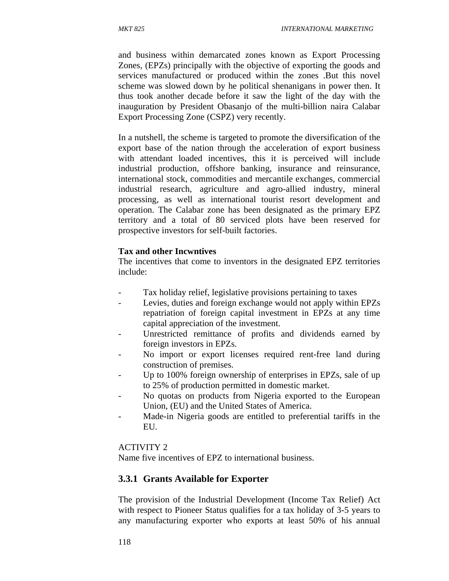and business within demarcated zones known as Export Processing Zones, (EPZs) principally with the objective of exporting the goods and services manufactured or produced within the zones .But this novel scheme was slowed down by he political shenanigans in power then. It thus took another decade before it saw the light of the day with the inauguration by President Obasanjo of the multi-billion naira Calabar Export Processing Zone (CSPZ) very recently.

In a nutshell, the scheme is targeted to promote the diversification of the export base of the nation through the acceleration of export business with attendant loaded incentives, this it is perceived will include industrial production, offshore banking, insurance and reinsurance, international stock, commodities and mercantile exchanges, commercial industrial research, agriculture and agro-allied industry, mineral processing, as well as international tourist resort development and operation. The Calabar zone has been designated as the primary EPZ territory and a total of 80 serviced plots have been reserved for prospective investors for self-built factories.

#### **Tax and other Incwntives**

The incentives that come to inventors in the designated EPZ territories include:

- Tax holiday relief, legislative provisions pertaining to taxes
- Levies, duties and foreign exchange would not apply within EPZs repatriation of foreign capital investment in EPZs at any time capital appreciation of the investment.
- Unrestricted remittance of profits and dividends earned by foreign investors in EPZs.
- No import or export licenses required rent-free land during construction of premises.
- Up to 100% foreign ownership of enterprises in EPZs, sale of up to 25% of production permitted in domestic market.
- No quotas on products from Nigeria exported to the European Union, (EU) and the United States of America.
- Made-in Nigeria goods are entitled to preferential tariffs in the EU.

### ACTIVITY 2

Name five incentives of EPZ to international business.

### **3.3.1 Grants Available for Exporter**

The provision of the Industrial Development (Income Tax Relief) Act with respect to Pioneer Status qualifies for a tax holiday of 3-5 years to any manufacturing exporter who exports at least 50% of his annual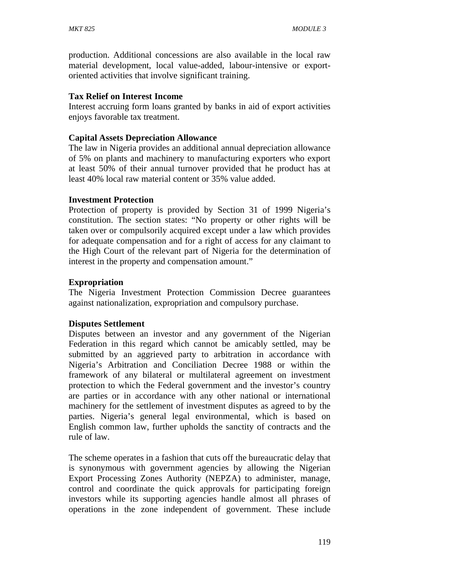production. Additional concessions are also available in the local raw material development, local value-added, labour-intensive or exportoriented activities that involve significant training.

#### **Tax Relief on Interest Income**

Interest accruing form loans granted by banks in aid of export activities enjoys favorable tax treatment.

#### **Capital Assets Depreciation Allowance**

The law in Nigeria provides an additional annual depreciation allowance of 5% on plants and machinery to manufacturing exporters who export at least 50% of their annual turnover provided that he product has at least 40% local raw material content or 35% value added.

### **Investment Protection**

Protection of property is provided by Section 31 of 1999 Nigeria's constitution. The section states: "No property or other rights will be taken over or compulsorily acquired except under a law which provides for adequate compensation and for a right of access for any claimant to the High Court of the relevant part of Nigeria for the determination of interest in the property and compensation amount."

#### **Expropriation**

The Nigeria Investment Protection Commission Decree guarantees against nationalization, expropriation and compulsory purchase.

### **Disputes Settlement**

Disputes between an investor and any government of the Nigerian Federation in this regard which cannot be amicably settled, may be submitted by an aggrieved party to arbitration in accordance with Nigeria's Arbitration and Conciliation Decree 1988 or within the framework of any bilateral or multilateral agreement on investment protection to which the Federal government and the investor's country are parties or in accordance with any other national or international machinery for the settlement of investment disputes as agreed to by the parties. Nigeria's general legal environmental, which is based on English common law, further upholds the sanctity of contracts and the rule of law.

The scheme operates in a fashion that cuts off the bureaucratic delay that is synonymous with government agencies by allowing the Nigerian Export Processing Zones Authority (NEPZA) to administer, manage, control and coordinate the quick approvals for participating foreign investors while its supporting agencies handle almost all phrases of operations in the zone independent of government. These include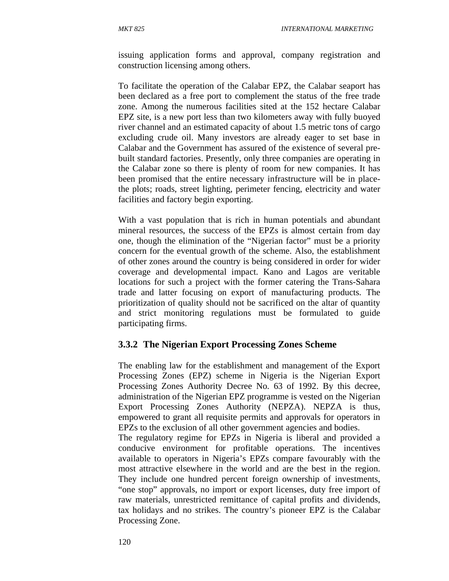issuing application forms and approval, company registration and construction licensing among others.

To facilitate the operation of the Calabar EPZ, the Calabar seaport has been declared as a free port to complement the status of the free trade zone. Among the numerous facilities sited at the 152 hectare Calabar EPZ site, is a new port less than two kilometers away with fully buoyed river channel and an estimated capacity of about 1.5 metric tons of cargo excluding crude oil. Many investors are already eager to set base in Calabar and the Government has assured of the existence of several prebuilt standard factories. Presently, only three companies are operating in the Calabar zone so there is plenty of room for new companies. It has been promised that the entire necessary infrastructure will be in placethe plots; roads, street lighting, perimeter fencing, electricity and water facilities and factory begin exporting.

With a vast population that is rich in human potentials and abundant mineral resources, the success of the EPZs is almost certain from day one, though the elimination of the "Nigerian factor" must be a priority concern for the eventual growth of the scheme. Also, the establishment of other zones around the country is being considered in order for wider coverage and developmental impact. Kano and Lagos are veritable locations for such a project with the former catering the Trans-Sahara trade and latter focusing on export of manufacturing products. The prioritization of quality should not be sacrificed on the altar of quantity and strict monitoring regulations must be formulated to guide participating firms.

### **3.3.2 The Nigerian Export Processing Zones Scheme**

The enabling law for the establishment and management of the Export Processing Zones (EPZ) scheme in Nigeria is the Nigerian Export Processing Zones Authority Decree No. 63 of 1992. By this decree, administration of the Nigerian EPZ programme is vested on the Nigerian Export Processing Zones Authority (NEPZA). NEPZA is thus, empowered to grant all requisite permits and approvals for operators in EPZs to the exclusion of all other government agencies and bodies.

The regulatory regime for EPZs in Nigeria is liberal and provided a conducive environment for profitable operations. The incentives available to operators in Nigeria's EPZs compare favourably with the most attractive elsewhere in the world and are the best in the region. They include one hundred percent foreign ownership of investments, "one stop" approvals, no import or export licenses, duty free import of raw materials, unrestricted remittance of capital profits and dividends, tax holidays and no strikes. The country's pioneer EPZ is the Calabar Processing Zone.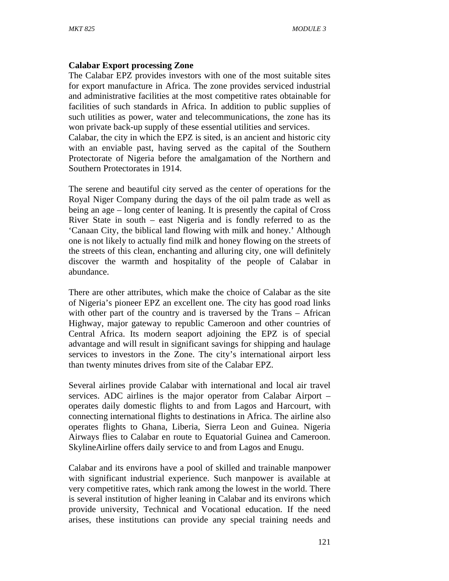#### **Calabar Export processing Zone**

The Calabar EPZ provides investors with one of the most suitable sites for export manufacture in Africa. The zone provides serviced industrial and administrative facilities at the most competitive rates obtainable for facilities of such standards in Africa. In addition to public supplies of such utilities as power, water and telecommunications, the zone has its won private back-up supply of these essential utilities and services.

Calabar, the city in which the EPZ is sited, is an ancient and historic city with an enviable past, having served as the capital of the Southern Protectorate of Nigeria before the amalgamation of the Northern and Southern Protectorates in 1914.

The serene and beautiful city served as the center of operations for the Royal Niger Company during the days of the oil palm trade as well as being an age – long center of leaning. It is presently the capital of Cross River State in south – east Nigeria and is fondly referred to as the 'Canaan City, the biblical land flowing with milk and honey.' Although one is not likely to actually find milk and honey flowing on the streets of the streets of this clean, enchanting and alluring city, one will definitely discover the warmth and hospitality of the people of Calabar in abundance.

There are other attributes, which make the choice of Calabar as the site of Nigeria's pioneer EPZ an excellent one. The city has good road links with other part of the country and is traversed by the Trans – African Highway, major gateway to republic Cameroon and other countries of Central Africa. Its modern seaport adjoining the EPZ is of special advantage and will result in significant savings for shipping and haulage services to investors in the Zone. The city's international airport less than twenty minutes drives from site of the Calabar EPZ.

Several airlines provide Calabar with international and local air travel services. ADC airlines is the major operator from Calabar Airport – operates daily domestic flights to and from Lagos and Harcourt, with connecting international flights to destinations in Africa. The airline also operates flights to Ghana, Liberia, Sierra Leon and Guinea. Nigeria Airways flies to Calabar en route to Equatorial Guinea and Cameroon. SkylineAirline offers daily service to and from Lagos and Enugu.

Calabar and its environs have a pool of skilled and trainable manpower with significant industrial experience. Such manpower is available at very competitive rates, which rank among the lowest in the world. There is several institution of higher leaning in Calabar and its environs which provide university, Technical and Vocational education. If the need arises, these institutions can provide any special training needs and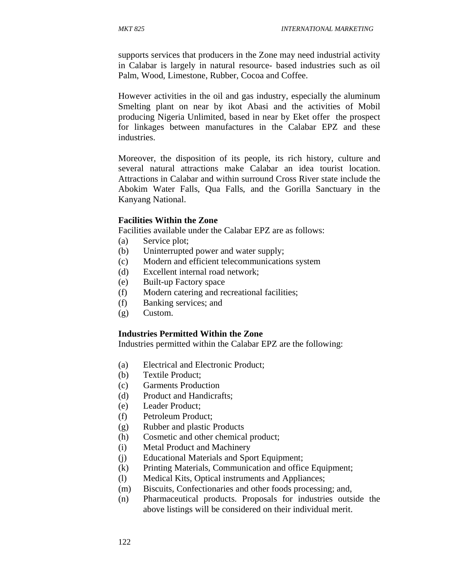supports services that producers in the Zone may need industrial activity in Calabar is largely in natural resource- based industries such as oil Palm, Wood, Limestone, Rubber, Cocoa and Coffee.

However activities in the oil and gas industry, especially the aluminum Smelting plant on near by ikot Abasi and the activities of Mobil producing Nigeria Unlimited, based in near by Eket offer the prospect for linkages between manufactures in the Calabar EPZ and these industries.

Moreover, the disposition of its people, its rich history, culture and several natural attractions make Calabar an idea tourist location. Attractions in Calabar and within surround Cross River state include the Abokim Water Falls, Qua Falls, and the Gorilla Sanctuary in the Kanyang National.

#### **Facilities Within the Zone**

Facilities available under the Calabar EPZ are as follows:

- (a) Service plot;
- (b) Uninterrupted power and water supply;
- (c) Modern and efficient telecommunications system
- (d) Excellent internal road network;
- (e) Built-up Factory space
- (f) Modern catering and recreational facilities;
- (f) Banking services; and
- (g) Custom.

#### **Industries Permitted Within the Zone**

Industries permitted within the Calabar EPZ are the following:

- (a) Electrical and Electronic Product;
- (b) Textile Product;
- (c) Garments Production
- (d) Product and Handicrafts;
- (e) Leader Product;
- (f) Petroleum Product;
- (g) Rubber and plastic Products
- (h) Cosmetic and other chemical product;
- (i) Metal Product and Machinery
- (j) Educational Materials and Sport Equipment;
- (k) Printing Materials, Communication and office Equipment;
- (l) Medical Kits, Optical instruments and Appliances;
- (m) Biscuits, Confectionaries and other foods processing; and,
- (n) Pharmaceutical products. Proposals for industries outside the above listings will be considered on their individual merit.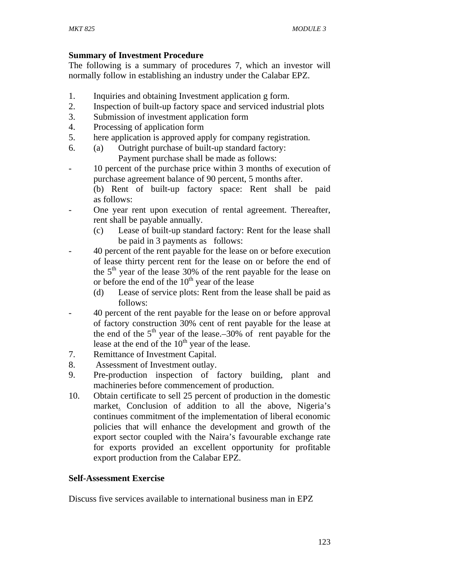### **Summary of Investment Procedure**

The following is a summary of procedures 7, which an investor will normally follow in establishing an industry under the Calabar EPZ.

- 1. Inquiries and obtaining Investment application g form.
- 2. Inspection of built-up factory space and serviced industrial plots
- 3. Submission of investment application form
- 4. Processing of application form
- 5. here application is approved apply for company registration.
- 6. (a) Outright purchase of built-up standard factory: Payment purchase shall be made as follows:
- 10 percent of the purchase price within 3 months of execution of purchase agreement balance of 90 percent, 5 months after.

(b) Rent of built-up factory space: Rent shall be paid as follows:

- One year rent upon execution of rental agreement. Thereafter, rent shall be payable annually.
	- (c) Lease of built-up standard factory: Rent for the lease shall be paid in 3 payments as follows:
- 40 percent of the rent payable for the lease on or before execution of lease thirty percent rent for the lease on or before the end of the  $5<sup>th</sup>$  year of the lease 30% of the rent payable for the lease on or before the end of the  $10<sup>th</sup>$  year of the lease
	- (d) Lease of service plots: Rent from the lease shall be paid as follows:
- 40 percent of the rent payable for the lease on or before approval of factory construction 30% cent of rent payable for the lease at the end of the  $5<sup>th</sup>$  year of the lease.–30% of rent payable for the lease at the end of the  $10<sup>th</sup>$  year of the lease.
- 7. Remittance of Investment Capital.
- 8. Assessment of Investment outlay.
- 9. Pre-production inspection of factory building, plant and machineries before commencement of production.
- 10. Obtain certificate to sell 25 percent of production in the domestic market. Conclusion of addition to all the above, Nigeria's continues commitment of the implementation of liberal economic policies that will enhance the development and growth of the export sector coupled with the Naira's favourable exchange rate for exports provided an excellent opportunity for profitable export production from the Calabar EPZ.

### **Self-Assessment Exercise**

Discuss five services available to international business man in EPZ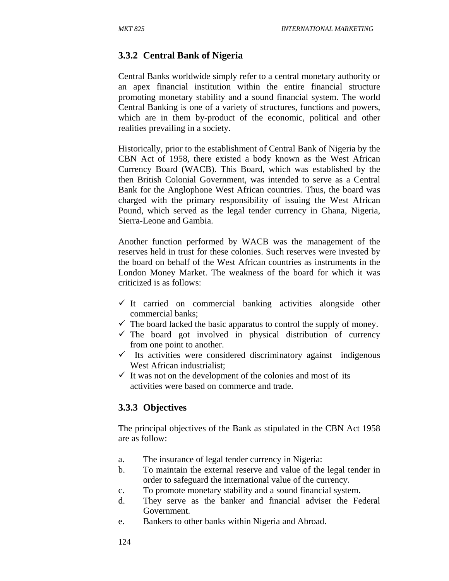### **3.3.2 Central Bank of Nigeria**

Central Banks worldwide simply refer to a central monetary authority or an apex financial institution within the entire financial structure promoting monetary stability and a sound financial system. The world Central Banking is one of a variety of structures, functions and powers, which are in them by-product of the economic, political and other realities prevailing in a society.

Historically, prior to the establishment of Central Bank of Nigeria by the CBN Act of 1958, there existed a body known as the West African Currency Board (WACB). This Board, which was established by the then British Colonial Government, was intended to serve as a Central Bank for the Anglophone West African countries. Thus, the board was charged with the primary responsibility of issuing the West African Pound, which served as the legal tender currency in Ghana, Nigeria, Sierra-Leone and Gambia.

Another function performed by WACB was the management of the reserves held in trust for these colonies. Such reserves were invested by the board on behalf of the West African countries as instruments in the London Money Market. The weakness of the board for which it was criticized is as follows:

- $\checkmark$  It carried on commercial banking activities alongside other commercial banks;
- $\checkmark$  The board lacked the basic apparatus to control the supply of money.
- $\checkmark$  The board got involved in physical distribution of currency from one point to another.
- $\checkmark$  Its activities were considered discriminatory against indigenous West African industrialist:
- $\checkmark$  It was not on the development of the colonies and most of its activities were based on commerce and trade.

#### **3.3.3 Objectives**

The principal objectives of the Bank as stipulated in the CBN Act 1958 are as follow:

- a. The insurance of legal tender currency in Nigeria:
- b. To maintain the external reserve and value of the legal tender in order to safeguard the international value of the currency.
- c. To promote monetary stability and a sound financial system.
- d. They serve as the banker and financial adviser the Federal Government.
- e. Bankers to other banks within Nigeria and Abroad.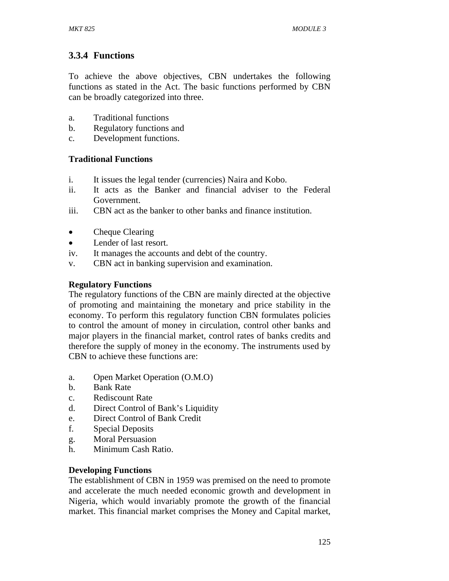# **3.3.4 Functions**

To achieve the above objectives, CBN undertakes the following functions as stated in the Act. The basic functions performed by CBN can be broadly categorized into three.

- a. Traditional functions
- b. Regulatory functions and
- c. Development functions.

### **Traditional Functions**

- i. It issues the legal tender (currencies) Naira and Kobo.
- ii. It acts as the Banker and financial adviser to the Federal Government.
- iii. CBN act as the banker to other banks and finance institution.
- Cheque Clearing
- Lender of last resort.
- iv. It manages the accounts and debt of the country.
- v. CBN act in banking supervision and examination.

### **Regulatory Functions**

The regulatory functions of the CBN are mainly directed at the objective of promoting and maintaining the monetary and price stability in the economy. To perform this regulatory function CBN formulates policies to control the amount of money in circulation, control other banks and major players in the financial market, control rates of banks credits and therefore the supply of money in the economy. The instruments used by CBN to achieve these functions are:

- a. Open Market Operation (O.M.O)
- b. Bank Rate
- c. Rediscount Rate
- d. Direct Control of Bank's Liquidity
- e. Direct Control of Bank Credit
- f. Special Deposits
- g. Moral Persuasion
- h. Minimum Cash Ratio.

### **Developing Functions**

The establishment of CBN in 1959 was premised on the need to promote and accelerate the much needed economic growth and development in Nigeria, which would invariably promote the growth of the financial market. This financial market comprises the Money and Capital market,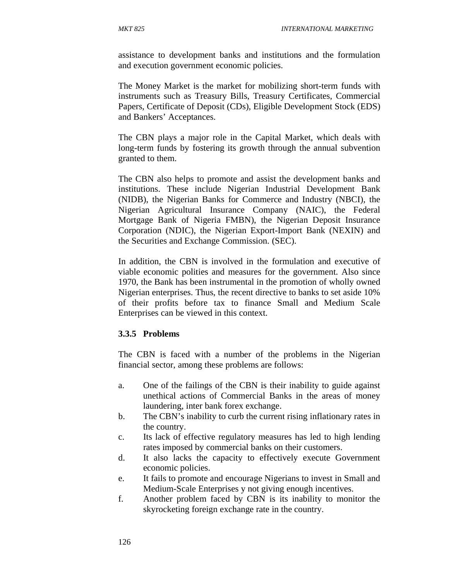assistance to development banks and institutions and the formulation and execution government economic policies.

The Money Market is the market for mobilizing short-term funds with instruments such as Treasury Bills, Treasury Certificates, Commercial Papers, Certificate of Deposit (CDs), Eligible Development Stock (EDS) and Bankers' Acceptances.

The CBN plays a major role in the Capital Market, which deals with long-term funds by fostering its growth through the annual subvention granted to them.

The CBN also helps to promote and assist the development banks and institutions. These include Nigerian Industrial Development Bank (NIDB), the Nigerian Banks for Commerce and Industry (NBCI), the Nigerian Agricultural Insurance Company (NAIC), the Federal Mortgage Bank of Nigeria FMBN), the Nigerian Deposit Insurance Corporation (NDIC), the Nigerian Export-Import Bank (NEXIN) and the Securities and Exchange Commission. (SEC).

In addition, the CBN is involved in the formulation and executive of viable economic polities and measures for the government. Also since 1970, the Bank has been instrumental in the promotion of wholly owned Nigerian enterprises. Thus, the recent directive to banks to set aside 10% of their profits before tax to finance Small and Medium Scale Enterprises can be viewed in this context.

#### **3.3.5 Problems**

The CBN is faced with a number of the problems in the Nigerian financial sector, among these problems are follows:

- a. One of the failings of the CBN is their inability to guide against unethical actions of Commercial Banks in the areas of money laundering, inter bank forex exchange.
- b. The CBN's inability to curb the current rising inflationary rates in the country.
- c. Its lack of effective regulatory measures has led to high lending rates imposed by commercial banks on their customers.
- d. It also lacks the capacity to effectively execute Government economic policies.
- e. It fails to promote and encourage Nigerians to invest in Small and Medium-Scale Enterprises y not giving enough incentives.
- f. Another problem faced by CBN is its inability to monitor the skyrocketing foreign exchange rate in the country.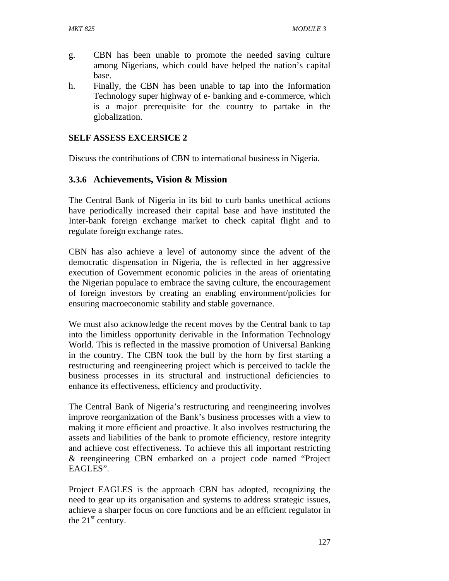- g. CBN has been unable to promote the needed saving culture among Nigerians, which could have helped the nation's capital base.
- h. Finally, the CBN has been unable to tap into the Information Technology super highway of e- banking and e-commerce, which is a major prerequisite for the country to partake in the globalization.

### **SELF ASSESS EXCERSICE 2**

Discuss the contributions of CBN to international business in Nigeria.

### **3.3.6 Achievements, Vision & Mission**

The Central Bank of Nigeria in its bid to curb banks unethical actions have periodically increased their capital base and have instituted the Inter-bank foreign exchange market to check capital flight and to regulate foreign exchange rates.

CBN has also achieve a level of autonomy since the advent of the democratic dispensation in Nigeria, the is reflected in her aggressive execution of Government economic policies in the areas of orientating the Nigerian populace to embrace the saving culture, the encouragement of foreign investors by creating an enabling environment/policies for ensuring macroeconomic stability and stable governance.

We must also acknowledge the recent moves by the Central bank to tap into the limitless opportunity derivable in the Information Technology World. This is reflected in the massive promotion of Universal Banking in the country. The CBN took the bull by the horn by first starting a restructuring and reengineering project which is perceived to tackle the business processes in its structural and instructional deficiencies to enhance its effectiveness, efficiency and productivity.

The Central Bank of Nigeria's restructuring and reengineering involves improve reorganization of the Bank's business processes with a view to making it more efficient and proactive. It also involves restructuring the assets and liabilities of the bank to promote efficiency, restore integrity and achieve cost effectiveness. To achieve this all important restricting & reengineering CBN embarked on a project code named "Project EAGLES".

Project EAGLES is the approach CBN has adopted, recognizing the need to gear up its organisation and systems to address strategic issues, achieve a sharper focus on core functions and be an efficient regulator in the  $21<sup>st</sup>$  century.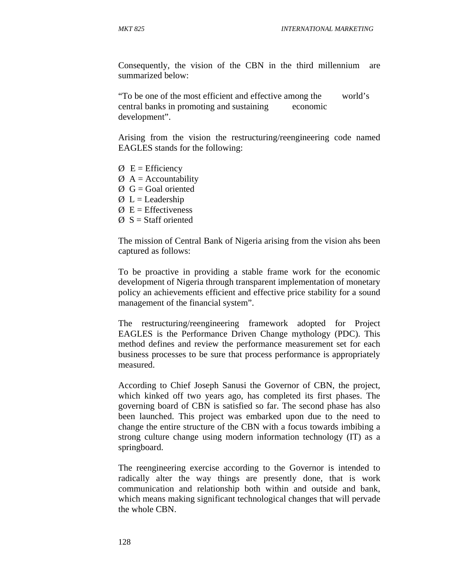Consequently, the vision of the CBN in the third millennium are summarized below:

"To be one of the most efficient and effective among the world's central banks in promoting and sustaining economic development".

Arising from the vision the restructuring/reengineering code named EAGLES stands for the following:

- $\varnothing$  E = Efficiency
- $\varnothing$  A = Accountability
- $\varnothing$  G = Goal oriented
- $\varnothing$  L = Leadership
- $\varnothing$  E = Effectiveness
- $\varnothing$  S = Staff oriented

The mission of Central Bank of Nigeria arising from the vision ahs been captured as follows:

To be proactive in providing a stable frame work for the economic development of Nigeria through transparent implementation of monetary policy an achievements efficient and effective price stability for a sound management of the financial system".

The restructuring/reengineering framework adopted for Project EAGLES is the Performance Driven Change mythology (PDC). This method defines and review the performance measurement set for each business processes to be sure that process performance is appropriately measured.

According to Chief Joseph Sanusi the Governor of CBN, the project, which kinked off two years ago, has completed its first phases. The governing board of CBN is satisfied so far. The second phase has also been launched. This project was embarked upon due to the need to change the entire structure of the CBN with a focus towards imbibing a strong culture change using modern information technology (IT) as a springboard.

The reengineering exercise according to the Governor is intended to radically alter the way things are presently done, that is work communication and relationship both within and outside and bank, which means making significant technological changes that will pervade the whole CBN.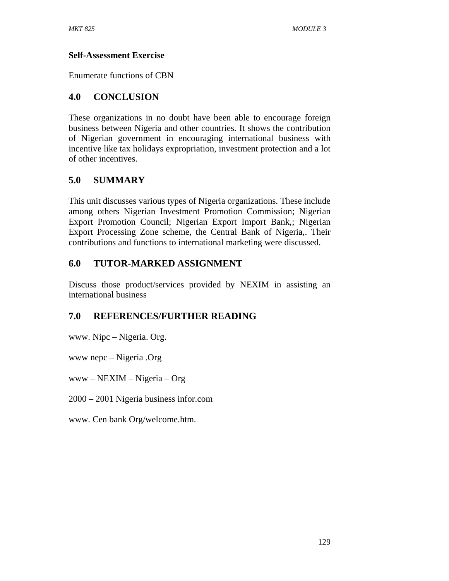### **Self-Assessment Exercise**

Enumerate functions of CBN

## **4.0 CONCLUSION**

These organizations in no doubt have been able to encourage foreign business between Nigeria and other countries. It shows the contribution of Nigerian government in encouraging international business with incentive like tax holidays expropriation, investment protection and a lot of other incentives.

## **5.0 SUMMARY**

This unit discusses various types of Nigeria organizations. These include among others Nigerian Investment Promotion Commission; Nigerian Export Promotion Council; Nigerian Export Import Bank,; Nigerian Export Processing Zone scheme, the Central Bank of Nigeria,. Their contributions and functions to international marketing were discussed.

# **6.0 TUTOR-MARKED ASSIGNMENT**

Discuss those product/services provided by NEXIM in assisting an international business

## **7.0 REFERENCES/FURTHER READING**

www. Nipc – Nigeria. Org.

www nepc – Nigeria .Org

www – NEXIM – Nigeria – Org

2000 – 2001 Nigeria business infor.com

www. Cen bank Org/welcome.htm.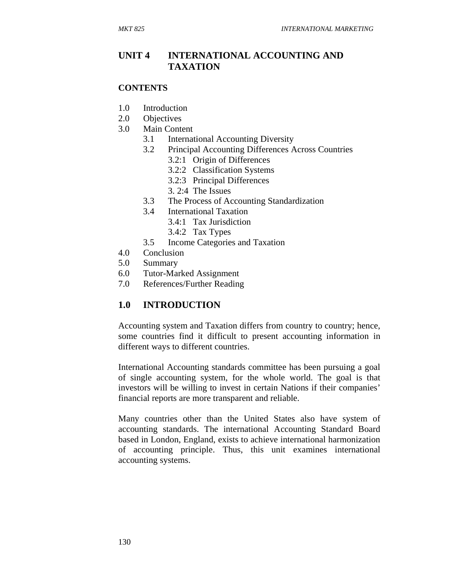### **UNIT 4 INTERNATIONAL ACCOUNTING AND TAXATION**

#### **CONTENTS**

- 1.0 Introduction
- 2.0 Objectives
- 3.0 Main Content
	- 3.1 International Accounting Diversity
	- 3.2 Principal Accounting Differences Across Countries
		- 3.2:1 Origin of Differences
		- 3.2:2 Classification Systems
		- 3.2:3 Principal Differences
		- 3. 2:4 The Issues
	- 3.3 The Process of Accounting Standardization
	- 3.4 International Taxation
		- 3.4:1 Tax Jurisdiction
		- 3.4:2 Tax Types
	- 3.5 Income Categories and Taxation
- 4.0 Conclusion
- 5.0 Summary
- 6.0 Tutor-Marked Assignment
- 7.0 References/Further Reading

### **1.0 INTRODUCTION**

Accounting system and Taxation differs from country to country; hence, some countries find it difficult to present accounting information in different ways to different countries.

International Accounting standards committee has been pursuing a goal of single accounting system, for the whole world. The goal is that investors will be willing to invest in certain Nations if their companies' financial reports are more transparent and reliable.

Many countries other than the United States also have system of accounting standards. The international Accounting Standard Board based in London, England, exists to achieve international harmonization of accounting principle. Thus, this unit examines international accounting systems.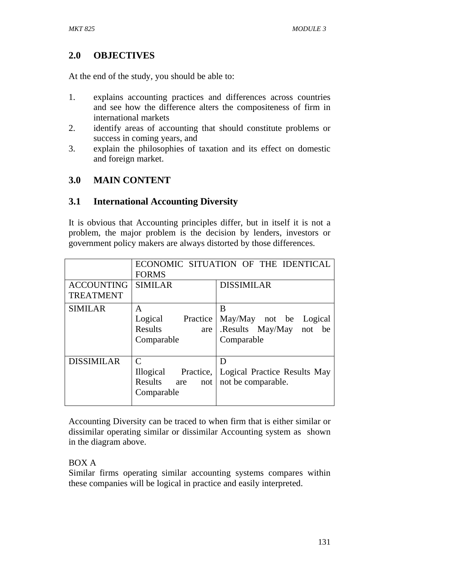## **2.0 OBJECTIVES**

At the end of the study, you should be able to:

- 1. explains accounting practices and differences across countries and see how the difference alters the compositeness of firm in international markets
- 2. identify areas of accounting that should constitute problems or success in coming years, and
- 3. explain the philosophies of taxation and its effect on domestic and foreign market.

### **3.0 MAIN CONTENT**

### **3.1 International Accounting Diversity**

It is obvious that Accounting principles differ, but in itself it is not a problem, the major problem is the decision by lenders, investors or government policy makers are always distorted by those differences.

|                                       | ECONOMIC SITUATION OF THE IDENTICAL<br><b>FORMS</b>             |                                                                      |
|---------------------------------------|-----------------------------------------------------------------|----------------------------------------------------------------------|
| <b>ACCOUNTING</b><br><b>TREATMENT</b> | <b>SIMILAR</b>                                                  | <b>DISSIMILAR</b>                                                    |
| <b>SIMILAR</b>                        | A<br>Logical<br>Practice<br><b>Results</b><br>are<br>Comparable | B<br>May/May not be Logical<br>.Results May/May not be<br>Comparable |
| <b>DISSIMILAR</b>                     | C<br>Illogical Practice,<br>Results<br>are<br>not<br>Comparable | D<br>Logical Practice Results May<br>not be comparable.              |

Accounting Diversity can be traced to when firm that is either similar or dissimilar operating similar or dissimilar Accounting system as shown in the diagram above.

### BOX A

Similar firms operating similar accounting systems compares within these companies will be logical in practice and easily interpreted.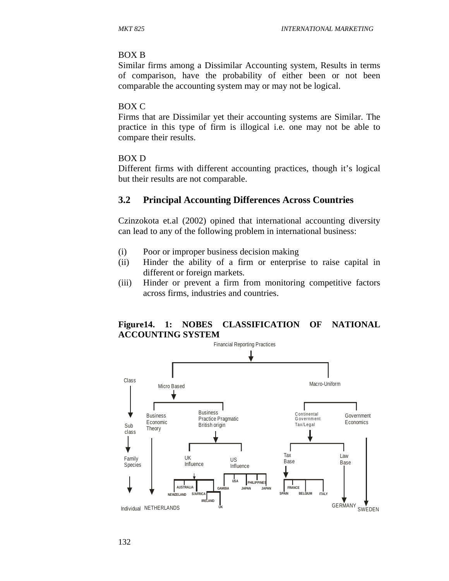#### BOX B

Similar firms among a Dissimilar Accounting system, Results in terms of comparison, have the probability of either been or not been comparable the accounting system may or may not be logical.

#### BOX C

Firms that are Dissimilar yet their accounting systems are Similar. The practice in this type of firm is illogical i.e. one may not be able to compare their results.

#### BOX D

Different firms with different accounting practices, though it's logical but their results are not comparable.

#### **3.2 Principal Accounting Differences Across Countries**

Czinzokota et.al (2002) opined that international accounting diversity can lead to any of the following problem in international business:

- (i) Poor or improper business decision making
- (ii) Hinder the ability of a firm or enterprise to raise capital in different or foreign markets*.*
- (iii) Hinder or prevent a firm from monitoring competitive factors across firms, industries and countries.

### **Figure14. 1: NOBES CLASSIFICATION OF NATIONAL ACCOUNTING SYSTEM**

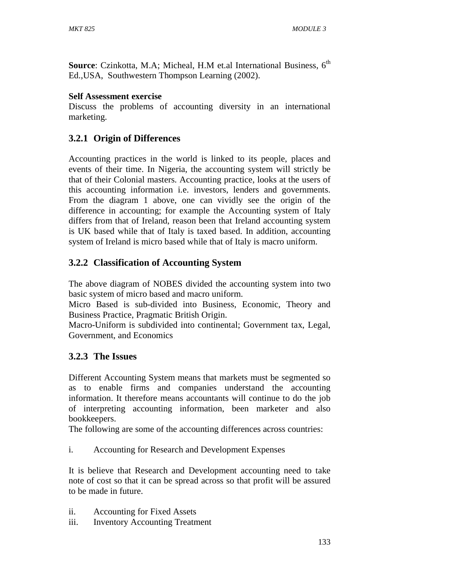Source: Czinkotta, M.A; Micheal, H.M et.al International Business, 6<sup>th</sup> Ed.,USA, Southwestern Thompson Learning (2002).

### **Self Assessment exercise**

Discuss the problems of accounting diversity in an international marketing.

# **3.2.1 Origin of Differences**

Accounting practices in the world is linked to its people, places and events of their time. In Nigeria, the accounting system will strictly be that of their Colonial masters. Accounting practice, looks at the users of this accounting information i.e. investors, lenders and governments. From the diagram 1 above, one can vividly see the origin of the difference in accounting; for example the Accounting system of Italy differs from that of Ireland, reason been that Ireland accounting system is UK based while that of Italy is taxed based. In addition, accounting system of Ireland is micro based while that of Italy is macro uniform.

# **3.2.2 Classification of Accounting System**

The above diagram of NOBES divided the accounting system into two basic system of micro based and macro uniform.

Micro Based is sub-divided into Business, Economic, Theory and Business Practice, Pragmatic British Origin.

Macro-Uniform is subdivided into continental; Government tax, Legal, Government, and Economics

## **3.2.3 The Issues**

Different Accounting System means that markets must be segmented so as to enable firms and companies understand the accounting information. It therefore means accountants will continue to do the job of interpreting accounting information, been marketer and also bookkeepers.

The following are some of the accounting differences across countries:

i. Accounting for Research and Development Expenses

It is believe that Research and Development accounting need to take note of cost so that it can be spread across so that profit will be assured to be made in future.

- ii. Accounting for Fixed Assets
- iii. Inventory Accounting Treatment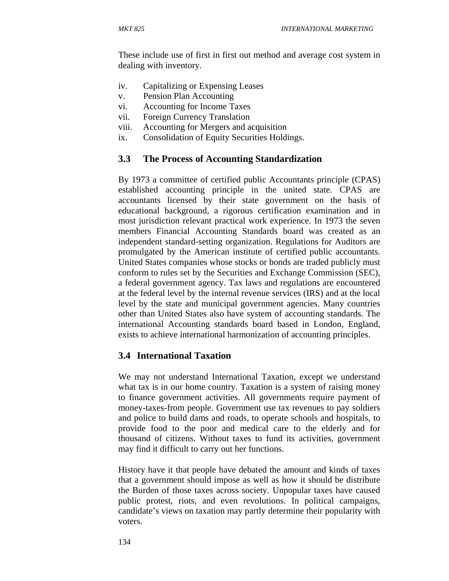These include use of first in first out method and average cost system in dealing with inventory.

- iv. Capitalizing or Expensing Leases
- v. Pension Plan Accounting
- vi. Accounting for Income Taxes
- vii. Foreign Currency Translation
- viii. Accounting for Mergers and acquisition
- ix. Consolidation of Equity Securities Holdings.

### **3.3 The Process of Accounting Standardization**

By 1973 a committee of certified public Accountants principle (CPAS) established accounting principle in the united state. CPAS are accountants licensed by their state government on the basis of educational background, a rigorous certification examination and in most jurisdiction relevant practical work experience. In 1973 the seven members Financial Accounting Standards board was created as an independent standard-setting organization. Regulations for Auditors are promulgated by the American institute of certified public accountants. United States companies whose stocks or bonds are traded publicly must conform to rules set by the Securities and Exchange Commission (SEC), a federal government agency. Tax laws and regulations are encountered at the federal level by the internal revenue services (IRS) and at the local level by the state and municipal government agencies. Many countries other than United States also have system of accounting standards. The international Accounting standards board based in London, England, exists to achieve international harmonization of accounting principles.

### **3.4 International Taxation**

We may not understand International Taxation, except we understand what tax is in our home country. Taxation is a system of raising money to finance government activities. All governments require payment of money-taxes-from people. Government use tax revenues to pay soldiers and police to build dams and roads, to operate schools and hospitals, to provide food to the poor and medical care to the elderly and for thousand of citizens. Without taxes to fund its activities, government may find it difficult to carry out her functions.

History have it that people have debated the amount and kinds of taxes that a government should impose as well as how it should be distribute the Burden of those taxes across society. Unpopular taxes have caused public protest, riots, and even revolutions. In political campaigns, candidate's views on taxation may partly determine their popularity with voters.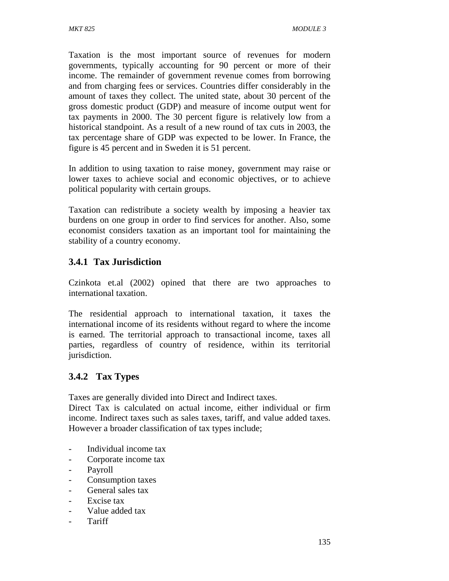Taxation is the most important source of revenues for modern governments, typically accounting for 90 percent or more of their income. The remainder of government revenue comes from borrowing and from charging fees or services. Countries differ considerably in the amount of taxes they collect. The united state, about 30 percent of the gross domestic product (GDP) and measure of income output went for tax payments in 2000. The 30 percent figure is relatively low from a historical standpoint. As a result of a new round of tax cuts in 2003, the tax percentage share of GDP was expected to be lower. In France, the figure is 45 percent and in Sweden it is 51 percent.

In addition to using taxation to raise money, government may raise or lower taxes to achieve social and economic objectives, or to achieve political popularity with certain groups.

Taxation can redistribute a society wealth by imposing a heavier tax burdens on one group in order to find services for another. Also, some economist considers taxation as an important tool for maintaining the stability of a country economy.

## **3.4.1 Tax Jurisdiction**

Czinkota et.al (2002) opined that there are two approaches to international taxation.

The residential approach to international taxation, it taxes the international income of its residents without regard to where the income is earned. The territorial approach to transactional income, taxes all parties, regardless of country of residence, within its territorial jurisdiction.

## **3.4.2 Tax Types**

Taxes are generally divided into Direct and Indirect taxes.

Direct Tax is calculated on actual income, either individual or firm income. Indirect taxes such as sales taxes, tariff, and value added taxes. However a broader classification of tax types include;

- Individual income tax
- Corporate income tax
- Payroll
- Consumption taxes
- General sales tax
- Excise tax
- Value added tax
- **Tariff**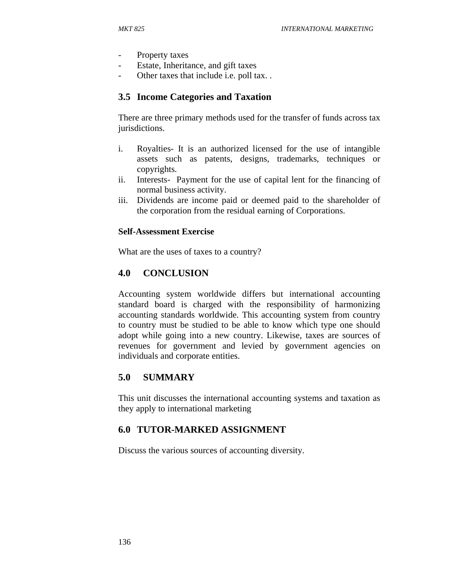- Property taxes
- Estate, Inheritance, and gift taxes
- Other taxes that include i.e. poll tax..

### **3.5 Income Categories and Taxation**

There are three primary methods used for the transfer of funds across tax jurisdictions.

- i. Royalties- It is an authorized licensed for the use of intangible assets such as patents, designs, trademarks, techniques or copyrights.
- ii. Interests- Payment for the use of capital lent for the financing of normal business activity.
- iii. Dividends are income paid or deemed paid to the shareholder of the corporation from the residual earning of Corporations.

#### **Self-Assessment Exercise**

What are the uses of taxes to a country?

### **4.0 CONCLUSION**

Accounting system worldwide differs but international accounting standard board is charged with the responsibility of harmonizing accounting standards worldwide. This accounting system from country to country must be studied to be able to know which type one should adopt while going into a new country. Likewise, taxes are sources of revenues for government and levied by government agencies on individuals and corporate entities.

### **5.0 SUMMARY**

This unit discusses the international accounting systems and taxation as they apply to international marketing

### **6.0 TUTOR-MARKED ASSIGNMENT**

Discuss the various sources of accounting diversity.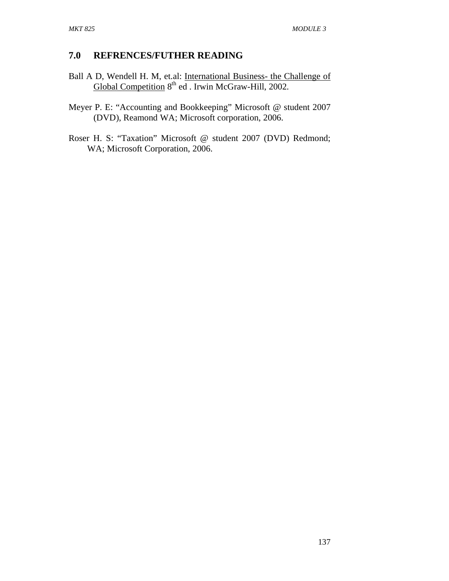### **7.0 REFRENCES/FUTHER READING**

- Ball A D, Wendell H. M, et.al: International Business- the Challenge of Global Competition 8<sup>th</sup> ed . Irwin McGraw-Hill, 2002.
- Meyer P. E: "Accounting and Bookkeeping" Microsoft @ student 2007 (DVD), Reamond WA; Microsoft corporation, 2006.
- Roser H. S: "Taxation" Microsoft @ student 2007 (DVD) Redmond; WA; Microsoft Corporation, 2006.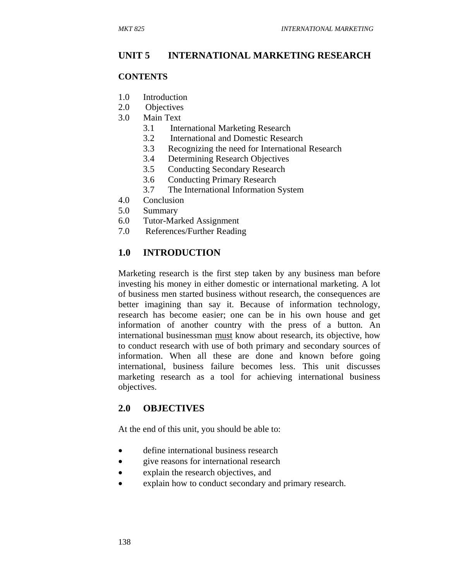## **UNIT 5 INTERNATIONAL MARKETING RESEARCH**

#### **CONTENTS**

- 1.0 Introduction
- 2.0 Objectives
- 3.0 Main Text
	- 3.1 International Marketing Research
	- 3.2 International and Domestic Research
	- 3.3 Recognizing the need for International Research
	- 3.4 Determining Research Objectives
	- 3.5 Conducting Secondary Research
	- 3.6 Conducting Primary Research
	- 3.7 The International Information System
- 4.0 Conclusion
- 5.0 Summary
- 6.0 Tutor-Marked Assignment
- 7.0 References/Further Reading

## **1.0 INTRODUCTION**

Marketing research is the first step taken by any business man before investing his money in either domestic or international marketing. A lot of business men started business without research, the consequences are better imagining than say it. Because of information technology, research has become easier; one can be in his own house and get information of another country with the press of a button. An international businessman must know about research, its objective, how to conduct research with use of both primary and secondary sources of information. When all these are done and known before going international, business failure becomes less. This unit discusses marketing research as a tool for achieving international business objectives.

## **2.0 OBJECTIVES**

At the end of this unit, you should be able to:

- define international business research
- give reasons for international research
- explain the research objectives, and
- explain how to conduct secondary and primary research.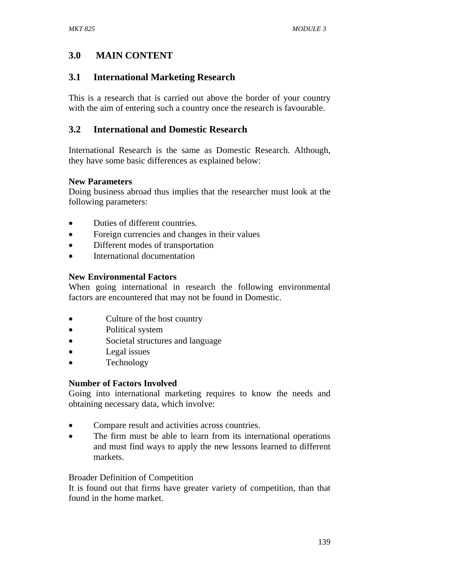# **3.0 MAIN CONTENT**

# **3.1 International Marketing Research**

This is a research that is carried out above the border of your country with the aim of entering such a country once the research is favourable.

# **3.2 International and Domestic Research**

International Research is the same as Domestic Research. Although, they have some basic differences as explained below:

## **New Parameters**

Doing business abroad thus implies that the researcher must look at the following parameters:

- Duties of different countries.
- Foreign currencies and changes in their values
- Different modes of transportation
- International documentation

## **New Environmental Factors**

When going international in research the following environmental factors are encountered that may not be found in Domestic.

- Culture of the host country
- Political system
- Societal structures and language
- Legal issues
- Technology

## **Number of Factors Involved**

Going into international marketing requires to know the needs and obtaining necessary data, which involve:

- Compare result and activities across countries.
- The firm must be able to learn from its international operations and must find ways to apply the new lessons learned to different markets.

## Broader Definition of Competition

It is found out that firms have greater variety of competition, than that found in the home market.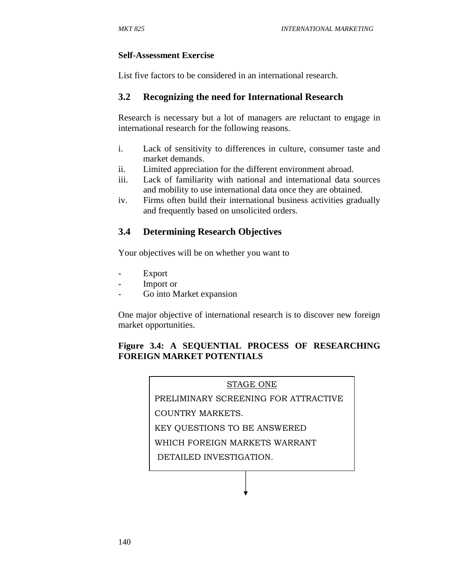#### **Self-Assessment Exercise**

List five factors to be considered in an international research.

## **3.2 Recognizing the need for International Research**

Research is necessary but a lot of managers are reluctant to engage in international research for the following reasons.

- i. Lack of sensitivity to differences in culture, consumer taste and market demands.
- ii. Limited appreciation for the different environment abroad.
- iii. Lack of familiarity with national and international data sources and mobility to use international data once they are obtained.
- iv. Firms often build their international business activities gradually and frequently based on unsolicited orders.

## **3.4 Determining Research Objectives**

Your objectives will be on whether you want to

- **Export**
- Import or
- Go into Market expansion

One major objective of international research is to discover new foreign market opportunities.

## **Figure 3.4: A SEQUENTIAL PROCESS OF RESEARCHING FOREIGN MARKET POTENTIALS**

#### STAGE ONE

PRELIMINARY SCREENING FOR ATTRACTIVE

COUNTRY MARKETS.

KEY QUESTIONS TO BE ANSWERED

WHICH FOREIGN MARKETS WARRANT

DETAILED INVESTIGATION.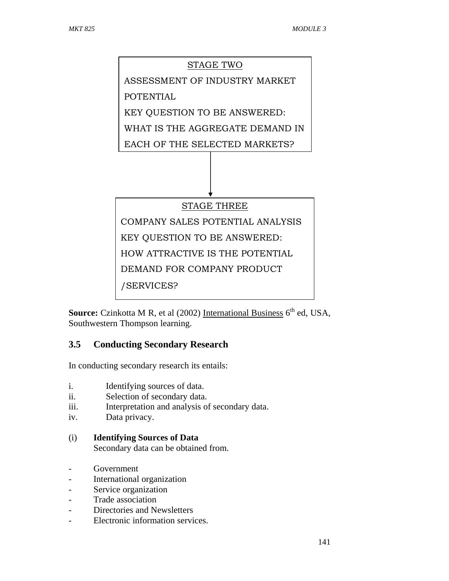# STAGE TWO ASSESSMENT OF INDUSTRY MARKET POTENTIAL KEY QUESTION TO BE ANSWERED: WHAT IS THE AGGREGATE DEMAND IN EACH OF THE SELECTED MARKETS? STAGE THREE COMPANY SALES POTENTIAL ANALYSIS KEY QUESTION TO BE ANSWERED: HOW ATTRACTIVE IS THE POTENTIAL DEMAND FOR COMPANY PRODUCT /SERVICES?

**Source:** Czinkotta M R, et al (2002) International Business 6<sup>th</sup> ed, USA, Southwestern Thompson learning.

# **3.5 Conducting Secondary Research**

In conducting secondary research its entails:

- i. Identifying sources of data.
- ii. Selection of secondary data.
- iii. Interpretation and analysis of secondary data.
- iv. Data privacy.
- (i) **Identifying Sources of Data**

Secondary data can be obtained from.

- Government
- International organization
- Service organization
- Trade association
- Directories and Newsletters
- Electronic information services.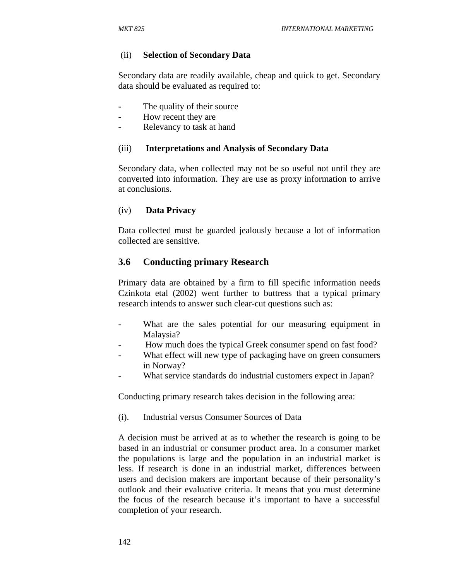#### (ii) **Selection of Secondary Data**

Secondary data are readily available, cheap and quick to get. Secondary data should be evaluated as required to:

- The quality of their source.
- How recent they are
- Relevancy to task at hand

#### (iii) **Interpretations and Analysis of Secondary Data**

Secondary data, when collected may not be so useful not until they are converted into information. They are use as proxy information to arrive at conclusions.

#### (iv) **Data Privacy**

Data collected must be guarded jealously because a lot of information collected are sensitive.

## **3.6 Conducting primary Research**

Primary data are obtained by a firm to fill specific information needs Czinkota etal (2002) went further to buttress that a typical primary research intends to answer such clear-cut questions such as:

- What are the sales potential for our measuring equipment in Malaysia?
- How much does the typical Greek consumer spend on fast food?
- What effect will new type of packaging have on green consumers in Norway?
- What service standards do industrial customers expect in Japan?

Conducting primary research takes decision in the following area:

(i). Industrial versus Consumer Sources of Data

A decision must be arrived at as to whether the research is going to be based in an industrial or consumer product area. In a consumer market the populations is large and the population in an industrial market is less. If research is done in an industrial market, differences between users and decision makers are important because of their personality's outlook and their evaluative criteria. It means that you must determine the focus of the research because it's important to have a successful completion of your research.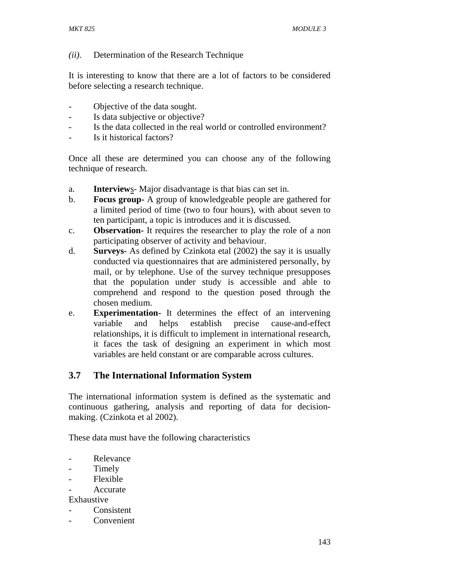## *(ii).* Determination of the Research Technique

It is interesting to know that there are a lot of factors to be considered before selecting a research technique.

- Objective of the data sought.
- Is data subjective or objective?
- Is the data collected in the real world or controlled environment?
- Is it historical factors?

Once all these are determined you can choose any of the following technique of research.

- a. **Interview**s- Major disadvantage is that bias can set in.
- b. **Focus group-** A group of knowledgeable people are gathered for a limited period of time (two to four hours), with about seven to ten participant, a topic is introduces and it is discussed.
- c. **Observation-** It requires the researcher to play the role of a non participating observer of activity and behaviour.
- d. **Surveys-** As defined by Czinkota etal (2002) the say it is usually conducted via questionnaires that are administered personally, by mail, or by telephone. Use of the survey technique presupposes that the population under study is accessible and able to comprehend and respond to the question posed through the chosen medium.
- e. **Experimentation-** It determines the effect of an intervening variable and helps establish precise cause-and-effect relationships, it is difficult to implement in international research, it faces the task of designing an experiment in which most variables are held constant or are comparable across cultures.

## **3.7 The International Information System**

The international information system is defined as the systematic and continuous gathering, analysis and reporting of data for decisionmaking. (Czinkota et al 2002).

These data must have the following characteristics

- Relevance
- Timely
- Flexible
- **Accurate**

Exhaustive

- Consistent
- Convenient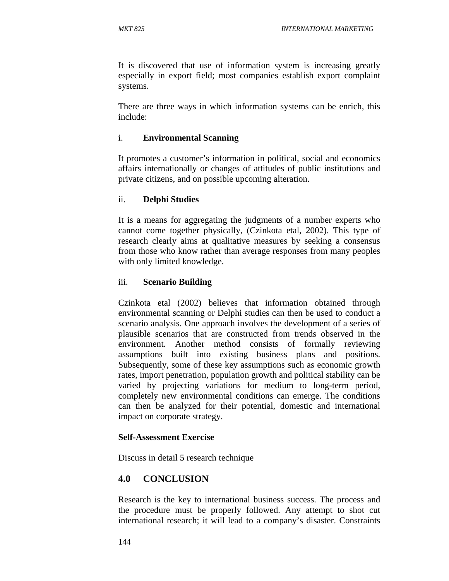It is discovered that use of information system is increasing greatly especially in export field; most companies establish export complaint systems.

There are three ways in which information systems can be enrich, this include:

## i. **Environmental Scanning**

It promotes a customer's information in political, social and economics affairs internationally or changes of attitudes of public institutions and private citizens, and on possible upcoming alteration.

## ii. **Delphi Studies**

It is a means for aggregating the judgments of a number experts who cannot come together physically, (Czinkota etal, 2002). This type of research clearly aims at qualitative measures by seeking a consensus from those who know rather than average responses from many peoples with only limited knowledge.

## iii. **Scenario Building**

Czinkota etal (2002) believes that information obtained through environmental scanning or Delphi studies can then be used to conduct a scenario analysis. One approach involves the development of a series of plausible scenarios that are constructed from trends observed in the environment. Another method consists of formally reviewing assumptions built into existing business plans and positions. Subsequently, some of these key assumptions such as economic growth rates, import penetration, population growth and political stability can be varied by projecting variations for medium to long-term period, completely new environmental conditions can emerge. The conditions can then be analyzed for their potential, domestic and international impact on corporate strategy.

## **Self-Assessment Exercise**

Discuss in detail 5 research technique

## **4.0 CONCLUSION**

Research is the key to international business success. The process and the procedure must be properly followed. Any attempt to shot cut international research; it will lead to a company's disaster. Constraints